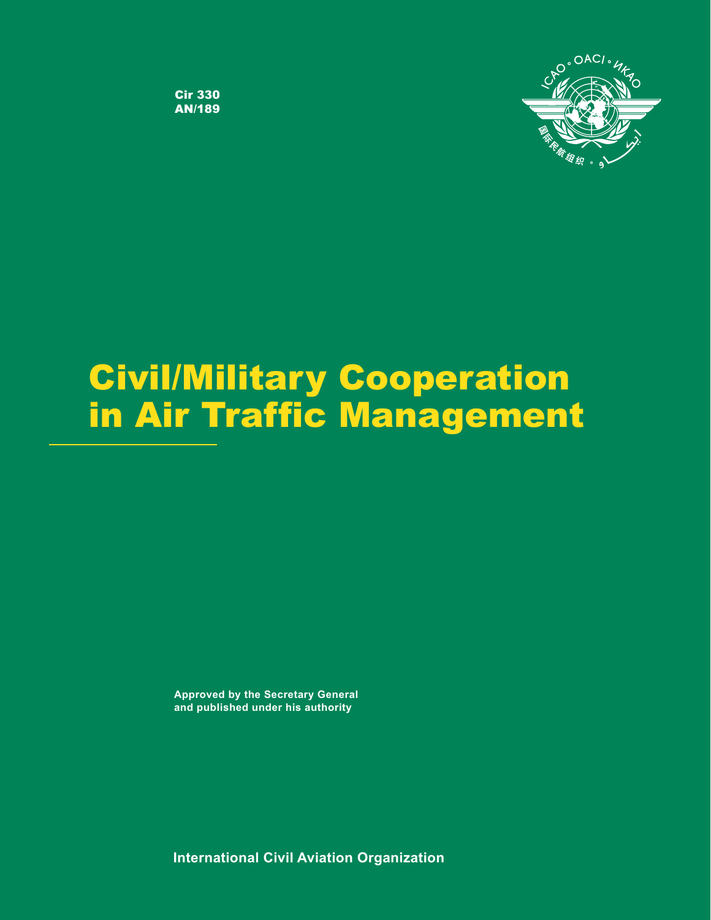

**Cir 330<br>AN/189** 

# in Air Traffic Managemen in Air Traffic Management Management Management Management Management Management Management Management Managem

**Approved by the Secretary General and published under his authority**

**International Civil Aviation Organization**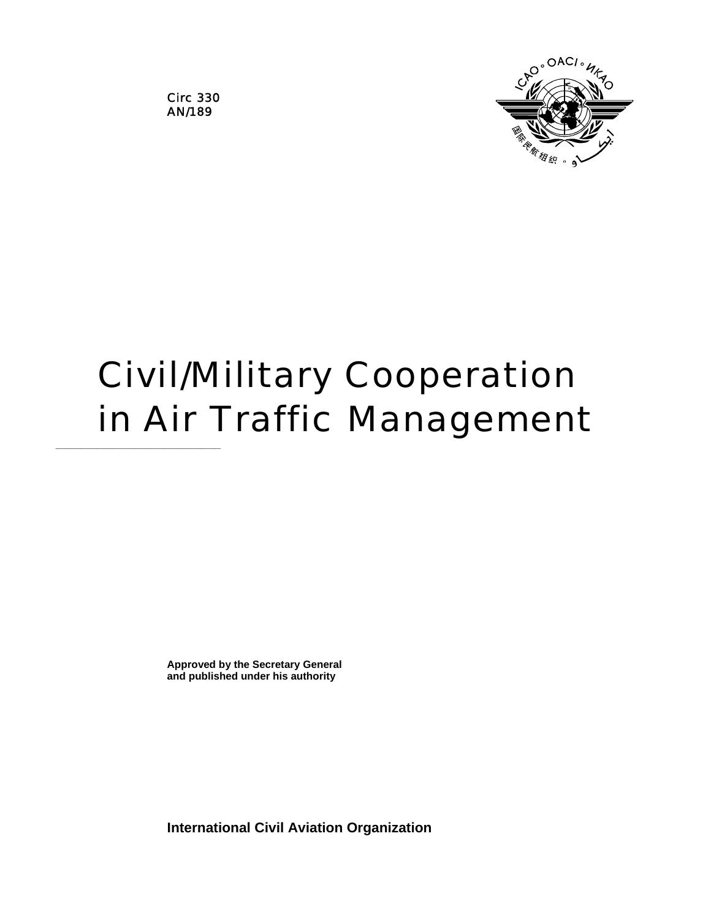

Circ 330 AN/189

**\_\_\_\_\_\_\_\_\_\_\_\_\_\_\_\_\_\_\_\_\_\_\_\_\_\_\_\_\_\_\_\_** 

## Civil/Military Cooperation in Air Traffic Management

**Approved by the Secretary General and published under his authority** 

**International Civil Aviation Organization**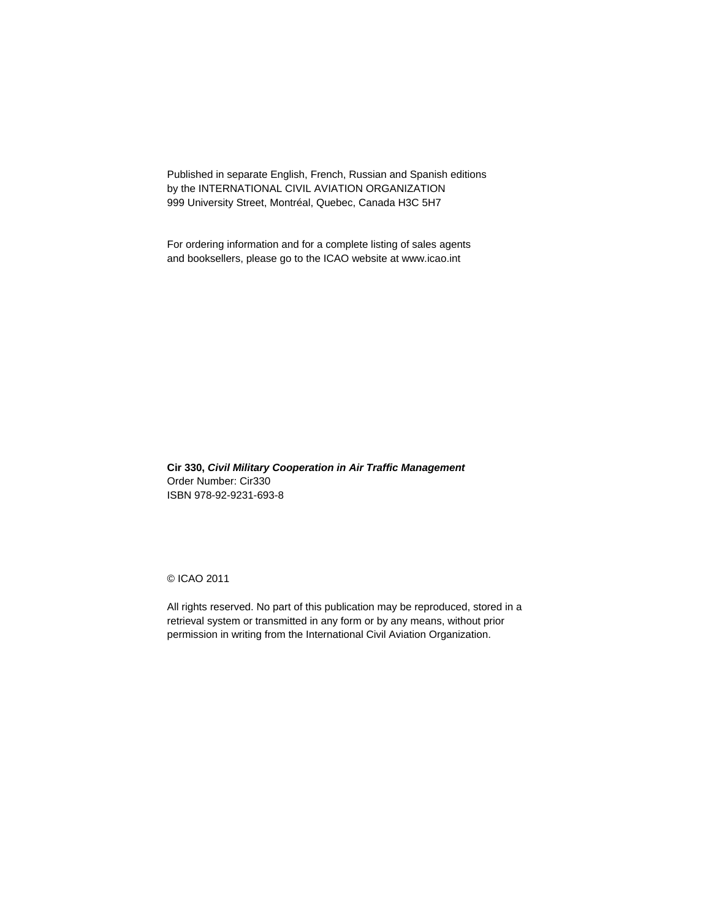Published in separate English, French, Russian and Spanish editions by the INTERNATIONAL CIVIL AVIATION ORGANIZATION 999 University Street, Montréal, Quebec, Canada H3C 5H7

For ordering information and for a complete listing of sales agents and booksellers, please go to the ICAO website at www.icao.int

**Cir 330,** *Civil Military Cooperation in Air Traffic Management*  Order Number: Cir330 ISBN 978-92-9231-693-8

© ICAO 2011

All rights reserved. No part of this publication may be reproduced, stored in a retrieval system or transmitted in any form or by any means, without prior permission in writing from the International Civil Aviation Organization.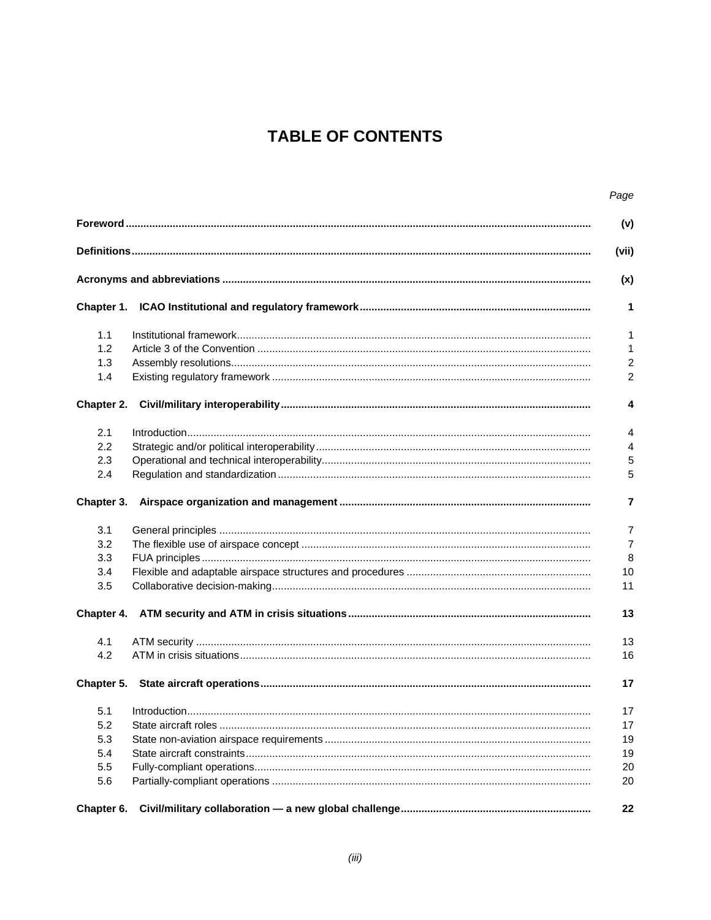## **TABLE OF CONTENTS**

|            | Page           |
|------------|----------------|
|            | (v)            |
|            | (vii)          |
|            | (x)            |
|            | 1              |
| 1.1        | $\mathbf{1}$   |
| 1.2        | 1              |
| 1.3        | $\overline{c}$ |
| 1.4        | $\overline{c}$ |
| Chapter 2. | 4              |
| 2.1        | 4              |
| 2.2        | 4              |
| 2.3        | 5              |
| 2.4        | 5              |
| Chapter 3. | 7              |
| 3.1        | 7              |
| 3.2        | $\overline{7}$ |
| 3.3        | 8              |
| 3.4        | 10             |
| 3.5        | 11             |
| Chapter 4. | 13             |
| 4.1        | 13             |
| 4.2        | 16             |
|            | 17             |
|            | 17             |
| 5.2        | 17             |
| 5.3        | 19             |
| 5.4        | 19             |
| 5.5        | 20             |
| 5.6        | 20             |
| Chapter 6. | 22             |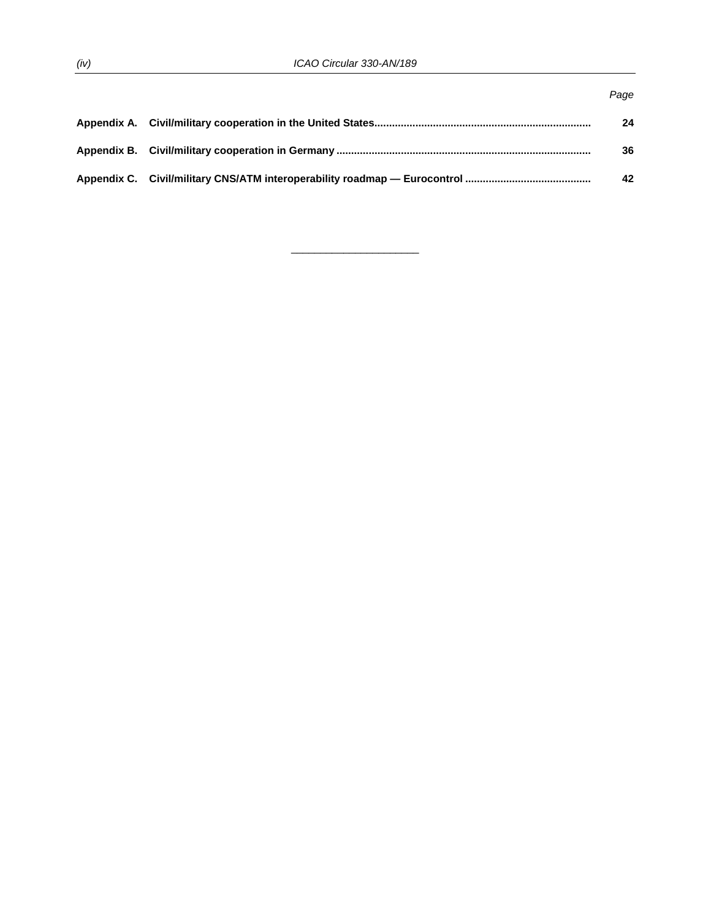|  | Page |
|--|------|
|  | 24   |
|  | 36   |
|  | 42   |

 $\overline{\phantom{a}}$  , and the set of the set of the set of the set of the set of the set of the set of the set of the set of the set of the set of the set of the set of the set of the set of the set of the set of the set of the s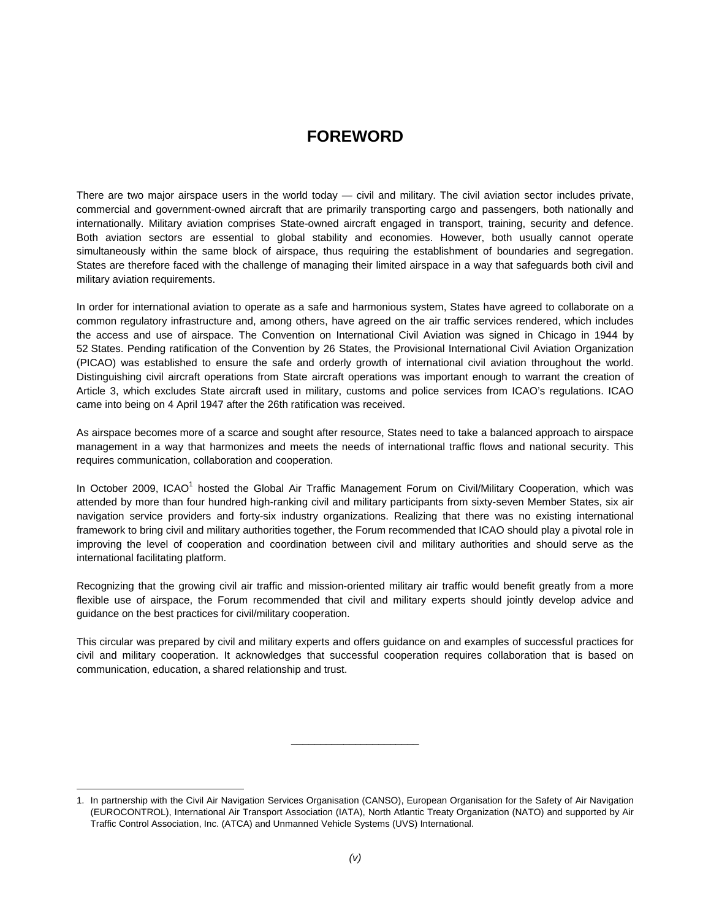## **FOREWORD**

There are two major airspace users in the world today — civil and military. The civil aviation sector includes private, commercial and government-owned aircraft that are primarily transporting cargo and passengers, both nationally and internationally. Military aviation comprises State-owned aircraft engaged in transport, training, security and defence. Both aviation sectors are essential to global stability and economies. However, both usually cannot operate simultaneously within the same block of airspace, thus requiring the establishment of boundaries and segregation. States are therefore faced with the challenge of managing their limited airspace in a way that safeguards both civil and military aviation requirements.

In order for international aviation to operate as a safe and harmonious system, States have agreed to collaborate on a common regulatory infrastructure and, among others, have agreed on the air traffic services rendered, which includes the access and use of airspace. The Convention on International Civil Aviation was signed in Chicago in 1944 by 52 States. Pending ratification of the Convention by 26 States, the Provisional International Civil Aviation Organization (PICAO) was established to ensure the safe and orderly growth of international civil aviation throughout the world. Distinguishing civil aircraft operations from State aircraft operations was important enough to warrant the creation of Article 3, which excludes State aircraft used in military, customs and police services from ICAO's regulations. ICAO came into being on 4 April 1947 after the 26th ratification was received.

As airspace becomes more of a scarce and sought after resource, States need to take a balanced approach to airspace management in a way that harmonizes and meets the needs of international traffic flows and national security. This requires communication, collaboration and cooperation.

In October 2009, ICAO<sup>1</sup> hosted the Global Air Traffic Management Forum on Civil/Military Cooperation, which was attended by more than four hundred high-ranking civil and military participants from sixty-seven Member States, six air navigation service providers and forty-six industry organizations. Realizing that there was no existing international framework to bring civil and military authorities together, the Forum recommended that ICAO should play a pivotal role in improving the level of cooperation and coordination between civil and military authorities and should serve as the international facilitating platform.

Recognizing that the growing civil air traffic and mission-oriented military air traffic would benefit greatly from a more flexible use of airspace, the Forum recommended that civil and military experts should jointly develop advice and guidance on the best practices for civil/military cooperation.

This circular was prepared by civil and military experts and offers guidance on and examples of successful practices for civil and military cooperation. It acknowledges that successful cooperation requires collaboration that is based on communication, education, a shared relationship and trust.

 $\overline{a}$ 

 $\overline{\phantom{a}}$  , and the set of the set of the set of the set of the set of the set of the set of the set of the set of the set of the set of the set of the set of the set of the set of the set of the set of the set of the s

<sup>1.</sup> In partnership with the Civil Air Navigation Services Organisation (CANSO), European Organisation for the Safety of Air Navigation (EUROCONTROL), International Air Transport Association (IATA), North Atlantic Treaty Organization (NATO) and supported by Air Traffic Control Association, Inc. (ATCA) and Unmanned Vehicle Systems (UVS) International.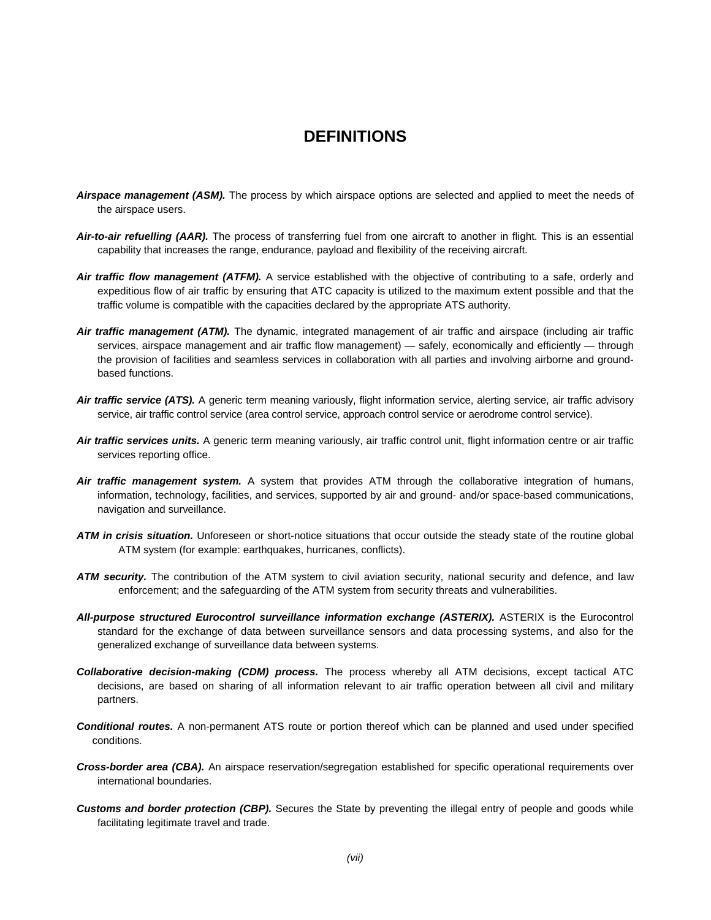### **DEFINITIONS**

- *Airspace management (ASM).* The process by which airspace options are selected and applied to meet the needs of the airspace users.
- *Air-to-air refuelling (AAR).* The process of transferring fuel from one aircraft to another in flight. This is an essential capability that increases the range, endurance, payload and flexibility of the receiving aircraft.
- *Air traffic flow management (ATFM).* A service established with the objective of contributing to a safe, orderly and expeditious flow of air traffic by ensuring that ATC capacity is utilized to the maximum extent possible and that the traffic volume is compatible with the capacities declared by the appropriate ATS authority.
- *Air traffic management (ATM).* The dynamic, integrated management of air traffic and airspace (including air traffic services, airspace management and air traffic flow management) — safely, economically and efficiently — through the provision of facilities and seamless services in collaboration with all parties and involving airborne and groundbased functions.
- *Air traffic service (ATS).* A generic term meaning variously, flight information service, alerting service, air traffic advisory service, air traffic control service (area control service, approach control service or aerodrome control service).
- *Air traffic services units.* A generic term meaning variously, air traffic control unit, flight information centre or air traffic services reporting office.
- *Air traffic management system.* A system that provides ATM through the collaborative integration of humans, information, technology, facilities, and services, supported by air and ground- and/or space-based communications, navigation and surveillance.
- *ATM in crisis situation.* Unforeseen or short-notice situations that occur outside the steady state of the routine global ATM system (for example: earthquakes, hurricanes, conflicts).
- *ATM security.* The contribution of the ATM system to civil aviation security, national security and defence, and law enforcement; and the safeguarding of the ATM system from security threats and vulnerabilities.
- *All-purpose structured Eurocontrol surveillance information exchange (ASTERIX).* ASTERIX is the Eurocontrol standard for the exchange of data between surveillance sensors and data processing systems, and also for the generalized exchange of surveillance data between systems.
- *Collaborative decision-making (CDM) process.* The process whereby all ATM decisions, except tactical ATC decisions, are based on sharing of all information relevant to air traffic operation between all civil and military partners.
- *Conditional routes.* A non-permanent ATS route or portion thereof which can be planned and used under specified conditions.
- *Cross-border area (CBA).* An airspace reservation/segregation established for specific operational requirements over international boundaries.
- *Customs and border protection (CBP).* Secures the State by preventing the illegal entry of people and goods while facilitating legitimate travel and trade.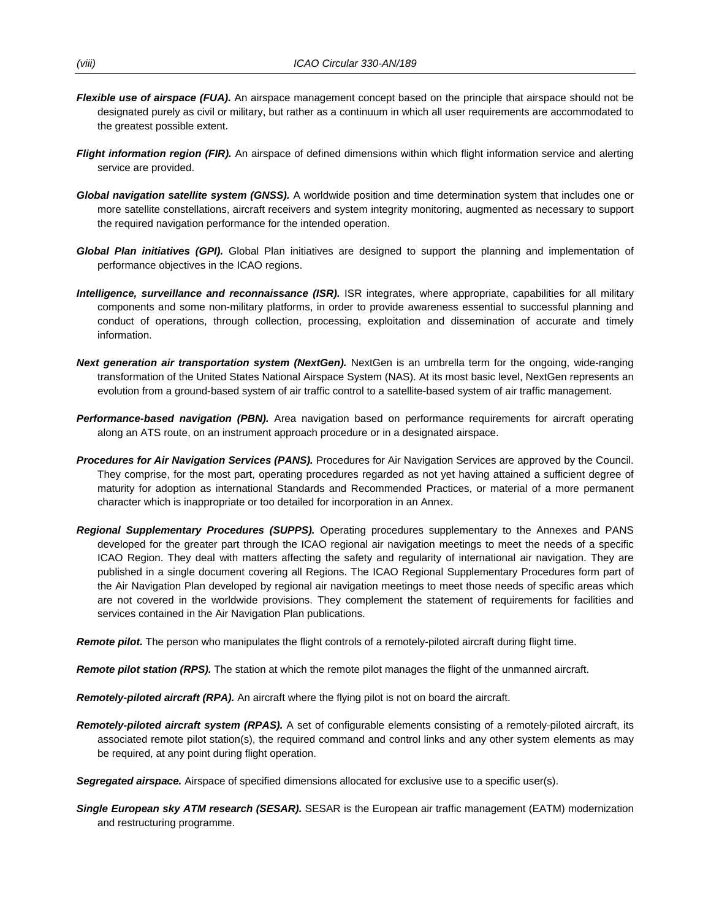- *Flexible use of airspace (FUA).* An airspace management concept based on the principle that airspace should not be designated purely as civil or military, but rather as a continuum in which all user requirements are accommodated to the greatest possible extent.
- *Flight information region (FIR).* An airspace of defined dimensions within which flight information service and alerting service are provided.
- *Global navigation satellite system (GNSS).* A worldwide position and time determination system that includes one or more satellite constellations, aircraft receivers and system integrity monitoring, augmented as necessary to support the required navigation performance for the intended operation.
- *Global Plan initiatives (GPI).* Global Plan initiatives are designed to support the planning and implementation of performance objectives in the ICAO regions.
- *Intelligence, surveillance and reconnaissance (ISR).* ISR integrates, where appropriate, capabilities for all military components and some non-military platforms, in order to provide awareness essential to successful planning and conduct of operations, through collection, processing, exploitation and dissemination of accurate and timely information.
- *Next generation air transportation system (NextGen).* NextGen is an umbrella term for the ongoing, wide-ranging transformation of the United States National Airspace System (NAS). At its most basic level, NextGen represents an evolution from a ground-based system of air traffic control to a satellite-based system of air traffic management.
- *Performance-based navigation (PBN).* Area navigation based on performance requirements for aircraft operating along an ATS route, on an instrument approach procedure or in a designated airspace.
- *Procedures for Air Navigation Services (PANS).* Procedures for Air Navigation Services are approved by the Council. They comprise, for the most part, operating procedures regarded as not yet having attained a sufficient degree of maturity for adoption as international Standards and Recommended Practices, or material of a more permanent character which is inappropriate or too detailed for incorporation in an Annex.
- *Regional Supplementary Procedures (SUPPS).* Operating procedures supplementary to the Annexes and PANS developed for the greater part through the ICAO regional air navigation meetings to meet the needs of a specific ICAO Region. They deal with matters affecting the safety and regularity of international air navigation. They are published in a single document covering all Regions. The ICAO Regional Supplementary Procedures form part of the Air Navigation Plan developed by regional air navigation meetings to meet those needs of specific areas which are not covered in the worldwide provisions. They complement the statement of requirements for facilities and services contained in the Air Navigation Plan publications.

*Remote pilot.* The person who manipulates the flight controls of a remotely-piloted aircraft during flight time.

*Remote pilot station (RPS).* The station at which the remote pilot manages the flight of the unmanned aircraft.

- *Remotely-piloted aircraft (RPA).* An aircraft where the flying pilot is not on board the aircraft.
- *Remotely-piloted aircraft system (RPAS).* A set of configurable elements consisting of a remotely-piloted aircraft, its associated remote pilot station(s), the required command and control links and any other system elements as may be required, at any point during flight operation.

**Segregated airspace.** Airspace of specified dimensions allocated for exclusive use to a specific user(s).

*Single European sky ATM research (SESAR).* SESAR is the European air traffic management (EATM) modernization and restructuring programme.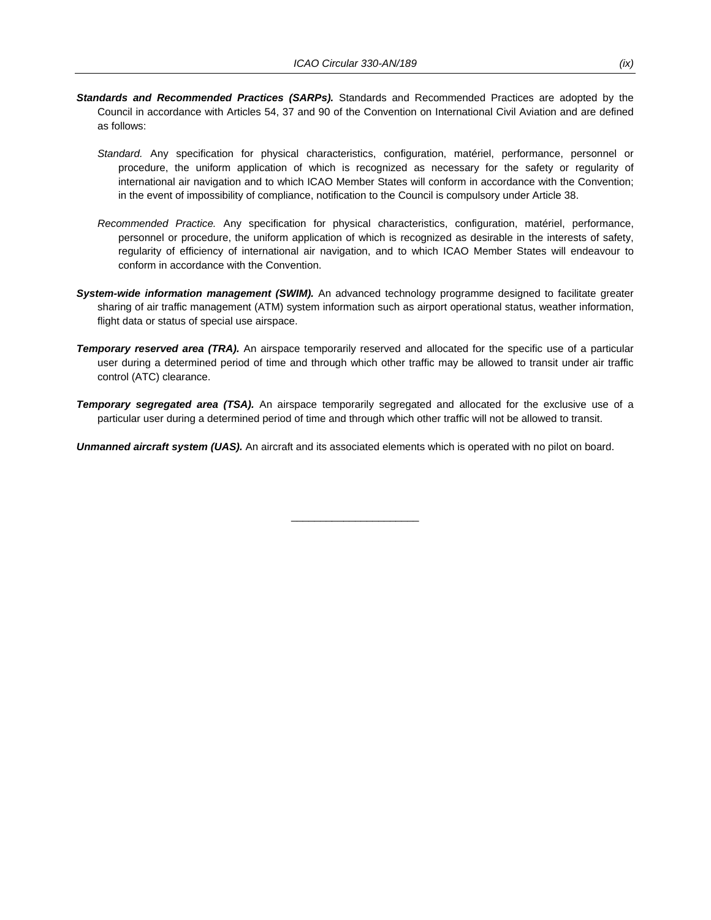- *Standards and Recommended Practices (SARPs).* Standards and Recommended Practices are adopted by the Council in accordance with Articles 54, 37 and 90 of the Convention on International Civil Aviation and are defined as follows:
	- *Standard.* Any specification for physical characteristics, configuration, matériel, performance, personnel or procedure, the uniform application of which is recognized as necessary for the safety or regularity of international air navigation and to which ICAO Member States will conform in accordance with the Convention; in the event of impossibility of compliance, notification to the Council is compulsory under Article 38.
	- *Recommended Practice.* Any specification for physical characteristics, configuration, matériel, performance, personnel or procedure, the uniform application of which is recognized as desirable in the interests of safety, regularity of efficiency of international air navigation, and to which ICAO Member States will endeavour to conform in accordance with the Convention.
- *System-wide information management (SWIM).* An advanced technology programme designed to facilitate greater sharing of air traffic management (ATM) system information such as airport operational status, weather information, flight data or status of special use airspace.
- *Temporary reserved area (TRA).* An airspace temporarily reserved and allocated for the specific use of a particular user during a determined period of time and through which other traffic may be allowed to transit under air traffic control (ATC) clearance.
- **Temporary segregated area (TSA).** An airspace temporarily segregated and allocated for the exclusive use of a particular user during a determined period of time and through which other traffic will not be allowed to transit.

 $\overline{\phantom{a}}$  , and the set of the set of the set of the set of the set of the set of the set of the set of the set of the set of the set of the set of the set of the set of the set of the set of the set of the set of the s

*Unmanned aircraft system (UAS).* An aircraft and its associated elements which is operated with no pilot on board.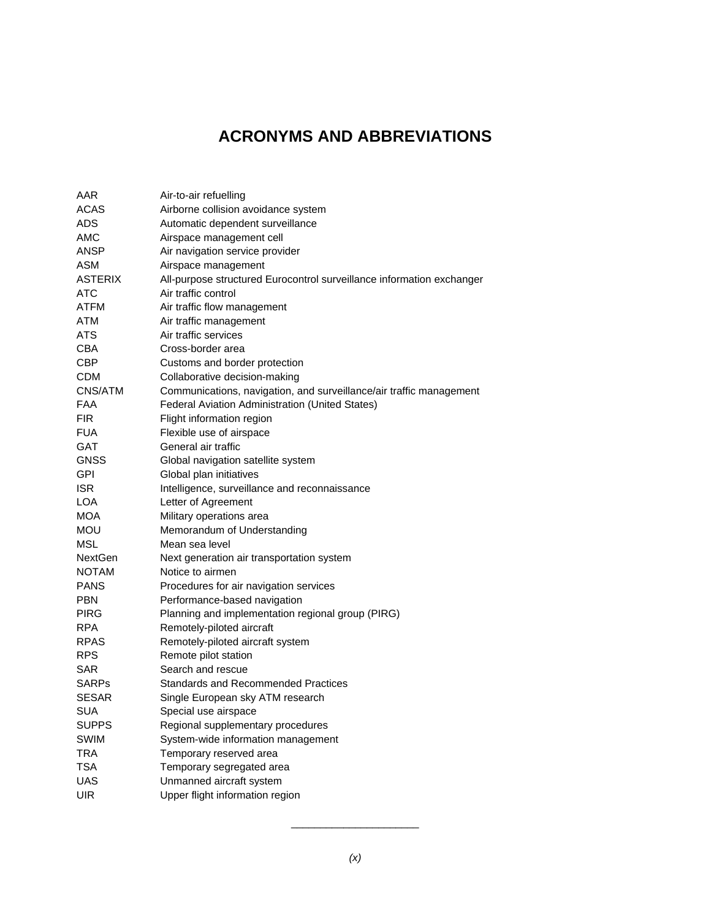## **ACRONYMS AND ABBREVIATIONS**

| AAR            | Air-to-air refuelling                                                 |
|----------------|-----------------------------------------------------------------------|
| <b>ACAS</b>    | Airborne collision avoidance system                                   |
| <b>ADS</b>     | Automatic dependent surveillance                                      |
| <b>AMC</b>     | Airspace management cell                                              |
| <b>ANSP</b>    | Air navigation service provider                                       |
| <b>ASM</b>     | Airspace management                                                   |
| <b>ASTERIX</b> | All-purpose structured Eurocontrol surveillance information exchanger |
| <b>ATC</b>     | Air traffic control                                                   |
| <b>ATFM</b>    | Air traffic flow management                                           |
| <b>ATM</b>     | Air traffic management                                                |
| <b>ATS</b>     | Air traffic services                                                  |
| <b>CBA</b>     | Cross-border area                                                     |
| <b>CBP</b>     | Customs and border protection                                         |
| CDM            | Collaborative decision-making                                         |
| CNS/ATM        | Communications, navigation, and surveillance/air traffic management   |
| <b>FAA</b>     | Federal Aviation Administration (United States)                       |
| <b>FIR</b>     | Flight information region                                             |
| <b>FUA</b>     | Flexible use of airspace                                              |
| <b>GAT</b>     | General air traffic                                                   |
| <b>GNSS</b>    | Global navigation satellite system                                    |
| <b>GPI</b>     | Global plan initiatives                                               |
| <b>ISR</b>     | Intelligence, surveillance and reconnaissance                         |
| <b>LOA</b>     | Letter of Agreement                                                   |
| <b>MOA</b>     | Military operations area                                              |
| <b>MOU</b>     | Memorandum of Understanding                                           |
| <b>MSL</b>     | Mean sea level                                                        |
| <b>NextGen</b> | Next generation air transportation system                             |
| <b>NOTAM</b>   | Notice to airmen                                                      |
| <b>PANS</b>    | Procedures for air navigation services                                |
| <b>PBN</b>     | Performance-based navigation                                          |
| PIRG           | Planning and implementation regional group (PIRG)                     |
| <b>RPA</b>     | Remotely-piloted aircraft                                             |
| <b>RPAS</b>    | Remotely-piloted aircraft system                                      |
| <b>RPS</b>     | Remote pilot station                                                  |
| <b>SAR</b>     | Search and rescue                                                     |
| <b>SARPs</b>   | <b>Standards and Recommended Practices</b>                            |
| <b>SESAR</b>   | Single European sky ATM research                                      |
| <b>SUA</b>     | Special use airspace                                                  |
| <b>SUPPS</b>   | Regional supplementary procedures                                     |
| SWIM           | System-wide information management                                    |
| TRA            | Temporary reserved area                                               |
| <b>TSA</b>     | Temporary segregated area                                             |
| <b>UAS</b>     | Unmanned aircraft system                                              |
| <b>UIR</b>     | Upper flight information region                                       |

 $\overline{\phantom{a}}$  , and the set of the set of the set of the set of the set of the set of the set of the set of the set of the set of the set of the set of the set of the set of the set of the set of the set of the set of the s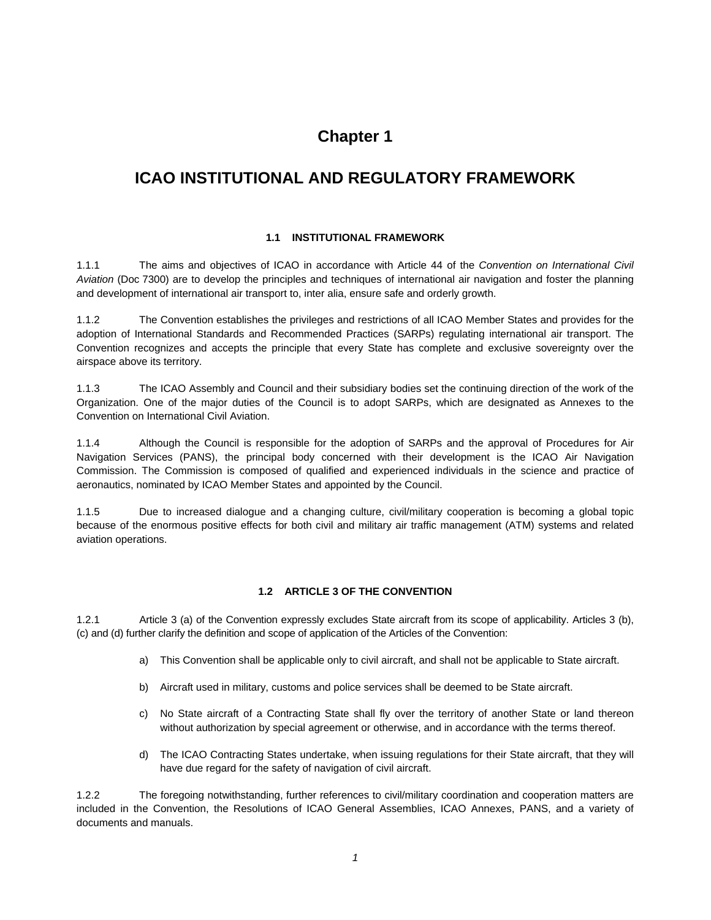## **Chapter 1**

## **ICAO INSTITUTIONAL AND REGULATORY FRAMEWORK**

#### **1.1 INSTITUTIONAL FRAMEWORK**

1.1.1 The aims and objectives of ICAO in accordance with Article 44 of the *Convention on International Civil Aviation* (Doc 7300) are to develop the principles and techniques of international air navigation and foster the planning and development of international air transport to, inter alia, ensure safe and orderly growth.

1.1.2 The Convention establishes the privileges and restrictions of all ICAO Member States and provides for the adoption of International Standards and Recommended Practices (SARPs) regulating international air transport. The Convention recognizes and accepts the principle that every State has complete and exclusive sovereignty over the airspace above its territory.

1.1.3 The ICAO Assembly and Council and their subsidiary bodies set the continuing direction of the work of the Organization. One of the major duties of the Council is to adopt SARPs, which are designated as Annexes to the Convention on International Civil Aviation.

1.1.4 Although the Council is responsible for the adoption of SARPs and the approval of Procedures for Air Navigation Services (PANS), the principal body concerned with their development is the ICAO Air Navigation Commission. The Commission is composed of qualified and experienced individuals in the science and practice of aeronautics, nominated by ICAO Member States and appointed by the Council.

1.1.5 Due to increased dialogue and a changing culture, civil/military cooperation is becoming a global topic because of the enormous positive effects for both civil and military air traffic management (ATM) systems and related aviation operations.

#### **1.2 ARTICLE 3 OF THE CONVENTION**

1.2.1 Article 3 (a) of the Convention expressly excludes State aircraft from its scope of applicability. Articles 3 (b), (c) and (d) further clarify the definition and scope of application of the Articles of the Convention:

- a) This Convention shall be applicable only to civil aircraft, and shall not be applicable to State aircraft.
- b) Aircraft used in military, customs and police services shall be deemed to be State aircraft.
- c) No State aircraft of a Contracting State shall fly over the territory of another State or land thereon without authorization by special agreement or otherwise, and in accordance with the terms thereof.
- d) The ICAO Contracting States undertake, when issuing regulations for their State aircraft, that they will have due regard for the safety of navigation of civil aircraft.

1.2.2 The foregoing notwithstanding, further references to civil/military coordination and cooperation matters are included in the Convention, the Resolutions of ICAO General Assemblies, ICAO Annexes, PANS, and a variety of documents and manuals.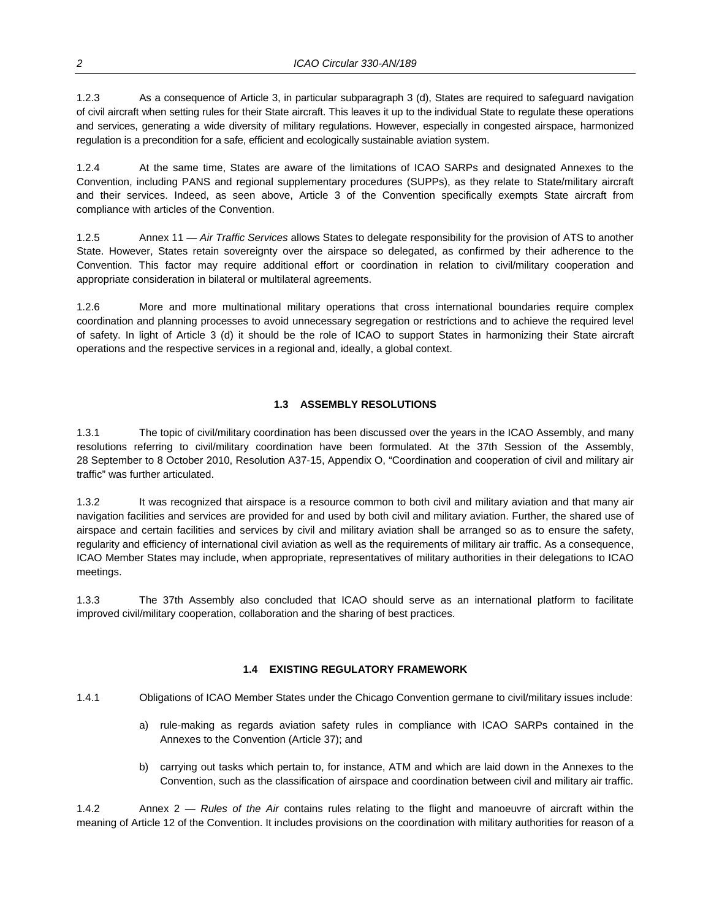1.2.3 As a consequence of Article 3, in particular subparagraph 3 (d), States are required to safeguard navigation of civil aircraft when setting rules for their State aircraft. This leaves it up to the individual State to regulate these operations and services, generating a wide diversity of military regulations. However, especially in congested airspace, harmonized regulation is a precondition for a safe, efficient and ecologically sustainable aviation system.

1.2.4 At the same time, States are aware of the limitations of ICAO SARPs and designated Annexes to the Convention, including PANS and regional supplementary procedures (SUPPs), as they relate to State/military aircraft and their services. Indeed, as seen above, Article 3 of the Convention specifically exempts State aircraft from compliance with articles of the Convention.

1.2.5 Annex 11 — *Air Traffic Services* allows States to delegate responsibility for the provision of ATS to another State. However, States retain sovereignty over the airspace so delegated, as confirmed by their adherence to the Convention. This factor may require additional effort or coordination in relation to civil/military cooperation and appropriate consideration in bilateral or multilateral agreements.

1.2.6 More and more multinational military operations that cross international boundaries require complex coordination and planning processes to avoid unnecessary segregation or restrictions and to achieve the required level of safety. In light of Article 3 (d) it should be the role of ICAO to support States in harmonizing their State aircraft operations and the respective services in a regional and, ideally, a global context.

#### **1.3 ASSEMBLY RESOLUTIONS**

1.3.1 The topic of civil/military coordination has been discussed over the years in the ICAO Assembly, and many resolutions referring to civil/military coordination have been formulated. At the 37th Session of the Assembly, 28 September to 8 October 2010, Resolution A37-15, Appendix O, "Coordination and cooperation of civil and military air traffic" was further articulated.

1.3.2 It was recognized that airspace is a resource common to both civil and military aviation and that many air navigation facilities and services are provided for and used by both civil and military aviation. Further, the shared use of airspace and certain facilities and services by civil and military aviation shall be arranged so as to ensure the safety, regularity and efficiency of international civil aviation as well as the requirements of military air traffic. As a consequence, ICAO Member States may include, when appropriate, representatives of military authorities in their delegations to ICAO meetings.

1.3.3 The 37th Assembly also concluded that ICAO should serve as an international platform to facilitate improved civil/military cooperation, collaboration and the sharing of best practices.

#### **1.4 EXISTING REGULATORY FRAMEWORK**

1.4.1 Obligations of ICAO Member States under the Chicago Convention germane to civil/military issues include:

- a) rule-making as regards aviation safety rules in compliance with ICAO SARPs contained in the Annexes to the Convention (Article 37); and
- b) carrying out tasks which pertain to, for instance, ATM and which are laid down in the Annexes to the Convention, such as the classification of airspace and coordination between civil and military air traffic.

1.4.2 Annex 2 — *Rules of the Air* contains rules relating to the flight and manoeuvre of aircraft within the meaning of Article 12 of the Convention. It includes provisions on the coordination with military authorities for reason of a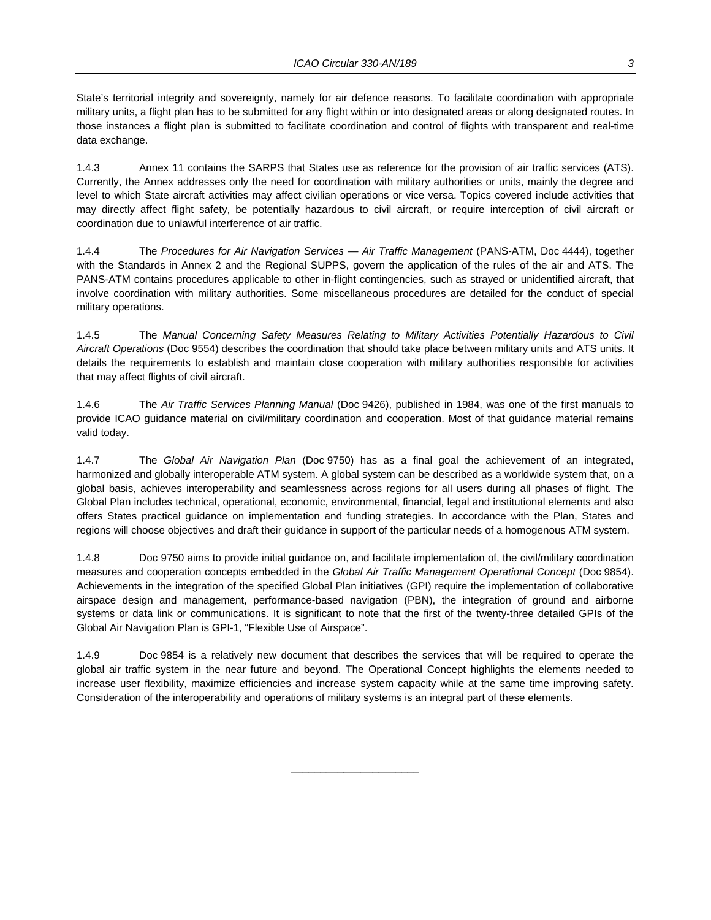State's territorial integrity and sovereignty, namely for air defence reasons. To facilitate coordination with appropriate military units, a flight plan has to be submitted for any flight within or into designated areas or along designated routes. In those instances a flight plan is submitted to facilitate coordination and control of flights with transparent and real-time data exchange.

1.4.3 Annex 11 contains the SARPS that States use as reference for the provision of air traffic services (ATS). Currently, the Annex addresses only the need for coordination with military authorities or units, mainly the degree and level to which State aircraft activities may affect civilian operations or vice versa. Topics covered include activities that may directly affect flight safety, be potentially hazardous to civil aircraft, or require interception of civil aircraft or coordination due to unlawful interference of air traffic.

1.4.4 The *Procedures for Air Navigation Services — Air Traffic Management* (PANS-ATM, Doc 4444), together with the Standards in Annex 2 and the Regional SUPPS, govern the application of the rules of the air and ATS. The PANS-ATM contains procedures applicable to other in-flight contingencies, such as strayed or unidentified aircraft, that involve coordination with military authorities. Some miscellaneous procedures are detailed for the conduct of special military operations.

1.4.5 The *Manual Concerning Safety Measures Relating to Military Activities Potentially Hazardous to Civil Aircraft Operations* (Doc 9554) describes the coordination that should take place between military units and ATS units. It details the requirements to establish and maintain close cooperation with military authorities responsible for activities that may affect flights of civil aircraft.

1.4.6 The *Air Traffic Services Planning Manual* (Doc 9426), published in 1984, was one of the first manuals to provide ICAO guidance material on civil/military coordination and cooperation. Most of that guidance material remains valid today.

1.4.7 The *Global Air Navigation Plan* (Doc 9750) has as a final goal the achievement of an integrated, harmonized and globally interoperable ATM system. A global system can be described as a worldwide system that, on a global basis, achieves interoperability and seamlessness across regions for all users during all phases of flight. The Global Plan includes technical, operational, economic, environmental, financial, legal and institutional elements and also offers States practical guidance on implementation and funding strategies. In accordance with the Plan, States and regions will choose objectives and draft their guidance in support of the particular needs of a homogenous ATM system.

1.4.8 Doc 9750 aims to provide initial guidance on, and facilitate implementation of, the civil/military coordination measures and cooperation concepts embedded in the *Global Air Traffic Management Operational Concept* (Doc 9854). Achievements in the integration of the specified Global Plan initiatives (GPI) require the implementation of collaborative airspace design and management, performance-based navigation (PBN), the integration of ground and airborne systems or data link or communications. It is significant to note that the first of the twenty-three detailed GPIs of the Global Air Navigation Plan is GPI-1, "Flexible Use of Airspace".

1.4.9 Doc 9854 is a relatively new document that describes the services that will be required to operate the global air traffic system in the near future and beyond. The Operational Concept highlights the elements needed to increase user flexibility, maximize efficiencies and increase system capacity while at the same time improving safety. Consideration of the interoperability and operations of military systems is an integral part of these elements.

 $\overline{\phantom{a}}$  , and the set of the set of the set of the set of the set of the set of the set of the set of the set of the set of the set of the set of the set of the set of the set of the set of the set of the set of the s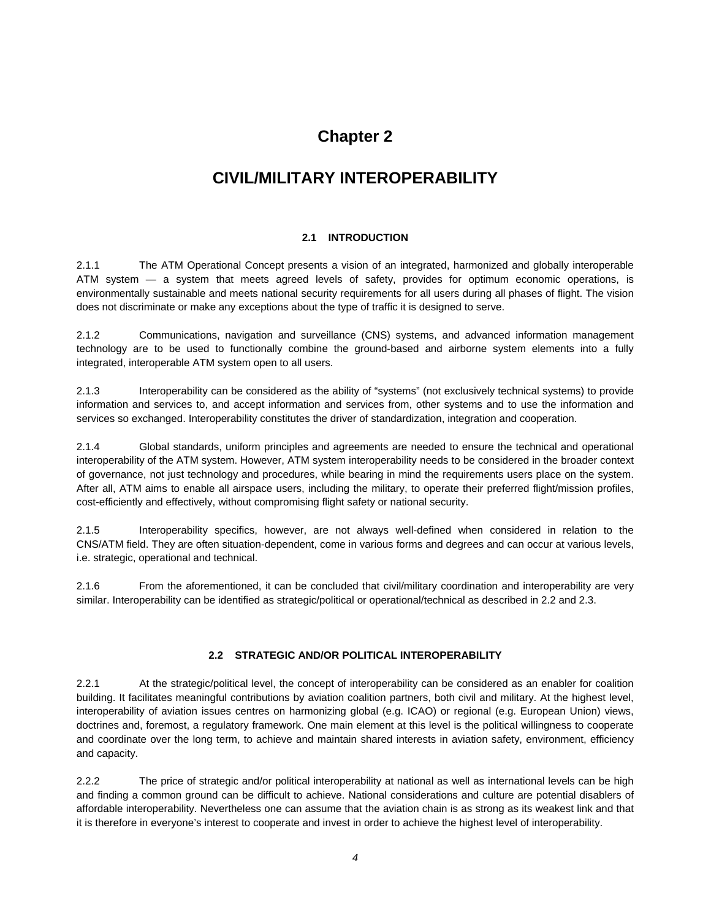## **Chapter 2**

## **CIVIL/MILITARY INTEROPERABILITY**

#### **2.1 INTRODUCTION**

2.1.1 The ATM Operational Concept presents a vision of an integrated, harmonized and globally interoperable ATM system — a system that meets agreed levels of safety, provides for optimum economic operations, is environmentally sustainable and meets national security requirements for all users during all phases of flight. The vision does not discriminate or make any exceptions about the type of traffic it is designed to serve.

2.1.2 Communications, navigation and surveillance (CNS) systems, and advanced information management technology are to be used to functionally combine the ground-based and airborne system elements into a fully integrated, interoperable ATM system open to all users.

2.1.3 Interoperability can be considered as the ability of "systems" (not exclusively technical systems) to provide information and services to, and accept information and services from, other systems and to use the information and services so exchanged. Interoperability constitutes the driver of standardization, integration and cooperation.

2.1.4 Global standards, uniform principles and agreements are needed to ensure the technical and operational interoperability of the ATM system. However, ATM system interoperability needs to be considered in the broader context of governance, not just technology and procedures, while bearing in mind the requirements users place on the system. After all, ATM aims to enable all airspace users, including the military, to operate their preferred flight/mission profiles, cost-efficiently and effectively, without compromising flight safety or national security.

2.1.5 Interoperability specifics, however, are not always well-defined when considered in relation to the CNS/ATM field. They are often situation-dependent, come in various forms and degrees and can occur at various levels, i.e. strategic, operational and technical.

2.1.6 From the aforementioned, it can be concluded that civil/military coordination and interoperability are very similar. Interoperability can be identified as strategic/political or operational/technical as described in 2.2 and 2.3.

#### **2.2 STRATEGIC AND/OR POLITICAL INTEROPERABILITY**

2.2.1 At the strategic/political level, the concept of interoperability can be considered as an enabler for coalition building. It facilitates meaningful contributions by aviation coalition partners, both civil and military. At the highest level, interoperability of aviation issues centres on harmonizing global (e.g. ICAO) or regional (e.g. European Union) views, doctrines and, foremost, a regulatory framework. One main element at this level is the political willingness to cooperate and coordinate over the long term, to achieve and maintain shared interests in aviation safety, environment, efficiency and capacity.

2.2.2 The price of strategic and/or political interoperability at national as well as international levels can be high and finding a common ground can be difficult to achieve. National considerations and culture are potential disablers of affordable interoperability. Nevertheless one can assume that the aviation chain is as strong as its weakest link and that it is therefore in everyone's interest to cooperate and invest in order to achieve the highest level of interoperability.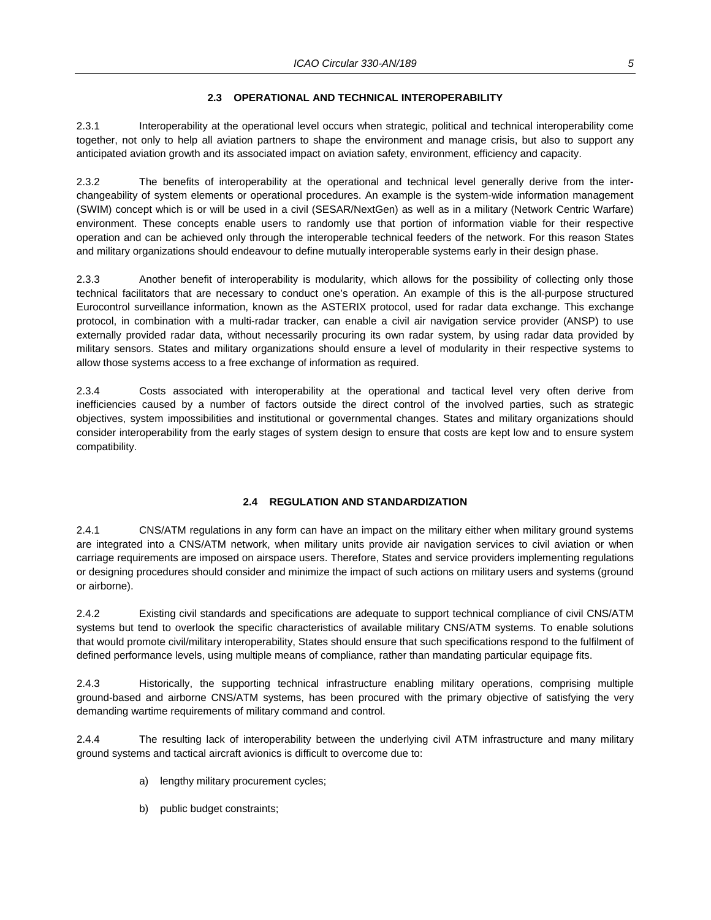#### **2.3 OPERATIONAL AND TECHNICAL INTEROPERABILITY**

2.3.1 Interoperability at the operational level occurs when strategic, political and technical interoperability come together, not only to help all aviation partners to shape the environment and manage crisis, but also to support any anticipated aviation growth and its associated impact on aviation safety, environment, efficiency and capacity.

2.3.2 The benefits of interoperability at the operational and technical level generally derive from the interchangeability of system elements or operational procedures. An example is the system-wide information management (SWIM) concept which is or will be used in a civil (SESAR/NextGen) as well as in a military (Network Centric Warfare) environment. These concepts enable users to randomly use that portion of information viable for their respective operation and can be achieved only through the interoperable technical feeders of the network. For this reason States and military organizations should endeavour to define mutually interoperable systems early in their design phase.

2.3.3 Another benefit of interoperability is modularity, which allows for the possibility of collecting only those technical facilitators that are necessary to conduct one's operation. An example of this is the all-purpose structured Eurocontrol surveillance information, known as the ASTERIX protocol, used for radar data exchange. This exchange protocol, in combination with a multi-radar tracker, can enable a civil air navigation service provider (ANSP) to use externally provided radar data, without necessarily procuring its own radar system, by using radar data provided by military sensors. States and military organizations should ensure a level of modularity in their respective systems to allow those systems access to a free exchange of information as required.

2.3.4 Costs associated with interoperability at the operational and tactical level very often derive from inefficiencies caused by a number of factors outside the direct control of the involved parties, such as strategic objectives, system impossibilities and institutional or governmental changes. States and military organizations should consider interoperability from the early stages of system design to ensure that costs are kept low and to ensure system compatibility.

#### **2.4 REGULATION AND STANDARDIZATION**

2.4.1 CNS/ATM regulations in any form can have an impact on the military either when military ground systems are integrated into a CNS/ATM network, when military units provide air navigation services to civil aviation or when carriage requirements are imposed on airspace users. Therefore, States and service providers implementing regulations or designing procedures should consider and minimize the impact of such actions on military users and systems (ground or airborne).

2.4.2 Existing civil standards and specifications are adequate to support technical compliance of civil CNS/ATM systems but tend to overlook the specific characteristics of available military CNS/ATM systems. To enable solutions that would promote civil/military interoperability, States should ensure that such specifications respond to the fulfilment of defined performance levels, using multiple means of compliance, rather than mandating particular equipage fits.

2.4.3 Historically, the supporting technical infrastructure enabling military operations, comprising multiple ground-based and airborne CNS/ATM systems, has been procured with the primary objective of satisfying the very demanding wartime requirements of military command and control.

2.4.4 The resulting lack of interoperability between the underlying civil ATM infrastructure and many military ground systems and tactical aircraft avionics is difficult to overcome due to:

- a) lengthy military procurement cycles;
- b) public budget constraints;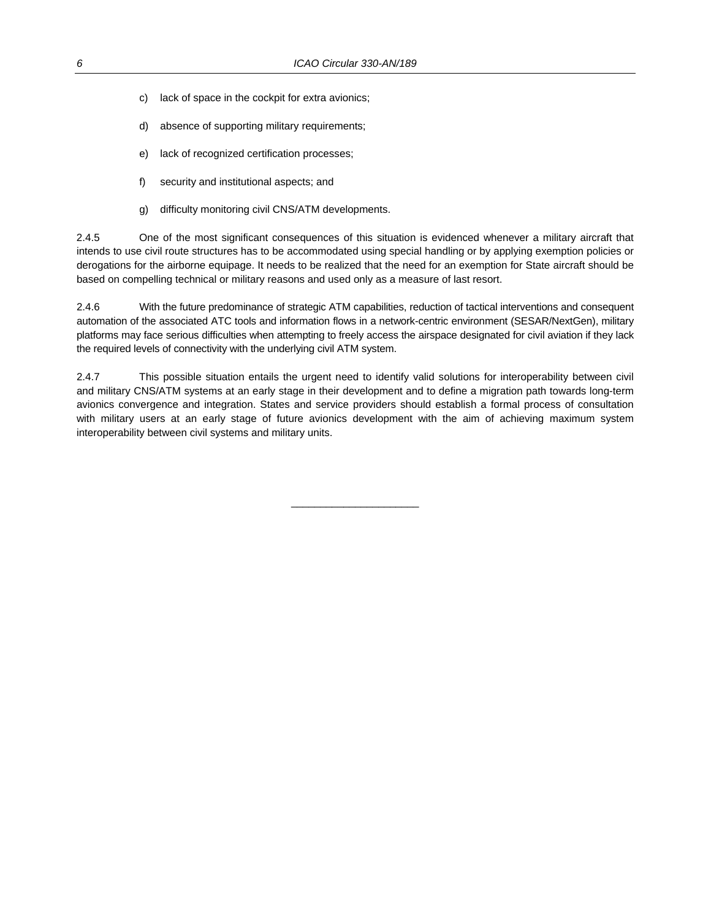- c) lack of space in the cockpit for extra avionics;
- d) absence of supporting military requirements;
- e) lack of recognized certification processes;
- f) security and institutional aspects; and
- g) difficulty monitoring civil CNS/ATM developments.

2.4.5 One of the most significant consequences of this situation is evidenced whenever a military aircraft that intends to use civil route structures has to be accommodated using special handling or by applying exemption policies or derogations for the airborne equipage. It needs to be realized that the need for an exemption for State aircraft should be based on compelling technical or military reasons and used only as a measure of last resort.

2.4.6 With the future predominance of strategic ATM capabilities, reduction of tactical interventions and consequent automation of the associated ATC tools and information flows in a network-centric environment (SESAR/NextGen), military platforms may face serious difficulties when attempting to freely access the airspace designated for civil aviation if they lack the required levels of connectivity with the underlying civil ATM system.

2.4.7 This possible situation entails the urgent need to identify valid solutions for interoperability between civil and military CNS/ATM systems at an early stage in their development and to define a migration path towards long-term avionics convergence and integration. States and service providers should establish a formal process of consultation with military users at an early stage of future avionics development with the aim of achieving maximum system interoperability between civil systems and military units.

 $\overline{\phantom{a}}$  , and the set of the set of the set of the set of the set of the set of the set of the set of the set of the set of the set of the set of the set of the set of the set of the set of the set of the set of the s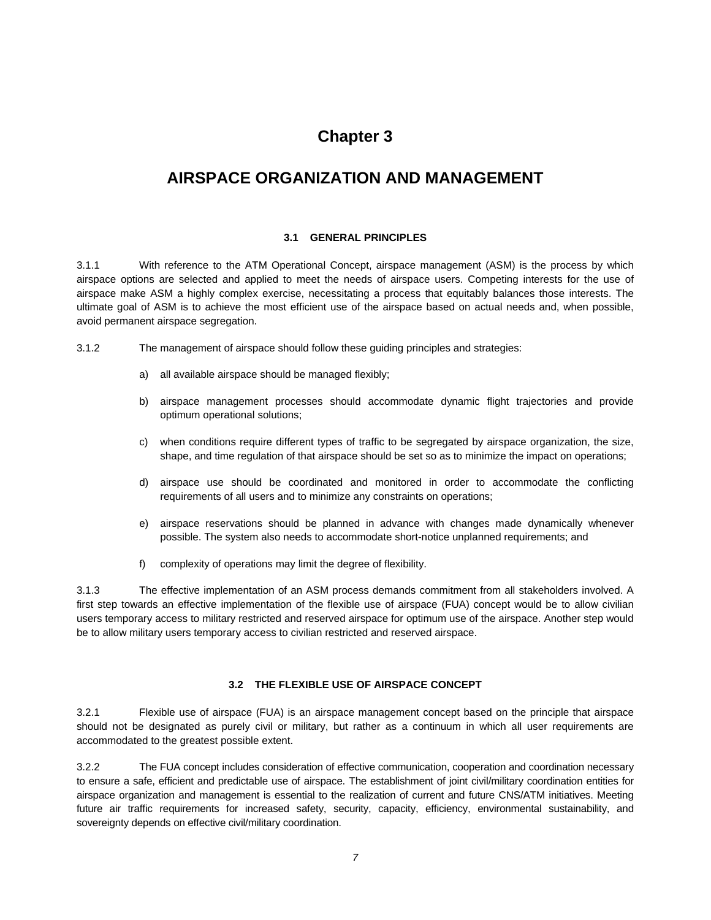## **Chapter 3**

## **AIRSPACE ORGANIZATION AND MANAGEMENT**

#### **3.1 GENERAL PRINCIPLES**

3.1.1 With reference to the ATM Operational Concept, airspace management (ASM) is the process by which airspace options are selected and applied to meet the needs of airspace users. Competing interests for the use of airspace make ASM a highly complex exercise, necessitating a process that equitably balances those interests. The ultimate goal of ASM is to achieve the most efficient use of the airspace based on actual needs and, when possible, avoid permanent airspace segregation.

- 3.1.2 The management of airspace should follow these guiding principles and strategies:
	- a) all available airspace should be managed flexibly;
	- b) airspace management processes should accommodate dynamic flight trajectories and provide optimum operational solutions;
	- c) when conditions require different types of traffic to be segregated by airspace organization, the size, shape, and time regulation of that airspace should be set so as to minimize the impact on operations;
	- d) airspace use should be coordinated and monitored in order to accommodate the conflicting requirements of all users and to minimize any constraints on operations;
	- e) airspace reservations should be planned in advance with changes made dynamically whenever possible. The system also needs to accommodate short-notice unplanned requirements; and
	- f) complexity of operations may limit the degree of flexibility.

3.1.3 The effective implementation of an ASM process demands commitment from all stakeholders involved. A first step towards an effective implementation of the flexible use of airspace (FUA) concept would be to allow civilian users temporary access to military restricted and reserved airspace for optimum use of the airspace. Another step would be to allow military users temporary access to civilian restricted and reserved airspace.

#### **3.2 THE FLEXIBLE USE OF AIRSPACE CONCEPT**

3.2.1 Flexible use of airspace (FUA) is an airspace management concept based on the principle that airspace should not be designated as purely civil or military, but rather as a continuum in which all user requirements are accommodated to the greatest possible extent.

3.2.2 The FUA concept includes consideration of effective communication, cooperation and coordination necessary to ensure a safe, efficient and predictable use of airspace. The establishment of joint civil/military coordination entities for airspace organization and management is essential to the realization of current and future CNS/ATM initiatives. Meeting future air traffic requirements for increased safety, security, capacity, efficiency, environmental sustainability, and sovereignty depends on effective civil/military coordination.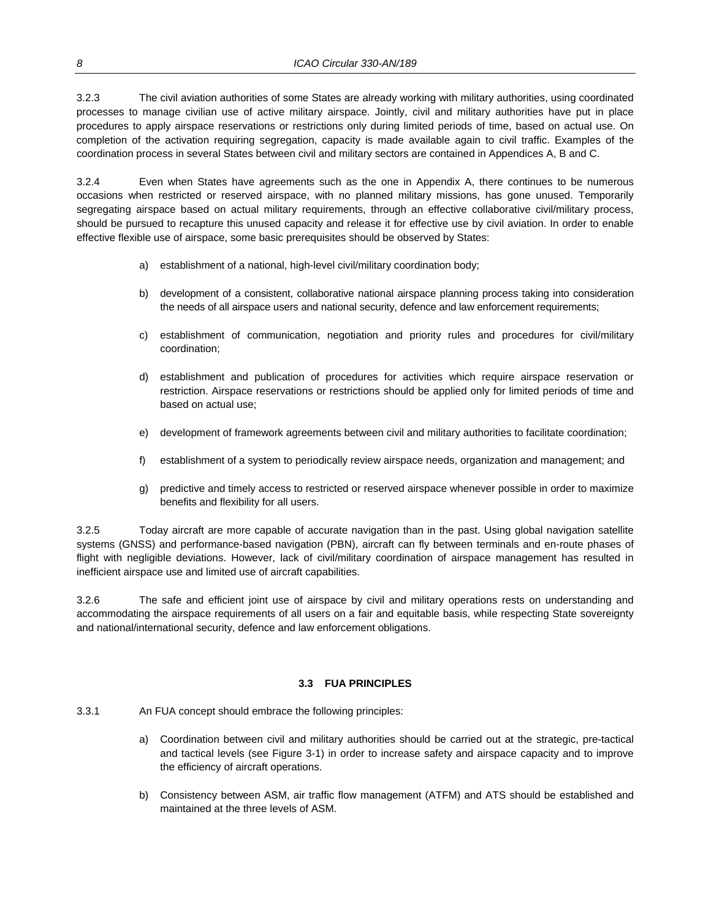3.2.3 The civil aviation authorities of some States are already working with military authorities, using coordinated processes to manage civilian use of active military airspace. Jointly, civil and military authorities have put in place procedures to apply airspace reservations or restrictions only during limited periods of time, based on actual use. On completion of the activation requiring segregation, capacity is made available again to civil traffic. Examples of the coordination process in several States between civil and military sectors are contained in Appendices A, B and C.

3.2.4 Even when States have agreements such as the one in Appendix A, there continues to be numerous occasions when restricted or reserved airspace, with no planned military missions, has gone unused. Temporarily segregating airspace based on actual military requirements, through an effective collaborative civil/military process, should be pursued to recapture this unused capacity and release it for effective use by civil aviation. In order to enable effective flexible use of airspace, some basic prerequisites should be observed by States:

- a) establishment of a national, high-level civil/military coordination body;
- b) development of a consistent, collaborative national airspace planning process taking into consideration the needs of all airspace users and national security, defence and law enforcement requirements;
- c) establishment of communication, negotiation and priority rules and procedures for civil/military coordination;
- d) establishment and publication of procedures for activities which require airspace reservation or restriction. Airspace reservations or restrictions should be applied only for limited periods of time and based on actual use;
- e) development of framework agreements between civil and military authorities to facilitate coordination;
- f) establishment of a system to periodically review airspace needs, organization and management; and
- g) predictive and timely access to restricted or reserved airspace whenever possible in order to maximize benefits and flexibility for all users.

3.2.5 Today aircraft are more capable of accurate navigation than in the past. Using global navigation satellite systems (GNSS) and performance-based navigation (PBN), aircraft can fly between terminals and en-route phases of flight with negligible deviations. However, lack of civil/military coordination of airspace management has resulted in inefficient airspace use and limited use of aircraft capabilities.

3.2.6 The safe and efficient joint use of airspace by civil and military operations rests on understanding and accommodating the airspace requirements of all users on a fair and equitable basis, while respecting State sovereignty and national/international security, defence and law enforcement obligations.

#### **3.3 FUA PRINCIPLES**

- 3.3.1 An FUA concept should embrace the following principles:
	- a) Coordination between civil and military authorities should be carried out at the strategic, pre-tactical and tactical levels (see Figure 3-1) in order to increase safety and airspace capacity and to improve the efficiency of aircraft operations.
	- b) Consistency between ASM, air traffic flow management (ATFM) and ATS should be established and maintained at the three levels of ASM.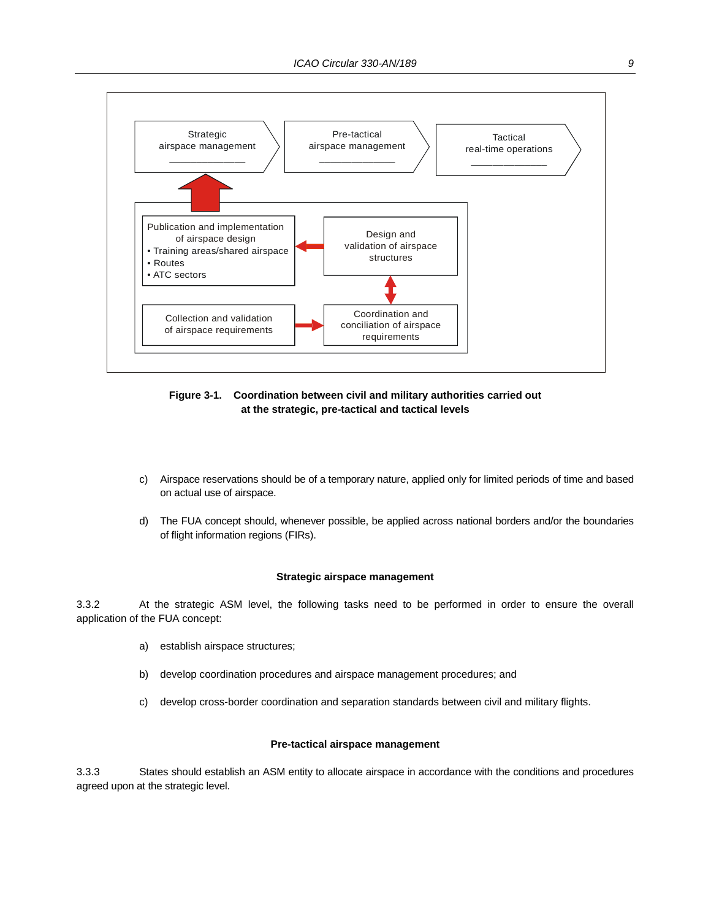

**Figure 3-1. Coordination between civil and military authorities carried out at the strategic, pre-tactical and tactical levels**

- c) Airspace reservations should be of a temporary nature, applied only for limited periods of time and based on actual use of airspace.
- d) The FUA concept should, whenever possible, be applied across national borders and/or the boundaries of flight information regions (FIRs).

#### **Strategic airspace management**

3.3.2 At the strategic ASM level, the following tasks need to be performed in order to ensure the overall application of the FUA concept:

- a) establish airspace structures;
- b) develop coordination procedures and airspace management procedures; and
- c) develop cross-border coordination and separation standards between civil and military flights.

#### **Pre-tactical airspace management**

3.3.3 States should establish an ASM entity to allocate airspace in accordance with the conditions and procedures agreed upon at the strategic level.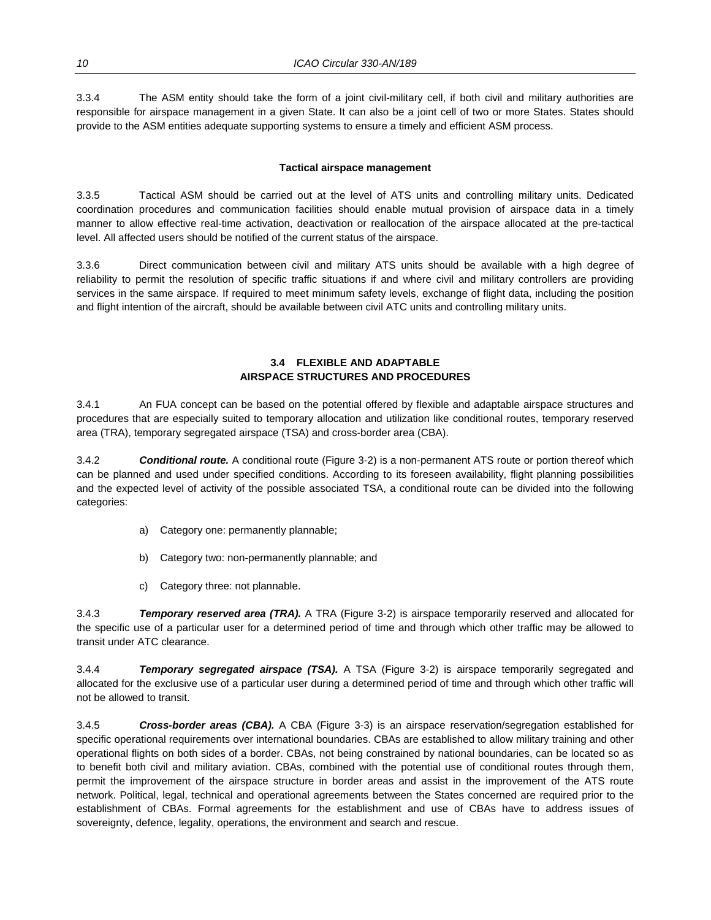3.3.4 The ASM entity should take the form of a joint civil-military cell, if both civil and military authorities are responsible for airspace management in a given State. It can also be a joint cell of two or more States. States should provide to the ASM entities adequate supporting systems to ensure a timely and efficient ASM process.

#### **Tactical airspace management**

3.3.5 Tactical ASM should be carried out at the level of ATS units and controlling military units. Dedicated coordination procedures and communication facilities should enable mutual provision of airspace data in a timely manner to allow effective real-time activation, deactivation or reallocation of the airspace allocated at the pre-tactical level. All affected users should be notified of the current status of the airspace.

3.3.6 Direct communication between civil and military ATS units should be available with a high degree of reliability to permit the resolution of specific traffic situations if and where civil and military controllers are providing services in the same airspace. If required to meet minimum safety levels, exchange of flight data, including the position and flight intention of the aircraft, should be available between civil ATC units and controlling military units.

#### **3.4 FLEXIBLE AND ADAPTABLE AIRSPACE STRUCTURES AND PROCEDURES**

3.4.1 An FUA concept can be based on the potential offered by flexible and adaptable airspace structures and procedures that are especially suited to temporary allocation and utilization like conditional routes, temporary reserved area (TRA), temporary segregated airspace (TSA) and cross-border area (CBA).

3.4.2 *Conditional route.* A conditional route (Figure 3-2) is a non-permanent ATS route or portion thereof which can be planned and used under specified conditions. According to its foreseen availability, flight planning possibilities and the expected level of activity of the possible associated TSA, a conditional route can be divided into the following categories:

- a) Category one: permanently plannable;
- b) Category two: non-permanently plannable; and
- c) Category three: not plannable.

3.4.3 *Temporary reserved area (TRA).* A TRA (Figure 3-2) is airspace temporarily reserved and allocated for the specific use of a particular user for a determined period of time and through which other traffic may be allowed to transit under ATC clearance.

3.4.4 *Temporary segregated airspace (TSA).* A TSA (Figure 3-2) is airspace temporarily segregated and allocated for the exclusive use of a particular user during a determined period of time and through which other traffic will not be allowed to transit.

3.4.5 *Cross-border areas (CBA).* A CBA (Figure 3-3) is an airspace reservation/segregation established for specific operational requirements over international boundaries. CBAs are established to allow military training and other operational flights on both sides of a border. CBAs, not being constrained by national boundaries, can be located so as to benefit both civil and military aviation. CBAs, combined with the potential use of conditional routes through them, permit the improvement of the airspace structure in border areas and assist in the improvement of the ATS route network. Political, legal, technical and operational agreements between the States concerned are required prior to the establishment of CBAs. Formal agreements for the establishment and use of CBAs have to address issues of sovereignty, defence, legality, operations, the environment and search and rescue.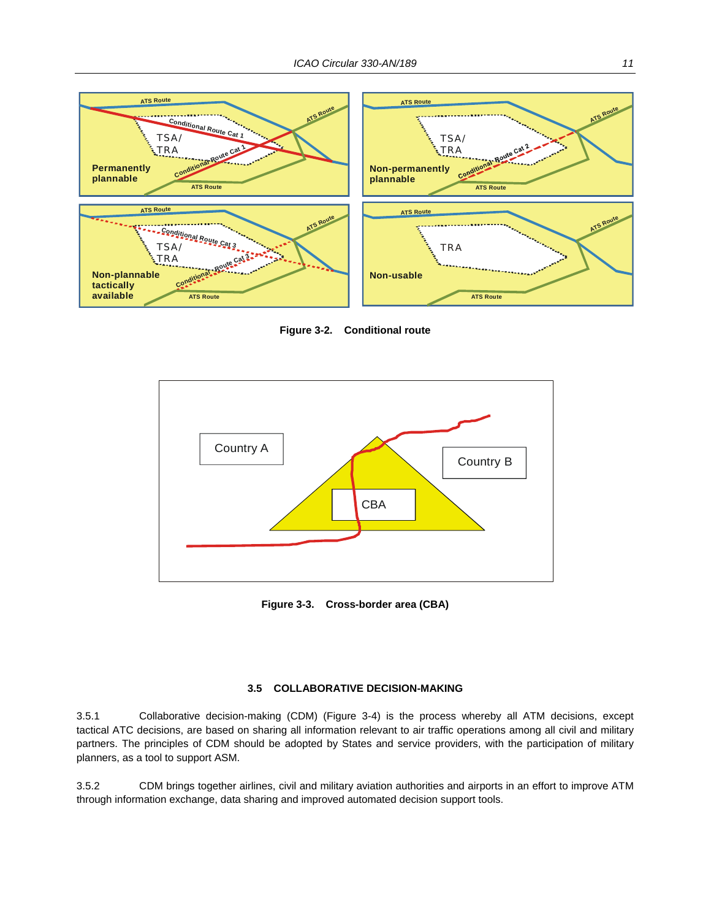

**Figure 3-2. Conditional route** 



**Figure 3-3. Cross-border area (CBA)** 

#### **3.5 COLLABORATIVE DECISION-MAKING**

3.5.1 Collaborative decision-making (CDM) (Figure 3-4) is the process whereby all ATM decisions, except tactical ATC decisions, are based on sharing all information relevant to air traffic operations among all civil and military partners. The principles of CDM should be adopted by States and service providers, with the participation of military planners, as a tool to support ASM.

3.5.2 CDM brings together airlines, civil and military aviation authorities and airports in an effort to improve ATM through information exchange, data sharing and improved automated decision support tools.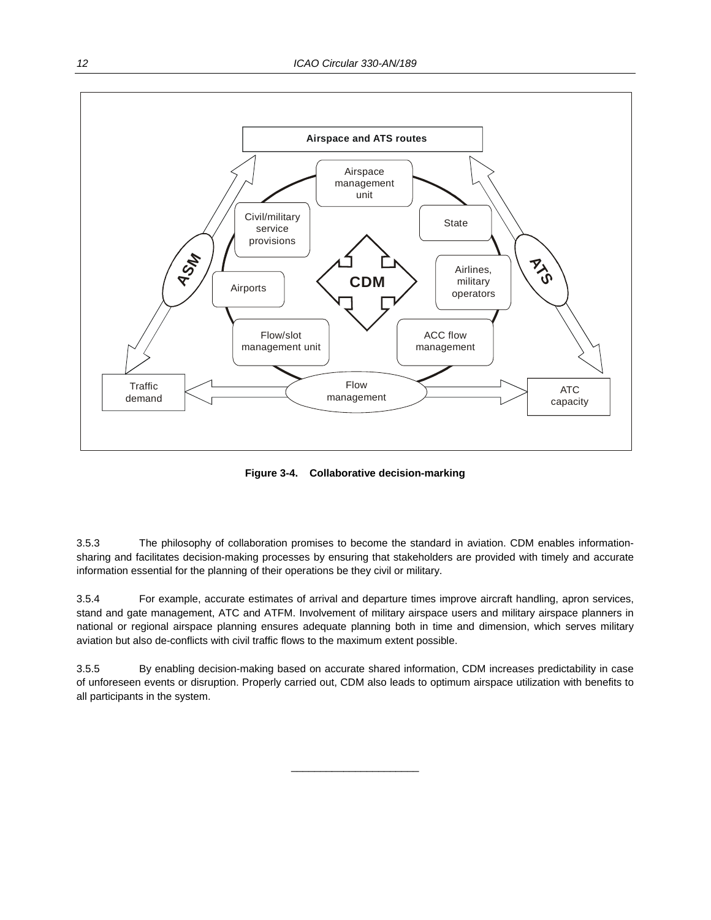

**Figure 3-4. Collaborative decision-marking** 

3.5.3 The philosophy of collaboration promises to become the standard in aviation. CDM enables informationsharing and facilitates decision-making processes by ensuring that stakeholders are provided with timely and accurate information essential for the planning of their operations be they civil or military.

3.5.4 For example, accurate estimates of arrival and departure times improve aircraft handling, apron services, stand and gate management, ATC and ATFM. Involvement of military airspace users and military airspace planners in national or regional airspace planning ensures adequate planning both in time and dimension, which serves military aviation but also de-conflicts with civil traffic flows to the maximum extent possible.

3.5.5 By enabling decision-making based on accurate shared information, CDM increases predictability in case of unforeseen events or disruption. Properly carried out, CDM also leads to optimum airspace utilization with benefits to all participants in the system.

 $\overline{\phantom{a}}$  , and the set of the set of the set of the set of the set of the set of the set of the set of the set of the set of the set of the set of the set of the set of the set of the set of the set of the set of the s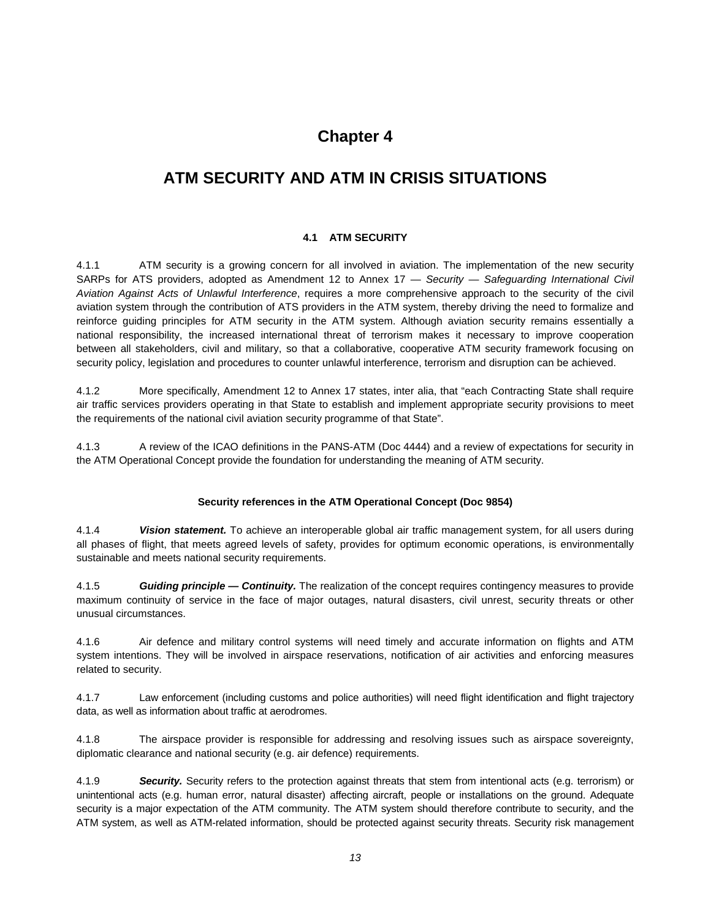## **Chapter 4**

## **ATM SECURITY AND ATM IN CRISIS SITUATIONS**

#### **4.1 ATM SECURITY**

4.1.1 ATM security is a growing concern for all involved in aviation. The implementation of the new security SARPs for ATS providers, adopted as Amendment 12 to Annex 17 — *Security — Safeguarding International Civil Aviation Against Acts of Unlawful Interference*, requires a more comprehensive approach to the security of the civil aviation system through the contribution of ATS providers in the ATM system, thereby driving the need to formalize and reinforce guiding principles for ATM security in the ATM system. Although aviation security remains essentially a national responsibility, the increased international threat of terrorism makes it necessary to improve cooperation between all stakeholders, civil and military, so that a collaborative, cooperative ATM security framework focusing on security policy, legislation and procedures to counter unlawful interference, terrorism and disruption can be achieved.

4.1.2 More specifically, Amendment 12 to Annex 17 states, inter alia, that "each Contracting State shall require air traffic services providers operating in that State to establish and implement appropriate security provisions to meet the requirements of the national civil aviation security programme of that State".

4.1.3 A review of the ICAO definitions in the PANS-ATM (Doc 4444) and a review of expectations for security in the ATM Operational Concept provide the foundation for understanding the meaning of ATM security.

#### **Security references in the ATM Operational Concept (Doc 9854)**

4.1.4 *Vision statement.* To achieve an interoperable global air traffic management system, for all users during all phases of flight, that meets agreed levels of safety, provides for optimum economic operations, is environmentally sustainable and meets national security requirements.

4.1.5 *Guiding principle — Continuity.* The realization of the concept requires contingency measures to provide maximum continuity of service in the face of major outages, natural disasters, civil unrest, security threats or other unusual circumstances.

4.1.6 Air defence and military control systems will need timely and accurate information on flights and ATM system intentions. They will be involved in airspace reservations, notification of air activities and enforcing measures related to security.

4.1.7 Law enforcement (including customs and police authorities) will need flight identification and flight trajectory data, as well as information about traffic at aerodromes.

4.1.8 The airspace provider is responsible for addressing and resolving issues such as airspace sovereignty, diplomatic clearance and national security (e.g. air defence) requirements.

4.1.9 *Security.* Security refers to the protection against threats that stem from intentional acts (e.g. terrorism) or unintentional acts (e.g. human error, natural disaster) affecting aircraft, people or installations on the ground. Adequate security is a major expectation of the ATM community. The ATM system should therefore contribute to security, and the ATM system, as well as ATM-related information, should be protected against security threats. Security risk management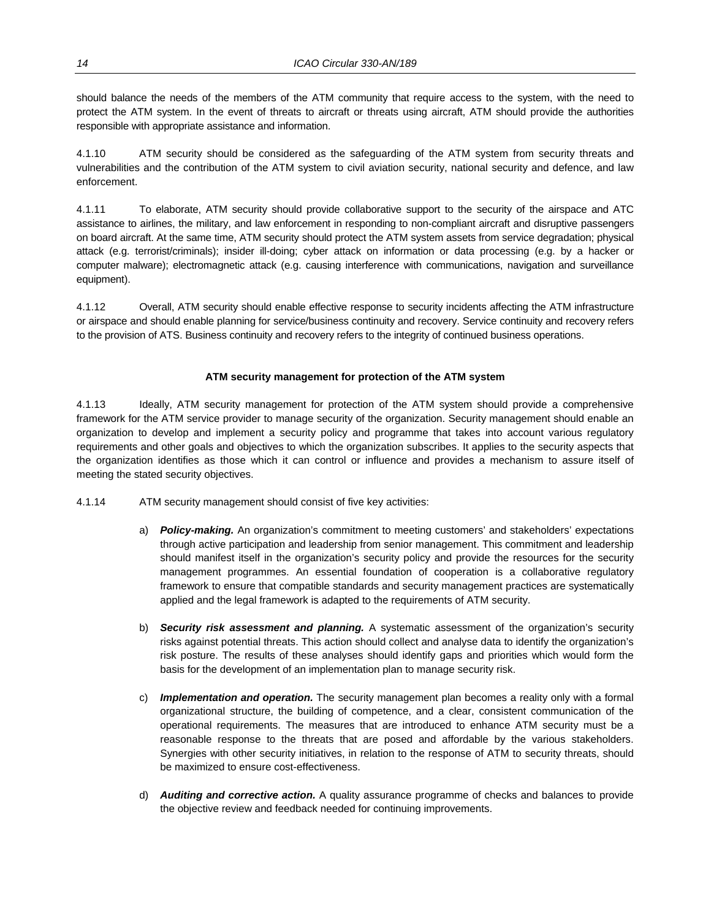should balance the needs of the members of the ATM community that require access to the system, with the need to protect the ATM system. In the event of threats to aircraft or threats using aircraft, ATM should provide the authorities responsible with appropriate assistance and information.

4.1.10 ATM security should be considered as the safeguarding of the ATM system from security threats and vulnerabilities and the contribution of the ATM system to civil aviation security, national security and defence, and law enforcement.

4.1.11 To elaborate, ATM security should provide collaborative support to the security of the airspace and ATC assistance to airlines, the military, and law enforcement in responding to non-compliant aircraft and disruptive passengers on board aircraft. At the same time, ATM security should protect the ATM system assets from service degradation; physical attack (e.g. terrorist/criminals); insider ill-doing; cyber attack on information or data processing (e.g. by a hacker or computer malware); electromagnetic attack (e.g. causing interference with communications, navigation and surveillance equipment).

4.1.12 Overall, ATM security should enable effective response to security incidents affecting the ATM infrastructure or airspace and should enable planning for service/business continuity and recovery. Service continuity and recovery refers to the provision of ATS. Business continuity and recovery refers to the integrity of continued business operations.

#### **ATM security management for protection of the ATM system**

4.1.13 Ideally, ATM security management for protection of the ATM system should provide a comprehensive framework for the ATM service provider to manage security of the organization. Security management should enable an organization to develop and implement a security policy and programme that takes into account various regulatory requirements and other goals and objectives to which the organization subscribes. It applies to the security aspects that the organization identifies as those which it can control or influence and provides a mechanism to assure itself of meeting the stated security objectives.

- 4.1.14 ATM security management should consist of five key activities:
	- a) **Policy-making.** An organization's commitment to meeting customers' and stakeholders' expectations through active participation and leadership from senior management. This commitment and leadership should manifest itself in the organization's security policy and provide the resources for the security management programmes. An essential foundation of cooperation is a collaborative regulatory framework to ensure that compatible standards and security management practices are systematically applied and the legal framework is adapted to the requirements of ATM security.
	- b) *Security risk assessment and planning.* A systematic assessment of the organization's security risks against potential threats. This action should collect and analyse data to identify the organization's risk posture. The results of these analyses should identify gaps and priorities which would form the basis for the development of an implementation plan to manage security risk.
	- c) *Implementation and operation.* The security management plan becomes a reality only with a formal organizational structure, the building of competence, and a clear, consistent communication of the operational requirements. The measures that are introduced to enhance ATM security must be a reasonable response to the threats that are posed and affordable by the various stakeholders. Synergies with other security initiatives, in relation to the response of ATM to security threats, should be maximized to ensure cost-effectiveness.
	- d) *Auditing and corrective action.* A quality assurance programme of checks and balances to provide the objective review and feedback needed for continuing improvements.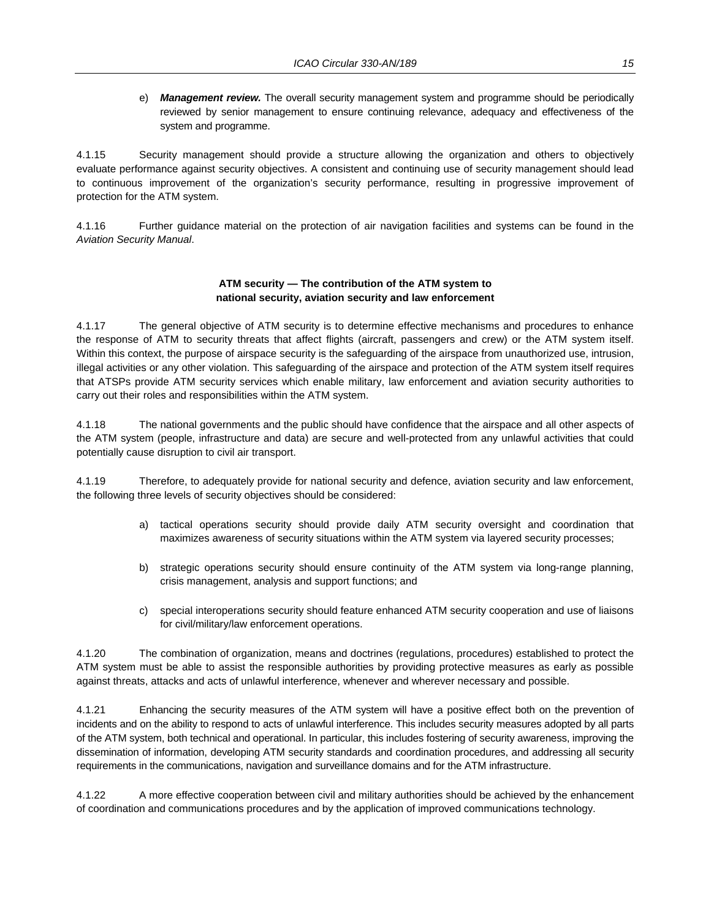e) *Management review.* The overall security management system and programme should be periodically reviewed by senior management to ensure continuing relevance, adequacy and effectiveness of the system and programme.

4.1.15 Security management should provide a structure allowing the organization and others to objectively evaluate performance against security objectives. A consistent and continuing use of security management should lead to continuous improvement of the organization's security performance, resulting in progressive improvement of protection for the ATM system.

4.1.16 Further guidance material on the protection of air navigation facilities and systems can be found in the *Aviation Security Manual*.

#### **ATM security — The contribution of the ATM system to national security, aviation security and law enforcement**

4.1.17 The general objective of ATM security is to determine effective mechanisms and procedures to enhance the response of ATM to security threats that affect flights (aircraft, passengers and crew) or the ATM system itself. Within this context, the purpose of airspace security is the safeguarding of the airspace from unauthorized use, intrusion, illegal activities or any other violation. This safeguarding of the airspace and protection of the ATM system itself requires that ATSPs provide ATM security services which enable military, law enforcement and aviation security authorities to carry out their roles and responsibilities within the ATM system.

4.1.18 The national governments and the public should have confidence that the airspace and all other aspects of the ATM system (people, infrastructure and data) are secure and well-protected from any unlawful activities that could potentially cause disruption to civil air transport.

4.1.19 Therefore, to adequately provide for national security and defence, aviation security and law enforcement, the following three levels of security objectives should be considered:

- a) tactical operations security should provide daily ATM security oversight and coordination that maximizes awareness of security situations within the ATM system via layered security processes;
- b) strategic operations security should ensure continuity of the ATM system via long-range planning, crisis management, analysis and support functions; and
- c) special interoperations security should feature enhanced ATM security cooperation and use of liaisons for civil/military/law enforcement operations.

4.1.20 The combination of organization, means and doctrines (regulations, procedures) established to protect the ATM system must be able to assist the responsible authorities by providing protective measures as early as possible against threats, attacks and acts of unlawful interference, whenever and wherever necessary and possible.

4.1.21 Enhancing the security measures of the ATM system will have a positive effect both on the prevention of incidents and on the ability to respond to acts of unlawful interference. This includes security measures adopted by all parts of the ATM system, both technical and operational. In particular, this includes fostering of security awareness, improving the dissemination of information, developing ATM security standards and coordination procedures, and addressing all security requirements in the communications, navigation and surveillance domains and for the ATM infrastructure.

4.1.22 A more effective cooperation between civil and military authorities should be achieved by the enhancement of coordination and communications procedures and by the application of improved communications technology.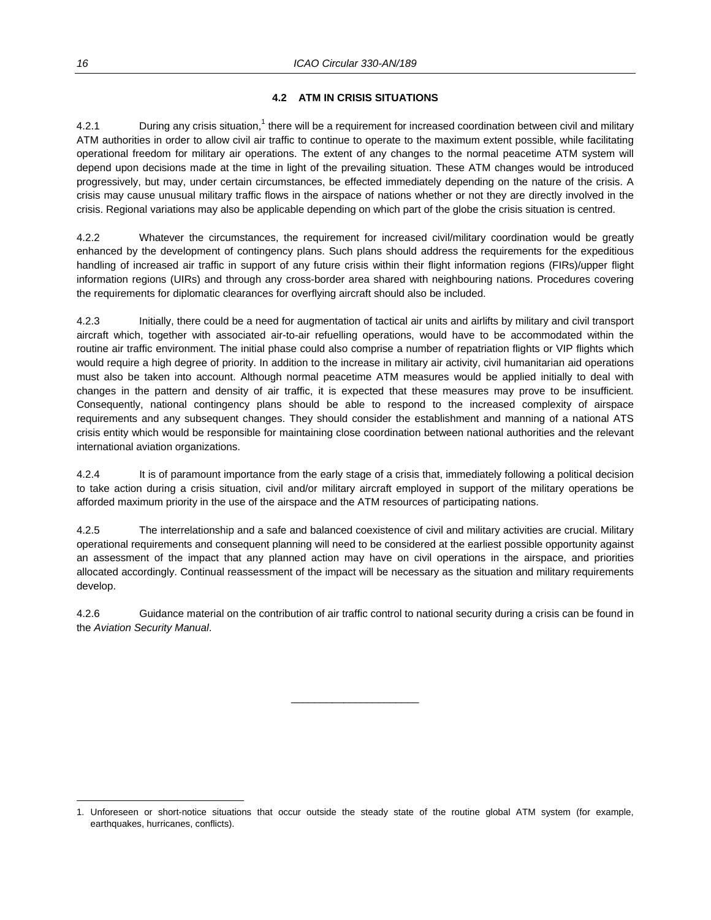#### **4.2 ATM IN CRISIS SITUATIONS**

4.2.1 During any crisis situation,<sup>1</sup> there will be a requirement for increased coordination between civil and military ATM authorities in order to allow civil air traffic to continue to operate to the maximum extent possible, while facilitating operational freedom for military air operations. The extent of any changes to the normal peacetime ATM system will depend upon decisions made at the time in light of the prevailing situation. These ATM changes would be introduced progressively, but may, under certain circumstances, be effected immediately depending on the nature of the crisis. A crisis may cause unusual military traffic flows in the airspace of nations whether or not they are directly involved in the crisis. Regional variations may also be applicable depending on which part of the globe the crisis situation is centred.

4.2.2 Whatever the circumstances, the requirement for increased civil/military coordination would be greatly enhanced by the development of contingency plans. Such plans should address the requirements for the expeditious handling of increased air traffic in support of any future crisis within their flight information regions (FIRs)/upper flight information regions (UIRs) and through any cross-border area shared with neighbouring nations. Procedures covering the requirements for diplomatic clearances for overflying aircraft should also be included.

4.2.3 Initially, there could be a need for augmentation of tactical air units and airlifts by military and civil transport aircraft which, together with associated air-to-air refuelling operations, would have to be accommodated within the routine air traffic environment. The initial phase could also comprise a number of repatriation flights or VIP flights which would require a high degree of priority. In addition to the increase in military air activity, civil humanitarian aid operations must also be taken into account. Although normal peacetime ATM measures would be applied initially to deal with changes in the pattern and density of air traffic, it is expected that these measures may prove to be insufficient. Consequently, national contingency plans should be able to respond to the increased complexity of airspace requirements and any subsequent changes. They should consider the establishment and manning of a national ATS crisis entity which would be responsible for maintaining close coordination between national authorities and the relevant international aviation organizations.

4.2.4 It is of paramount importance from the early stage of a crisis that, immediately following a political decision to take action during a crisis situation, civil and/or military aircraft employed in support of the military operations be afforded maximum priority in the use of the airspace and the ATM resources of participating nations.

4.2.5 The interrelationship and a safe and balanced coexistence of civil and military activities are crucial. Military operational requirements and consequent planning will need to be considered at the earliest possible opportunity against an assessment of the impact that any planned action may have on civil operations in the airspace, and priorities allocated accordingly. Continual reassessment of the impact will be necessary as the situation and military requirements develop.

4.2.6 Guidance material on the contribution of air traffic control to national security during a crisis can be found in the *Aviation Security Manual*.

 $\overline{\phantom{a}}$  , and the set of the set of the set of the set of the set of the set of the set of the set of the set of the set of the set of the set of the set of the set of the set of the set of the set of the set of the s

l

<sup>1.</sup> Unforeseen or short-notice situations that occur outside the steady state of the routine global ATM system (for example, earthquakes, hurricanes, conflicts).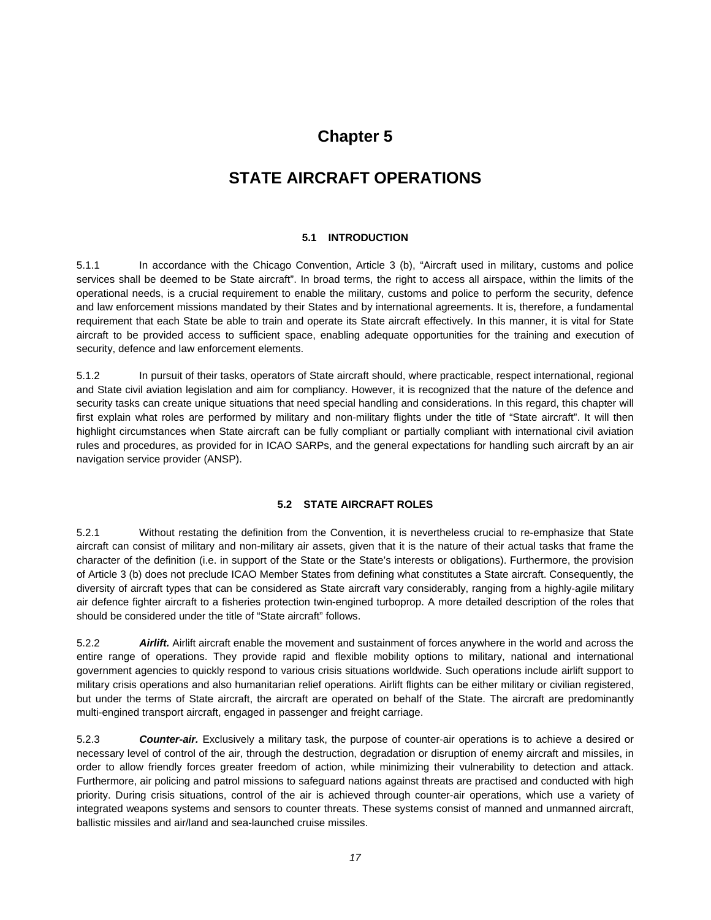## **Chapter 5**

## **STATE AIRCRAFT OPERATIONS**

#### **5.1 INTRODUCTION**

5.1.1 In accordance with the Chicago Convention, Article 3 (b), "Aircraft used in military, customs and police services shall be deemed to be State aircraft". In broad terms, the right to access all airspace, within the limits of the operational needs, is a crucial requirement to enable the military, customs and police to perform the security, defence and law enforcement missions mandated by their States and by international agreements. It is, therefore, a fundamental requirement that each State be able to train and operate its State aircraft effectively. In this manner, it is vital for State aircraft to be provided access to sufficient space, enabling adequate opportunities for the training and execution of security, defence and law enforcement elements.

5.1.2 In pursuit of their tasks, operators of State aircraft should, where practicable, respect international, regional and State civil aviation legislation and aim for compliancy. However, it is recognized that the nature of the defence and security tasks can create unique situations that need special handling and considerations. In this regard, this chapter will first explain what roles are performed by military and non-military flights under the title of "State aircraft". It will then highlight circumstances when State aircraft can be fully compliant or partially compliant with international civil aviation rules and procedures, as provided for in ICAO SARPs, and the general expectations for handling such aircraft by an air navigation service provider (ANSP).

#### **5.2 STATE AIRCRAFT ROLES**

5.2.1 Without restating the definition from the Convention, it is nevertheless crucial to re-emphasize that State aircraft can consist of military and non-military air assets, given that it is the nature of their actual tasks that frame the character of the definition (i.e. in support of the State or the State's interests or obligations). Furthermore, the provision of Article 3 (b) does not preclude ICAO Member States from defining what constitutes a State aircraft. Consequently, the diversity of aircraft types that can be considered as State aircraft vary considerably, ranging from a highly-agile military air defence fighter aircraft to a fisheries protection twin-engined turboprop. A more detailed description of the roles that should be considered under the title of "State aircraft" follows.

5.2.2 *Airlift.* Airlift aircraft enable the movement and sustainment of forces anywhere in the world and across the entire range of operations. They provide rapid and flexible mobility options to military, national and international government agencies to quickly respond to various crisis situations worldwide. Such operations include airlift support to military crisis operations and also humanitarian relief operations. Airlift flights can be either military or civilian registered, but under the terms of State aircraft, the aircraft are operated on behalf of the State. The aircraft are predominantly multi-engined transport aircraft, engaged in passenger and freight carriage.

5.2.3 *Counter-air.* Exclusively a military task, the purpose of counter-air operations is to achieve a desired or necessary level of control of the air, through the destruction, degradation or disruption of enemy aircraft and missiles, in order to allow friendly forces greater freedom of action, while minimizing their vulnerability to detection and attack. Furthermore, air policing and patrol missions to safeguard nations against threats are practised and conducted with high priority. During crisis situations, control of the air is achieved through counter-air operations, which use a variety of integrated weapons systems and sensors to counter threats. These systems consist of manned and unmanned aircraft, ballistic missiles and air/land and sea-launched cruise missiles.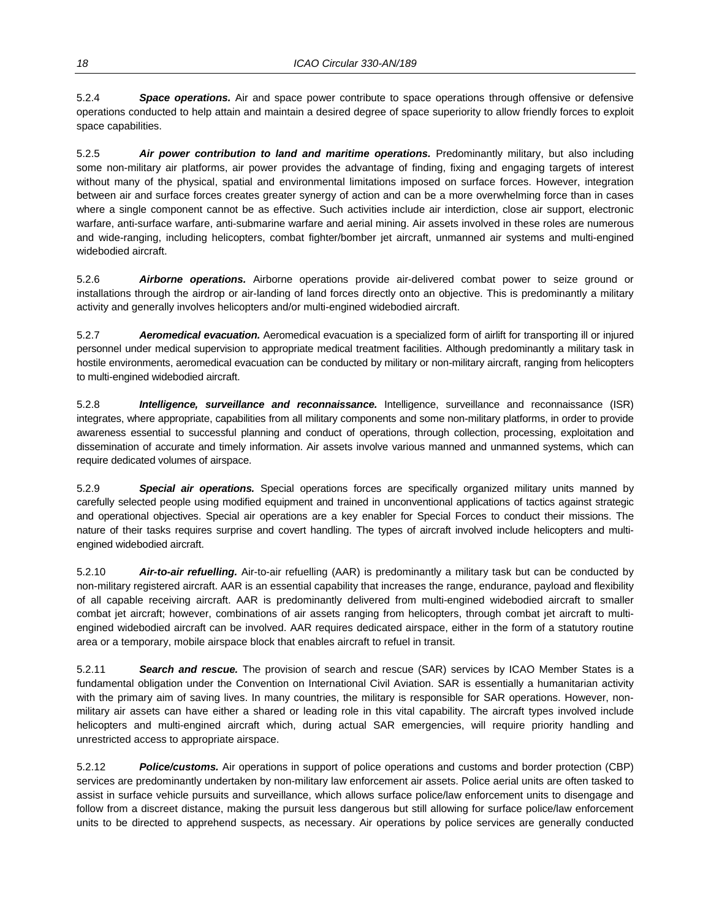5.2.4 *Space operations.* Air and space power contribute to space operations through offensive or defensive operations conducted to help attain and maintain a desired degree of space superiority to allow friendly forces to exploit space capabilities.

5.2.5 *Air power contribution to land and maritime operations.* Predominantly military, but also including some non-military air platforms, air power provides the advantage of finding, fixing and engaging targets of interest without many of the physical, spatial and environmental limitations imposed on surface forces. However, integration between air and surface forces creates greater synergy of action and can be a more overwhelming force than in cases where a single component cannot be as effective. Such activities include air interdiction, close air support, electronic warfare, anti-surface warfare, anti-submarine warfare and aerial mining. Air assets involved in these roles are numerous and wide-ranging, including helicopters, combat fighter/bomber jet aircraft, unmanned air systems and multi-engined widebodied aircraft.

5.2.6 *Airborne operations.* Airborne operations provide air-delivered combat power to seize ground or installations through the airdrop or air-landing of land forces directly onto an objective. This is predominantly a military activity and generally involves helicopters and/or multi-engined widebodied aircraft.

5.2.7 *Aeromedical evacuation.* Aeromedical evacuation is a specialized form of airlift for transporting ill or injured personnel under medical supervision to appropriate medical treatment facilities. Although predominantly a military task in hostile environments, aeromedical evacuation can be conducted by military or non-military aircraft, ranging from helicopters to multi-engined widebodied aircraft.

5.2.8 *Intelligence, surveillance and reconnaissance.* Intelligence, surveillance and reconnaissance (ISR) integrates, where appropriate, capabilities from all military components and some non-military platforms, in order to provide awareness essential to successful planning and conduct of operations, through collection, processing, exploitation and dissemination of accurate and timely information. Air assets involve various manned and unmanned systems, which can require dedicated volumes of airspace.

5.2.9 *Special air operations.* Special operations forces are specifically organized military units manned by carefully selected people using modified equipment and trained in unconventional applications of tactics against strategic and operational objectives. Special air operations are a key enabler for Special Forces to conduct their missions. The nature of their tasks requires surprise and covert handling. The types of aircraft involved include helicopters and multiengined widebodied aircraft.

5.2.10 *Air-to-air refuelling.* Air-to-air refuelling (AAR) is predominantly a military task but can be conducted by non-military registered aircraft. AAR is an essential capability that increases the range, endurance, payload and flexibility of all capable receiving aircraft. AAR is predominantly delivered from multi-engined widebodied aircraft to smaller combat jet aircraft; however, combinations of air assets ranging from helicopters, through combat jet aircraft to multiengined widebodied aircraft can be involved. AAR requires dedicated airspace, either in the form of a statutory routine area or a temporary, mobile airspace block that enables aircraft to refuel in transit.

5.2.11 *Search and rescue.* The provision of search and rescue (SAR) services by ICAO Member States is a fundamental obligation under the Convention on International Civil Aviation. SAR is essentially a humanitarian activity with the primary aim of saving lives. In many countries, the military is responsible for SAR operations. However, nonmilitary air assets can have either a shared or leading role in this vital capability. The aircraft types involved include helicopters and multi-engined aircraft which, during actual SAR emergencies, will require priority handling and unrestricted access to appropriate airspace.

5.2.12 *Police/customs.* Air operations in support of police operations and customs and border protection (CBP) services are predominantly undertaken by non-military law enforcement air assets. Police aerial units are often tasked to assist in surface vehicle pursuits and surveillance, which allows surface police/law enforcement units to disengage and follow from a discreet distance, making the pursuit less dangerous but still allowing for surface police/law enforcement units to be directed to apprehend suspects, as necessary. Air operations by police services are generally conducted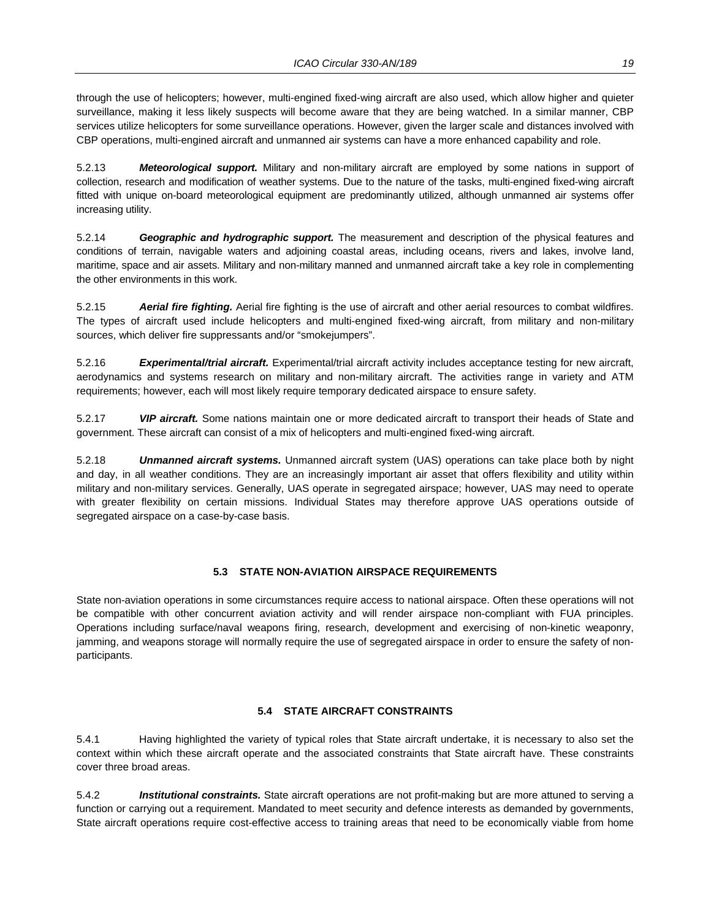through the use of helicopters; however, multi-engined fixed-wing aircraft are also used, which allow higher and quieter surveillance, making it less likely suspects will become aware that they are being watched. In a similar manner, CBP services utilize helicopters for some surveillance operations. However, given the larger scale and distances involved with CBP operations, multi-engined aircraft and unmanned air systems can have a more enhanced capability and role.

5.2.13 *Meteorological support.* Military and non-military aircraft are employed by some nations in support of collection, research and modification of weather systems. Due to the nature of the tasks, multi-engined fixed-wing aircraft fitted with unique on-board meteorological equipment are predominantly utilized, although unmanned air systems offer increasing utility.

5.2.14 *Geographic and hydrographic support.* The measurement and description of the physical features and conditions of terrain, navigable waters and adjoining coastal areas, including oceans, rivers and lakes, involve land, maritime, space and air assets. Military and non-military manned and unmanned aircraft take a key role in complementing the other environments in this work.

5.2.15 *Aerial fire fighting.* Aerial fire fighting is the use of aircraft and other aerial resources to combat wildfires. The types of aircraft used include helicopters and multi-engined fixed-wing aircraft, from military and non-military sources, which deliver fire suppressants and/or "smokejumpers".

5.2.16 *Experimental/trial aircraft.* Experimental/trial aircraft activity includes acceptance testing for new aircraft, aerodynamics and systems research on military and non-military aircraft. The activities range in variety and ATM requirements; however, each will most likely require temporary dedicated airspace to ensure safety.

5.2.17 *VIP aircraft.* Some nations maintain one or more dedicated aircraft to transport their heads of State and government. These aircraft can consist of a mix of helicopters and multi-engined fixed-wing aircraft.

5.2.18 *Unmanned aircraft systems.* Unmanned aircraft system (UAS) operations can take place both by night and day, in all weather conditions. They are an increasingly important air asset that offers flexibility and utility within military and non-military services. Generally, UAS operate in segregated airspace; however, UAS may need to operate with greater flexibility on certain missions. Individual States may therefore approve UAS operations outside of segregated airspace on a case-by-case basis.

#### **5.3 STATE NON-AVIATION AIRSPACE REQUIREMENTS**

State non-aviation operations in some circumstances require access to national airspace. Often these operations will not be compatible with other concurrent aviation activity and will render airspace non-compliant with FUA principles. Operations including surface/naval weapons firing, research, development and exercising of non-kinetic weaponry, jamming, and weapons storage will normally require the use of segregated airspace in order to ensure the safety of nonparticipants.

#### **5.4 STATE AIRCRAFT CONSTRAINTS**

5.4.1 Having highlighted the variety of typical roles that State aircraft undertake, it is necessary to also set the context within which these aircraft operate and the associated constraints that State aircraft have. These constraints cover three broad areas.

5.4.2 *Institutional constraints.* State aircraft operations are not profit-making but are more attuned to serving a function or carrying out a requirement. Mandated to meet security and defence interests as demanded by governments, State aircraft operations require cost-effective access to training areas that need to be economically viable from home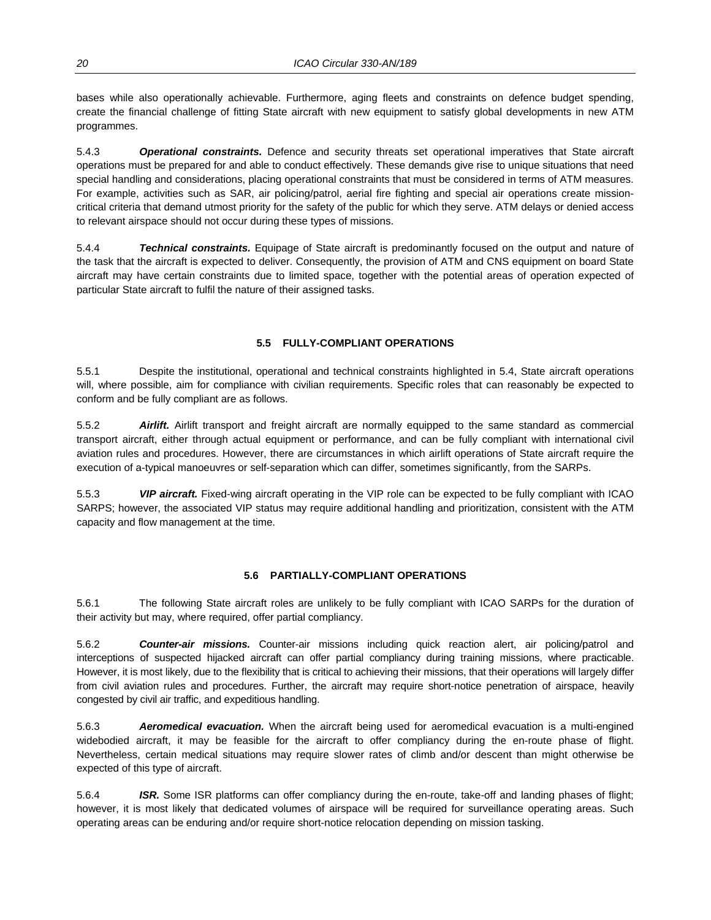bases while also operationally achievable. Furthermore, aging fleets and constraints on defence budget spending, create the financial challenge of fitting State aircraft with new equipment to satisfy global developments in new ATM programmes.

5.4.3 *Operational constraints.* Defence and security threats set operational imperatives that State aircraft operations must be prepared for and able to conduct effectively. These demands give rise to unique situations that need special handling and considerations, placing operational constraints that must be considered in terms of ATM measures. For example, activities such as SAR, air policing/patrol, aerial fire fighting and special air operations create missioncritical criteria that demand utmost priority for the safety of the public for which they serve. ATM delays or denied access to relevant airspace should not occur during these types of missions.

5.4.4 *Technical constraints.* Equipage of State aircraft is predominantly focused on the output and nature of the task that the aircraft is expected to deliver. Consequently, the provision of ATM and CNS equipment on board State aircraft may have certain constraints due to limited space, together with the potential areas of operation expected of particular State aircraft to fulfil the nature of their assigned tasks.

#### **5.5 FULLY-COMPLIANT OPERATIONS**

5.5.1 Despite the institutional, operational and technical constraints highlighted in 5.4, State aircraft operations will, where possible, aim for compliance with civilian requirements. Specific roles that can reasonably be expected to conform and be fully compliant are as follows.

5.5.2 *Airlift.* Airlift transport and freight aircraft are normally equipped to the same standard as commercial transport aircraft, either through actual equipment or performance, and can be fully compliant with international civil aviation rules and procedures. However, there are circumstances in which airlift operations of State aircraft require the execution of a-typical manoeuvres or self-separation which can differ, sometimes significantly, from the SARPs.

5.5.3 *VIP aircraft.* Fixed-wing aircraft operating in the VIP role can be expected to be fully compliant with ICAO SARPS; however, the associated VIP status may require additional handling and prioritization, consistent with the ATM capacity and flow management at the time.

#### **5.6 PARTIALLY-COMPLIANT OPERATIONS**

5.6.1 The following State aircraft roles are unlikely to be fully compliant with ICAO SARPs for the duration of their activity but may, where required, offer partial compliancy.

5.6.2 *Counter-air missions.* Counter-air missions including quick reaction alert, air policing/patrol and interceptions of suspected hijacked aircraft can offer partial compliancy during training missions, where practicable. However, it is most likely, due to the flexibility that is critical to achieving their missions, that their operations will largely differ from civil aviation rules and procedures. Further, the aircraft may require short-notice penetration of airspace, heavily congested by civil air traffic, and expeditious handling.

5.6.3 *Aeromedical evacuation.* When the aircraft being used for aeromedical evacuation is a multi-engined widebodied aircraft, it may be feasible for the aircraft to offer compliancy during the en-route phase of flight. Nevertheless, certain medical situations may require slower rates of climb and/or descent than might otherwise be expected of this type of aircraft.

5.6.4 *ISR.* Some ISR platforms can offer compliancy during the en-route, take-off and landing phases of flight; however, it is most likely that dedicated volumes of airspace will be required for surveillance operating areas. Such operating areas can be enduring and/or require short-notice relocation depending on mission tasking.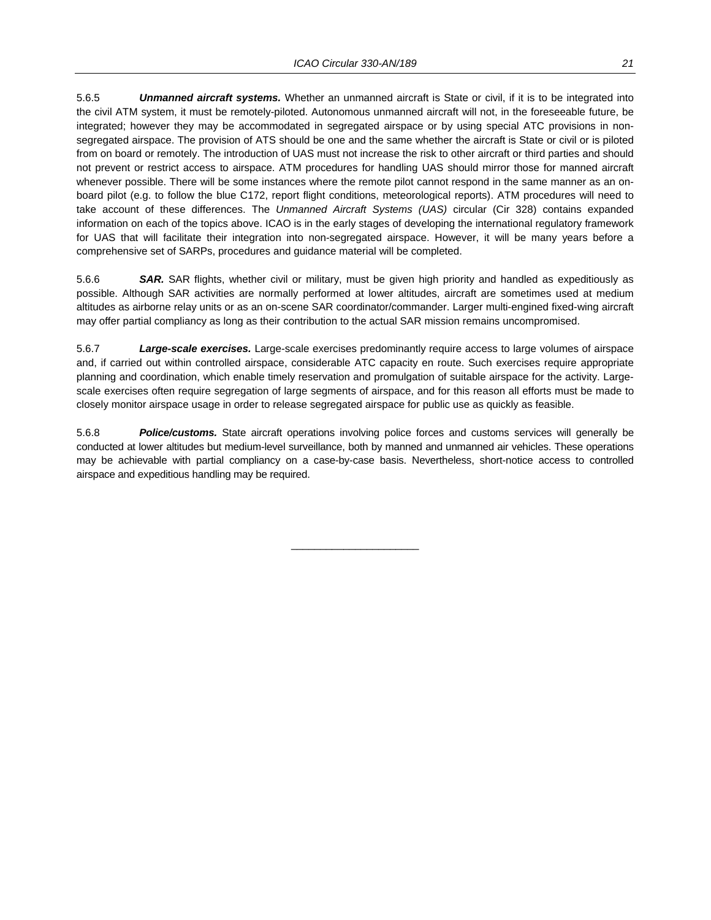5.6.5 *Unmanned aircraft systems.* Whether an unmanned aircraft is State or civil, if it is to be integrated into the civil ATM system, it must be remotely-piloted. Autonomous unmanned aircraft will not, in the foreseeable future, be integrated; however they may be accommodated in segregated airspace or by using special ATC provisions in nonsegregated airspace. The provision of ATS should be one and the same whether the aircraft is State or civil or is piloted from on board or remotely. The introduction of UAS must not increase the risk to other aircraft or third parties and should not prevent or restrict access to airspace. ATM procedures for handling UAS should mirror those for manned aircraft whenever possible. There will be some instances where the remote pilot cannot respond in the same manner as an onboard pilot (e.g. to follow the blue C172, report flight conditions, meteorological reports). ATM procedures will need to take account of these differences. The *Unmanned Aircraft Systems (UAS)* circular (Cir 328) contains expanded information on each of the topics above. ICAO is in the early stages of developing the international regulatory framework for UAS that will facilitate their integration into non-segregated airspace. However, it will be many years before a comprehensive set of SARPs, procedures and guidance material will be completed.

5.6.6 *SAR.* SAR flights, whether civil or military, must be given high priority and handled as expeditiously as possible. Although SAR activities are normally performed at lower altitudes, aircraft are sometimes used at medium altitudes as airborne relay units or as an on-scene SAR coordinator/commander. Larger multi-engined fixed-wing aircraft may offer partial compliancy as long as their contribution to the actual SAR mission remains uncompromised.

5.6.7 *Large-scale exercises.* Large-scale exercises predominantly require access to large volumes of airspace and, if carried out within controlled airspace, considerable ATC capacity en route. Such exercises require appropriate planning and coordination, which enable timely reservation and promulgation of suitable airspace for the activity. Largescale exercises often require segregation of large segments of airspace, and for this reason all efforts must be made to closely monitor airspace usage in order to release segregated airspace for public use as quickly as feasible.

5.6.8 *Police/customs.* State aircraft operations involving police forces and customs services will generally be conducted at lower altitudes but medium-level surveillance, both by manned and unmanned air vehicles. These operations may be achievable with partial compliancy on a case-by-case basis. Nevertheless, short-notice access to controlled airspace and expeditious handling may be required.

 $\overline{\phantom{a}}$  , and the set of the set of the set of the set of the set of the set of the set of the set of the set of the set of the set of the set of the set of the set of the set of the set of the set of the set of the s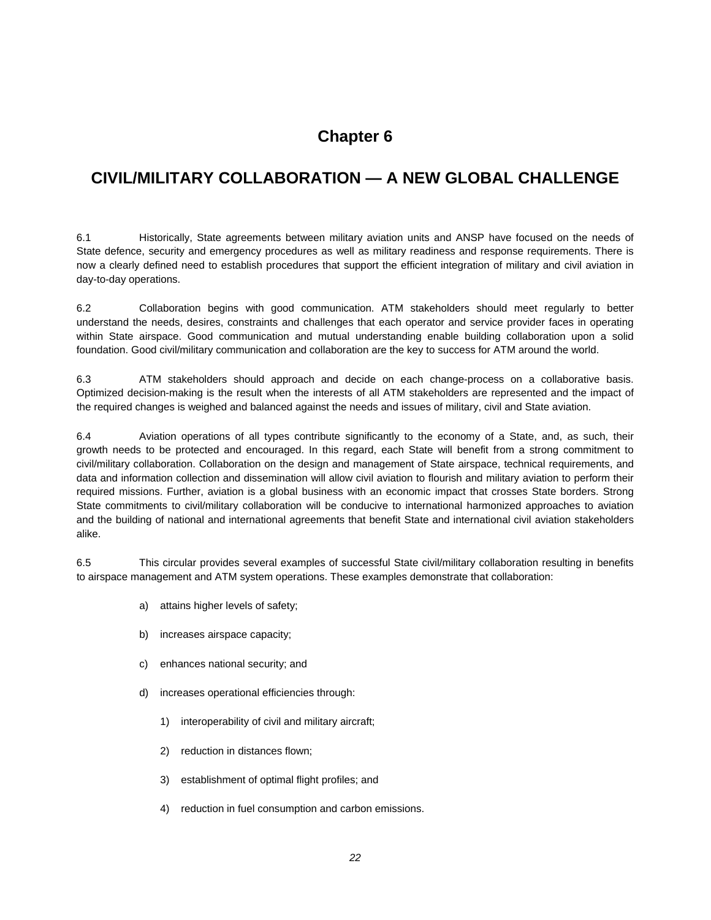## **Chapter 6**

## **CIVIL/MILITARY COLLABORATION — A NEW GLOBAL CHALLENGE**

6.1 Historically, State agreements between military aviation units and ANSP have focused on the needs of State defence, security and emergency procedures as well as military readiness and response requirements. There is now a clearly defined need to establish procedures that support the efficient integration of military and civil aviation in day-to-day operations.

6.2 Collaboration begins with good communication. ATM stakeholders should meet regularly to better understand the needs, desires, constraints and challenges that each operator and service provider faces in operating within State airspace. Good communication and mutual understanding enable building collaboration upon a solid foundation. Good civil/military communication and collaboration are the key to success for ATM around the world.

6.3 ATM stakeholders should approach and decide on each change-process on a collaborative basis. Optimized decision-making is the result when the interests of all ATM stakeholders are represented and the impact of the required changes is weighed and balanced against the needs and issues of military, civil and State aviation.

6.4 Aviation operations of all types contribute significantly to the economy of a State, and, as such, their growth needs to be protected and encouraged. In this regard, each State will benefit from a strong commitment to civil/military collaboration. Collaboration on the design and management of State airspace, technical requirements, and data and information collection and dissemination will allow civil aviation to flourish and military aviation to perform their required missions. Further, aviation is a global business with an economic impact that crosses State borders. Strong State commitments to civil/military collaboration will be conducive to international harmonized approaches to aviation and the building of national and international agreements that benefit State and international civil aviation stakeholders alike.

6.5 This circular provides several examples of successful State civil/military collaboration resulting in benefits to airspace management and ATM system operations. These examples demonstrate that collaboration:

- a) attains higher levels of safety;
- b) increases airspace capacity;
- c) enhances national security; and
- d) increases operational efficiencies through:
	- 1) interoperability of civil and military aircraft;
	- 2) reduction in distances flown;
	- 3) establishment of optimal flight profiles; and
	- 4) reduction in fuel consumption and carbon emissions.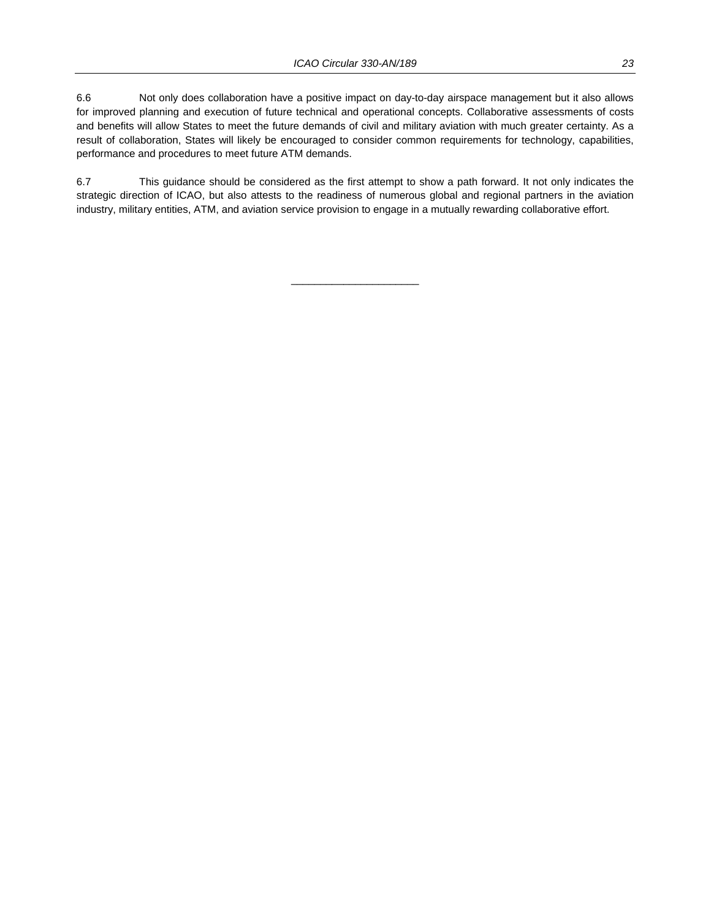6.6 Not only does collaboration have a positive impact on day-to-day airspace management but it also allows for improved planning and execution of future technical and operational concepts. Collaborative assessments of costs and benefits will allow States to meet the future demands of civil and military aviation with much greater certainty. As a result of collaboration, States will likely be encouraged to consider common requirements for technology, capabilities, performance and procedures to meet future ATM demands.

6.7 This guidance should be considered as the first attempt to show a path forward. It not only indicates the strategic direction of ICAO, but also attests to the readiness of numerous global and regional partners in the aviation industry, military entities, ATM, and aviation service provision to engage in a mutually rewarding collaborative effort.

 $\overline{\phantom{a}}$  , and the set of the set of the set of the set of the set of the set of the set of the set of the set of the set of the set of the set of the set of the set of the set of the set of the set of the set of the s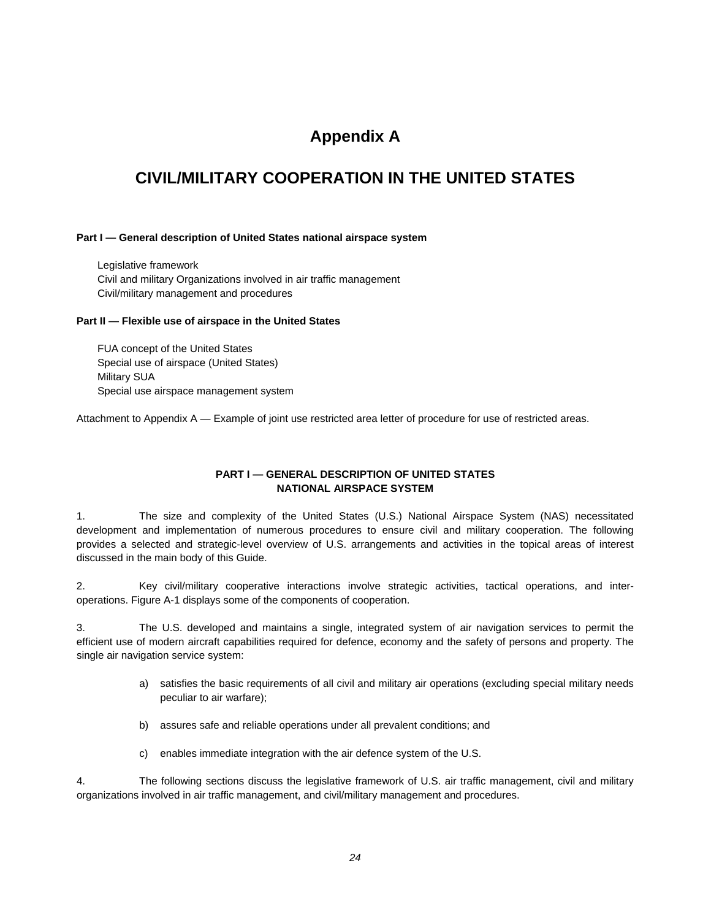## **Appendix A**

## **CIVIL/MILITARY COOPERATION IN THE UNITED STATES**

#### **Part I — General description of United States national airspace system**

 Legislative framework Civil and military Organizations involved in air traffic management Civil/military management and procedures

#### **Part II — Flexible use of airspace in the United States**

 FUA concept of the United States Special use of airspace (United States) Military SUA Special use airspace management system

Attachment to Appendix A — Example of joint use restricted area letter of procedure for use of restricted areas.

#### **PART I — GENERAL DESCRIPTION OF UNITED STATES NATIONAL AIRSPACE SYSTEM**

1. The size and complexity of the United States (U.S.) National Airspace System (NAS) necessitated development and implementation of numerous procedures to ensure civil and military cooperation. The following provides a selected and strategic-level overview of U.S. arrangements and activities in the topical areas of interest discussed in the main body of this Guide.

2. Key civil/military cooperative interactions involve strategic activities, tactical operations, and interoperations. Figure A-1 displays some of the components of cooperation.

3. The U.S. developed and maintains a single, integrated system of air navigation services to permit the efficient use of modern aircraft capabilities required for defence, economy and the safety of persons and property. The single air navigation service system:

- a) satisfies the basic requirements of all civil and military air operations (excluding special military needs peculiar to air warfare);
- b) assures safe and reliable operations under all prevalent conditions; and
- c) enables immediate integration with the air defence system of the U.S.

4. The following sections discuss the legislative framework of U.S. air traffic management, civil and military organizations involved in air traffic management, and civil/military management and procedures.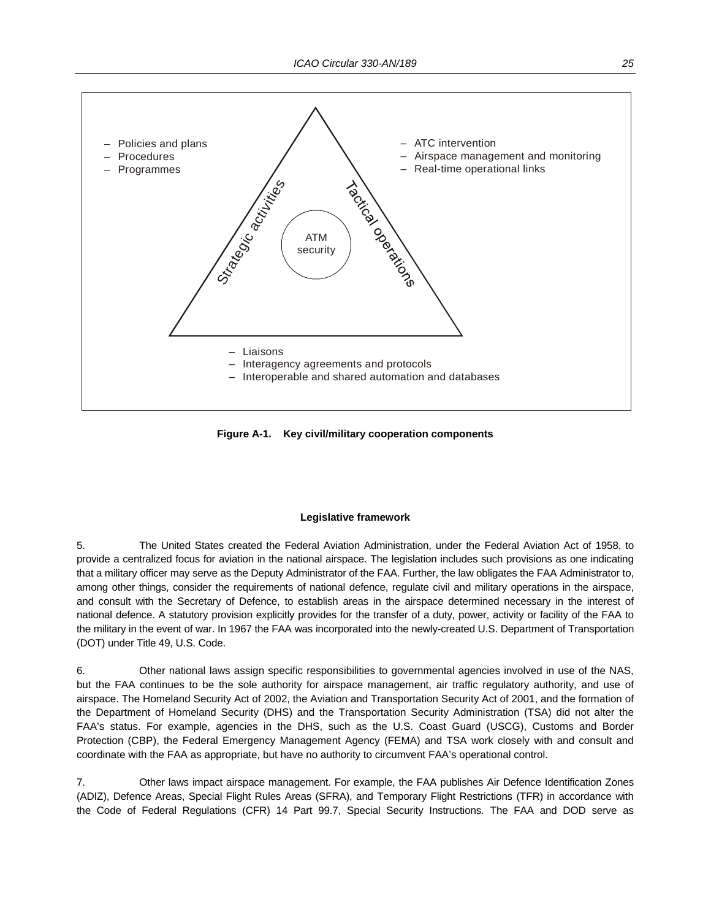

**Figure A-1. Key civil/military cooperation components** 

#### **Legislative framework**

5. The United States created the Federal Aviation Administration, under the Federal Aviation Act of 1958, to provide a centralized focus for aviation in the national airspace. The legislation includes such provisions as one indicating that a military officer may serve as the Deputy Administrator of the FAA. Further, the law obligates the FAA Administrator to, among other things, consider the requirements of national defence, regulate civil and military operations in the airspace, and consult with the Secretary of Defence, to establish areas in the airspace determined necessary in the interest of national defence. A statutory provision explicitly provides for the transfer of a duty, power, activity or facility of the FAA to the military in the event of war. In 1967 the FAA was incorporated into the newly-created U.S. Department of Transportation (DOT) under Title 49, U.S. Code.

6. Other national laws assign specific responsibilities to governmental agencies involved in use of the NAS, but the FAA continues to be the sole authority for airspace management, air traffic regulatory authority, and use of airspace. The Homeland Security Act of 2002, the Aviation and Transportation Security Act of 2001, and the formation of the Department of Homeland Security (DHS) and the Transportation Security Administration (TSA) did not alter the FAA's status. For example, agencies in the DHS, such as the U.S. Coast Guard (USCG), Customs and Border Protection (CBP), the Federal Emergency Management Agency (FEMA) and TSA work closely with and consult and coordinate with the FAA as appropriate, but have no authority to circumvent FAA's operational control.

7. Other laws impact airspace management. For example, the FAA publishes Air Defence Identification Zones (ADIZ), Defence Areas, Special Flight Rules Areas (SFRA), and Temporary Flight Restrictions (TFR) in accordance with the Code of Federal Regulations (CFR) 14 Part 99.7, Special Security Instructions. The FAA and DOD serve as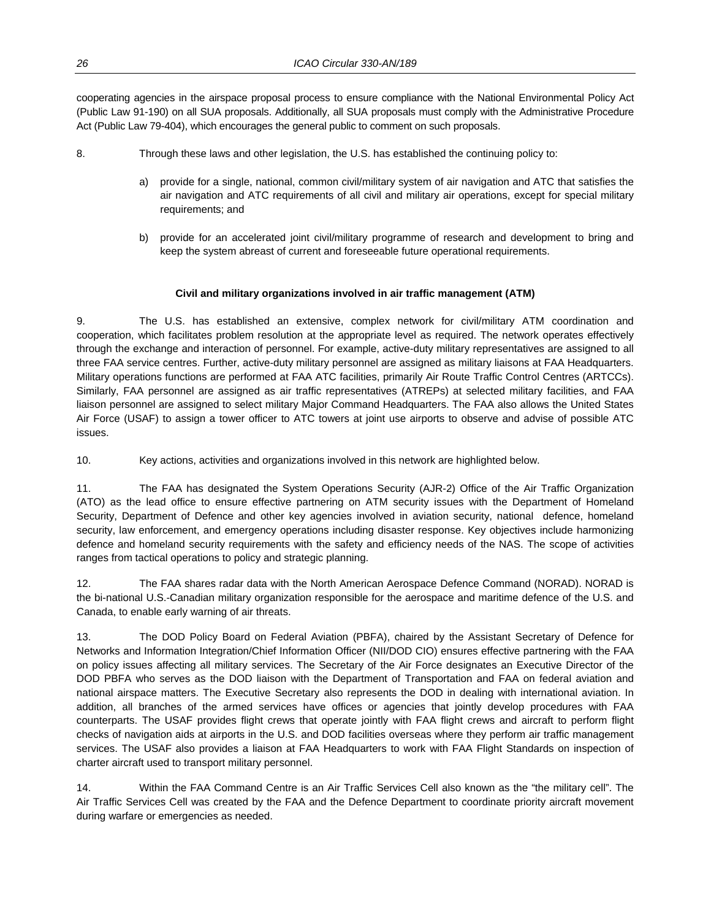cooperating agencies in the airspace proposal process to ensure compliance with the National Environmental Policy Act (Public Law 91-190) on all SUA proposals. Additionally, all SUA proposals must comply with the Administrative Procedure Act (Public Law 79-404), which encourages the general public to comment on such proposals.

- 8. Through these laws and other legislation, the U.S. has established the continuing policy to:
	- a) provide for a single, national, common civil/military system of air navigation and ATC that satisfies the air navigation and ATC requirements of all civil and military air operations, except for special military requirements; and
	- b) provide for an accelerated joint civil/military programme of research and development to bring and keep the system abreast of current and foreseeable future operational requirements.

#### **Civil and military organizations involved in air traffic management (ATM)**

9. The U.S. has established an extensive, complex network for civil/military ATM coordination and cooperation, which facilitates problem resolution at the appropriate level as required. The network operates effectively through the exchange and interaction of personnel. For example, active-duty military representatives are assigned to all three FAA service centres. Further, active-duty military personnel are assigned as military liaisons at FAA Headquarters. Military operations functions are performed at FAA ATC facilities, primarily Air Route Traffic Control Centres (ARTCCs). Similarly, FAA personnel are assigned as air traffic representatives (ATREPs) at selected military facilities, and FAA liaison personnel are assigned to select military Major Command Headquarters. The FAA also allows the United States Air Force (USAF) to assign a tower officer to ATC towers at joint use airports to observe and advise of possible ATC issues.

10. Key actions, activities and organizations involved in this network are highlighted below.

11. The FAA has designated the System Operations Security (AJR-2) Office of the Air Traffic Organization (ATO) as the lead office to ensure effective partnering on ATM security issues with the Department of Homeland Security, Department of Defence and other key agencies involved in aviation security, national defence, homeland security, law enforcement, and emergency operations including disaster response. Key objectives include harmonizing defence and homeland security requirements with the safety and efficiency needs of the NAS. The scope of activities ranges from tactical operations to policy and strategic planning.

12. The FAA shares radar data with the North American Aerospace Defence Command (NORAD). NORAD is the bi-national U.S.-Canadian military organization responsible for the aerospace and maritime defence of the U.S. and Canada, to enable early warning of air threats.

13. The DOD Policy Board on Federal Aviation (PBFA), chaired by the Assistant Secretary of Defence for Networks and Information Integration/Chief Information Officer (NII/DOD CIO) ensures effective partnering with the FAA on policy issues affecting all military services. The Secretary of the Air Force designates an Executive Director of the DOD PBFA who serves as the DOD liaison with the Department of Transportation and FAA on federal aviation and national airspace matters. The Executive Secretary also represents the DOD in dealing with international aviation. In addition, all branches of the armed services have offices or agencies that jointly develop procedures with FAA counterparts. The USAF provides flight crews that operate jointly with FAA flight crews and aircraft to perform flight checks of navigation aids at airports in the U.S. and DOD facilities overseas where they perform air traffic management services. The USAF also provides a liaison at FAA Headquarters to work with FAA Flight Standards on inspection of charter aircraft used to transport military personnel.

14. Within the FAA Command Centre is an Air Traffic Services Cell also known as the "the military cell". The Air Traffic Services Cell was created by the FAA and the Defence Department to coordinate priority aircraft movement during warfare or emergencies as needed.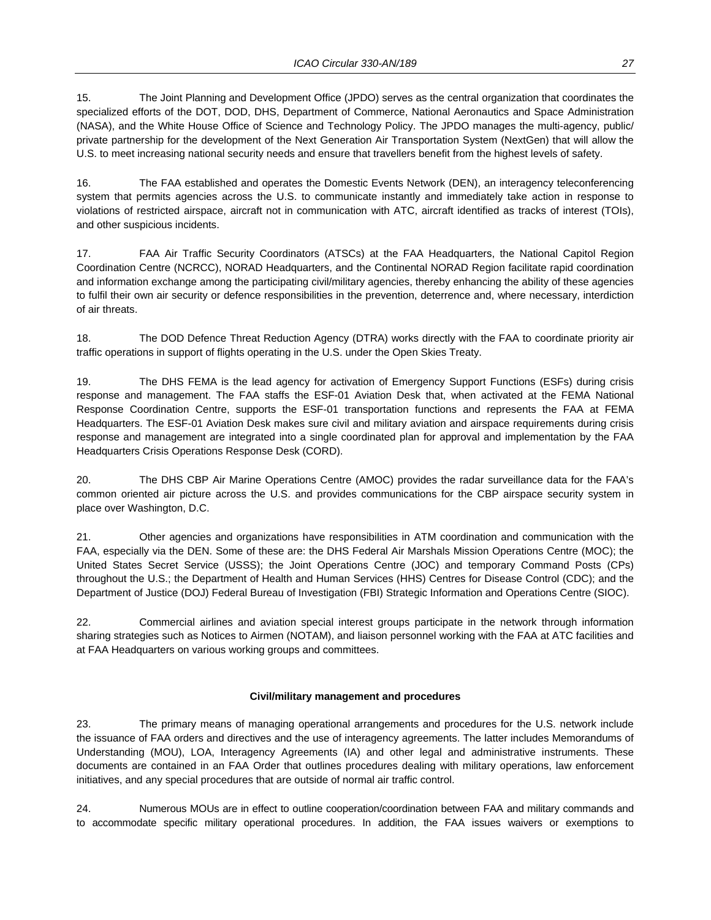15. The Joint Planning and Development Office (JPDO) serves as the central organization that coordinates the specialized efforts of the DOT, DOD, DHS, Department of Commerce, National Aeronautics and Space Administration (NASA), and the White House Office of Science and Technology Policy. The JPDO manages the multi-agency, public/ private partnership for the development of the Next Generation Air Transportation System (NextGen) that will allow the U.S. to meet increasing national security needs and ensure that travellers benefit from the highest levels of safety.

16. The FAA established and operates the Domestic Events Network (DEN), an interagency teleconferencing system that permits agencies across the U.S. to communicate instantly and immediately take action in response to violations of restricted airspace, aircraft not in communication with ATC, aircraft identified as tracks of interest (TOIs), and other suspicious incidents.

17. FAA Air Traffic Security Coordinators (ATSCs) at the FAA Headquarters, the National Capitol Region Coordination Centre (NCRCC), NORAD Headquarters, and the Continental NORAD Region facilitate rapid coordination and information exchange among the participating civil/military agencies, thereby enhancing the ability of these agencies to fulfil their own air security or defence responsibilities in the prevention, deterrence and, where necessary, interdiction of air threats.

18. The DOD Defence Threat Reduction Agency (DTRA) works directly with the FAA to coordinate priority air traffic operations in support of flights operating in the U.S. under the Open Skies Treaty.

19. The DHS FEMA is the lead agency for activation of Emergency Support Functions (ESFs) during crisis response and management. The FAA staffs the ESF-01 Aviation Desk that, when activated at the FEMA National Response Coordination Centre, supports the ESF-01 transportation functions and represents the FAA at FEMA Headquarters. The ESF-01 Aviation Desk makes sure civil and military aviation and airspace requirements during crisis response and management are integrated into a single coordinated plan for approval and implementation by the FAA Headquarters Crisis Operations Response Desk (CORD).

20. The DHS CBP Air Marine Operations Centre (AMOC) provides the radar surveillance data for the FAA's common oriented air picture across the U.S. and provides communications for the CBP airspace security system in place over Washington, D.C.

21. Other agencies and organizations have responsibilities in ATM coordination and communication with the FAA, especially via the DEN. Some of these are: the DHS Federal Air Marshals Mission Operations Centre (MOC); the United States Secret Service (USSS); the Joint Operations Centre (JOC) and temporary Command Posts (CPs) throughout the U.S.; the Department of Health and Human Services (HHS) Centres for Disease Control (CDC); and the Department of Justice (DOJ) Federal Bureau of Investigation (FBI) Strategic Information and Operations Centre (SIOC).

22. Commercial airlines and aviation special interest groups participate in the network through information sharing strategies such as Notices to Airmen (NOTAM), and liaison personnel working with the FAA at ATC facilities and at FAA Headquarters on various working groups and committees.

#### **Civil/military management and procedures**

23. The primary means of managing operational arrangements and procedures for the U.S. network include the issuance of FAA orders and directives and the use of interagency agreements. The latter includes Memorandums of Understanding (MOU), LOA, Interagency Agreements (IA) and other legal and administrative instruments. These documents are contained in an FAA Order that outlines procedures dealing with military operations, law enforcement initiatives, and any special procedures that are outside of normal air traffic control.

24. Numerous MOUs are in effect to outline cooperation/coordination between FAA and military commands and to accommodate specific military operational procedures. In addition, the FAA issues waivers or exemptions to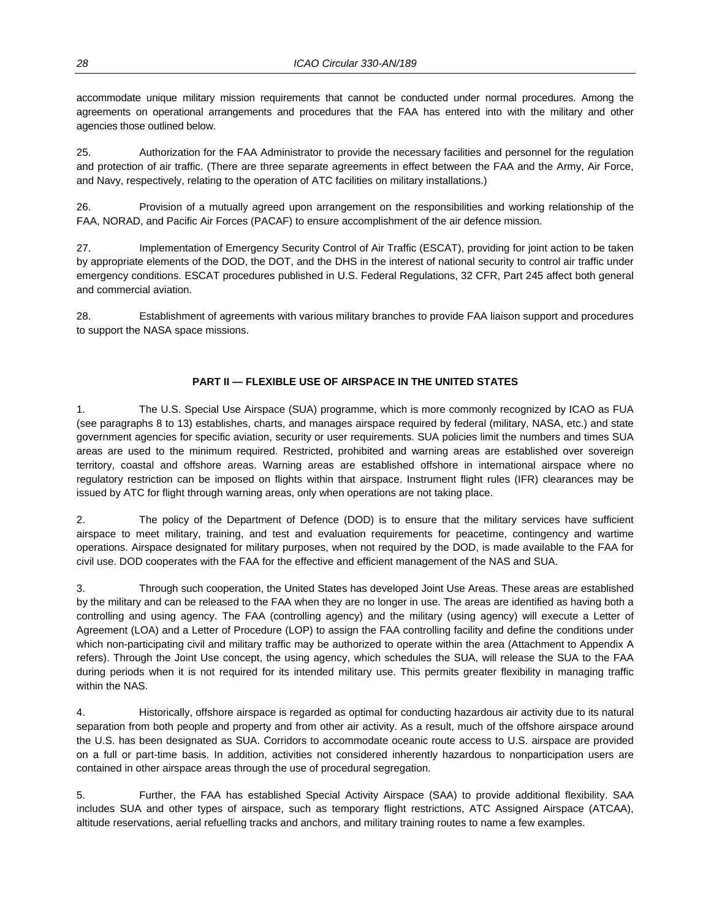accommodate unique military mission requirements that cannot be conducted under normal procedures. Among the agreements on operational arrangements and procedures that the FAA has entered into with the military and other agencies those outlined below.

25. Authorization for the FAA Administrator to provide the necessary facilities and personnel for the regulation and protection of air traffic. (There are three separate agreements in effect between the FAA and the Army, Air Force, and Navy, respectively, relating to the operation of ATC facilities on military installations.)

26. Provision of a mutually agreed upon arrangement on the responsibilities and working relationship of the FAA, NORAD, and Pacific Air Forces (PACAF) to ensure accomplishment of the air defence mission.

27. Implementation of Emergency Security Control of Air Traffic (ESCAT), providing for joint action to be taken by appropriate elements of the DOD, the DOT, and the DHS in the interest of national security to control air traffic under emergency conditions. ESCAT procedures published in U.S. Federal Regulations, 32 CFR, Part 245 affect both general and commercial aviation.

28. Establishment of agreements with various military branches to provide FAA liaison support and procedures to support the NASA space missions.

#### **PART II — FLEXIBLE USE OF AIRSPACE IN THE UNITED STATES**

1. The U.S. Special Use Airspace (SUA) programme, which is more commonly recognized by ICAO as FUA (see paragraphs 8 to 13) establishes, charts, and manages airspace required by federal (military, NASA, etc.) and state government agencies for specific aviation, security or user requirements. SUA policies limit the numbers and times SUA areas are used to the minimum required. Restricted, prohibited and warning areas are established over sovereign territory, coastal and offshore areas. Warning areas are established offshore in international airspace where no regulatory restriction can be imposed on flights within that airspace. Instrument flight rules (IFR) clearances may be issued by ATC for flight through warning areas, only when operations are not taking place.

2. The policy of the Department of Defence (DOD) is to ensure that the military services have sufficient airspace to meet military, training, and test and evaluation requirements for peacetime, contingency and wartime operations. Airspace designated for military purposes, when not required by the DOD, is made available to the FAA for civil use. DOD cooperates with the FAA for the effective and efficient management of the NAS and SUA.

3. Through such cooperation, the United States has developed Joint Use Areas. These areas are established by the military and can be released to the FAA when they are no longer in use. The areas are identified as having both a controlling and using agency. The FAA (controlling agency) and the military (using agency) will execute a Letter of Agreement (LOA) and a Letter of Procedure (LOP) to assign the FAA controlling facility and define the conditions under which non-participating civil and military traffic may be authorized to operate within the area (Attachment to Appendix A refers). Through the Joint Use concept, the using agency, which schedules the SUA, will release the SUA to the FAA during periods when it is not required for its intended military use. This permits greater flexibility in managing traffic within the NAS.

4. Historically, offshore airspace is regarded as optimal for conducting hazardous air activity due to its natural separation from both people and property and from other air activity. As a result, much of the offshore airspace around the U.S. has been designated as SUA. Corridors to accommodate oceanic route access to U.S. airspace are provided on a full or part-time basis. In addition, activities not considered inherently hazardous to nonparticipation users are contained in other airspace areas through the use of procedural segregation.

5. Further, the FAA has established Special Activity Airspace (SAA) to provide additional flexibility. SAA includes SUA and other types of airspace, such as temporary flight restrictions, ATC Assigned Airspace (ATCAA), altitude reservations, aerial refuelling tracks and anchors, and military training routes to name a few examples.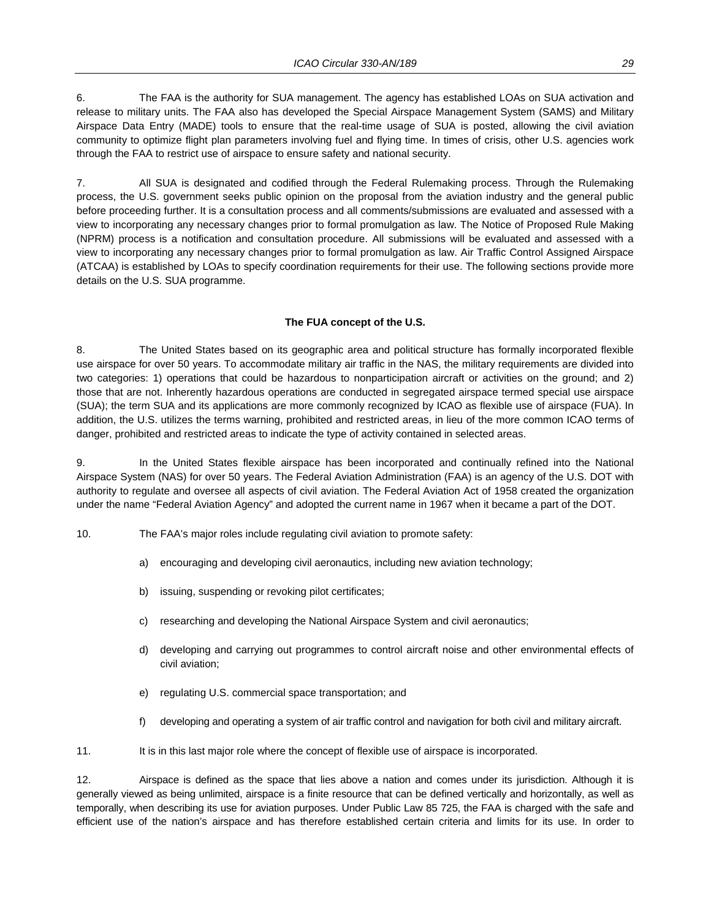6. The FAA is the authority for SUA management. The agency has established LOAs on SUA activation and release to military units. The FAA also has developed the Special Airspace Management System (SAMS) and Military Airspace Data Entry (MADE) tools to ensure that the real-time usage of SUA is posted, allowing the civil aviation community to optimize flight plan parameters involving fuel and flying time. In times of crisis, other U.S. agencies work through the FAA to restrict use of airspace to ensure safety and national security.

7. All SUA is designated and codified through the Federal Rulemaking process. Through the Rulemaking process, the U.S. government seeks public opinion on the proposal from the aviation industry and the general public before proceeding further. It is a consultation process and all comments/submissions are evaluated and assessed with a view to incorporating any necessary changes prior to formal promulgation as law. The Notice of Proposed Rule Making (NPRM) process is a notification and consultation procedure. All submissions will be evaluated and assessed with a view to incorporating any necessary changes prior to formal promulgation as law. Air Traffic Control Assigned Airspace (ATCAA) is established by LOAs to specify coordination requirements for their use. The following sections provide more details on the U.S. SUA programme.

#### **The FUA concept of the U.S.**

8. The United States based on its geographic area and political structure has formally incorporated flexible use airspace for over 50 years. To accommodate military air traffic in the NAS, the military requirements are divided into two categories: 1) operations that could be hazardous to nonparticipation aircraft or activities on the ground; and 2) those that are not. Inherently hazardous operations are conducted in segregated airspace termed special use airspace (SUA); the term SUA and its applications are more commonly recognized by ICAO as flexible use of airspace (FUA). In addition, the U.S. utilizes the terms warning, prohibited and restricted areas, in lieu of the more common ICAO terms of danger, prohibited and restricted areas to indicate the type of activity contained in selected areas.

9. In the United States flexible airspace has been incorporated and continually refined into the National Airspace System (NAS) for over 50 years. The Federal Aviation Administration (FAA) is an agency of the U.S. DOT with authority to regulate and oversee all aspects of civil aviation. The Federal Aviation Act of 1958 created the organization under the name "Federal Aviation Agency" and adopted the current name in 1967 when it became a part of the DOT.

- 10. The FAA's major roles include regulating civil aviation to promote safety:
	- a) encouraging and developing civil aeronautics, including new aviation technology;
	- b) issuing, suspending or revoking pilot certificates;
	- c) researching and developing the National Airspace System and civil aeronautics;
	- d) developing and carrying out programmes to control aircraft noise and other environmental effects of civil aviation;
	- e) regulating U.S. commercial space transportation; and
	- f) developing and operating a system of air traffic control and navigation for both civil and military aircraft.

11. It is in this last major role where the concept of flexible use of airspace is incorporated.

12. Airspace is defined as the space that lies above a nation and comes under its jurisdiction. Although it is generally viewed as being unlimited, airspace is a finite resource that can be defined vertically and horizontally, as well as temporally, when describing its use for aviation purposes. Under Public Law 85 725, the FAA is charged with the safe and efficient use of the nation's airspace and has therefore established certain criteria and limits for its use. In order to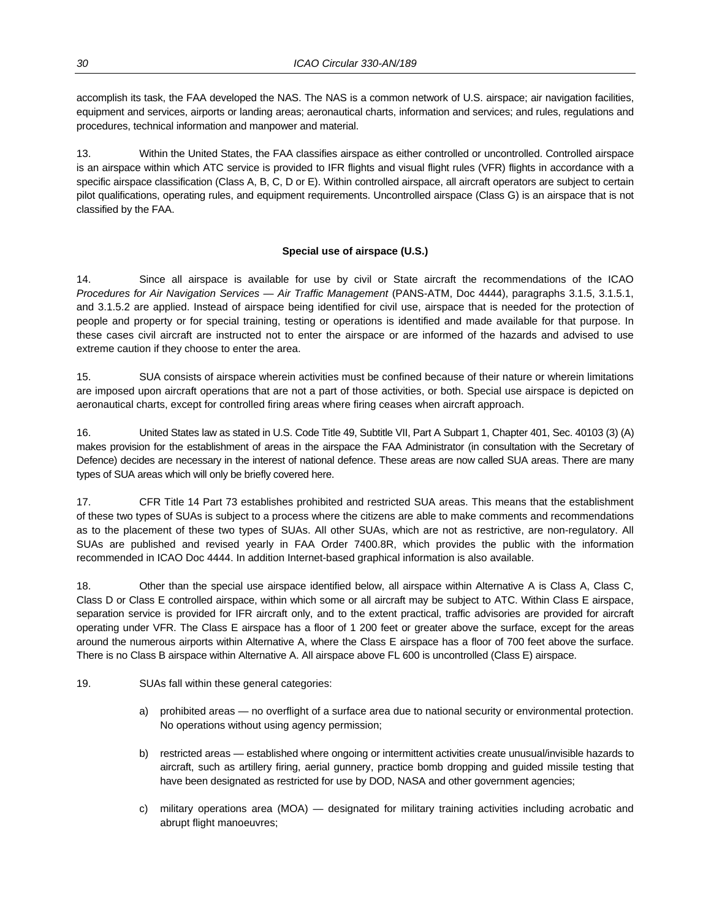accomplish its task, the FAA developed the NAS. The NAS is a common network of U.S. airspace; air navigation facilities, equipment and services, airports or landing areas; aeronautical charts, information and services; and rules, regulations and procedures, technical information and manpower and material.

13. Within the United States, the FAA classifies airspace as either controlled or uncontrolled. Controlled airspace is an airspace within which ATC service is provided to IFR flights and visual flight rules (VFR) flights in accordance with a specific airspace classification (Class A, B, C, D or E). Within controlled airspace, all aircraft operators are subject to certain pilot qualifications, operating rules, and equipment requirements. Uncontrolled airspace (Class G) is an airspace that is not classified by the FAA.

#### **Special use of airspace (U.S.)**

14. Since all airspace is available for use by civil or State aircraft the recommendations of the ICAO *Procedures for Air Navigation Services — Air Traffic Management* (PANS-ATM, Doc 4444), paragraphs 3.1.5, 3.1.5.1, and 3.1.5.2 are applied. Instead of airspace being identified for civil use, airspace that is needed for the protection of people and property or for special training, testing or operations is identified and made available for that purpose. In these cases civil aircraft are instructed not to enter the airspace or are informed of the hazards and advised to use extreme caution if they choose to enter the area.

15. SUA consists of airspace wherein activities must be confined because of their nature or wherein limitations are imposed upon aircraft operations that are not a part of those activities, or both. Special use airspace is depicted on aeronautical charts, except for controlled firing areas where firing ceases when aircraft approach.

16. United States law as stated in U.S. Code Title 49, Subtitle VII, Part A Subpart 1, Chapter 401, Sec. 40103 (3) (A) makes provision for the establishment of areas in the airspace the FAA Administrator (in consultation with the Secretary of Defence) decides are necessary in the interest of national defence. These areas are now called SUA areas. There are many types of SUA areas which will only be briefly covered here.

17. CFR Title 14 Part 73 establishes prohibited and restricted SUA areas. This means that the establishment of these two types of SUAs is subject to a process where the citizens are able to make comments and recommendations as to the placement of these two types of SUAs. All other SUAs, which are not as restrictive, are non-regulatory. All SUAs are published and revised yearly in FAA Order 7400.8R, which provides the public with the information recommended in ICAO Doc 4444. In addition Internet-based graphical information is also available.

18. Other than the special use airspace identified below, all airspace within Alternative A is Class A, Class C, Class D or Class E controlled airspace, within which some or all aircraft may be subject to ATC. Within Class E airspace, separation service is provided for IFR aircraft only, and to the extent practical, traffic advisories are provided for aircraft operating under VFR. The Class E airspace has a floor of 1 200 feet or greater above the surface, except for the areas around the numerous airports within Alternative A, where the Class E airspace has a floor of 700 feet above the surface. There is no Class B airspace within Alternative A. All airspace above FL 600 is uncontrolled (Class E) airspace.

#### 19. SUAs fall within these general categories:

- a) prohibited areas no overflight of a surface area due to national security or environmental protection. No operations without using agency permission;
- b) restricted areas established where ongoing or intermittent activities create unusual/invisible hazards to aircraft, such as artillery firing, aerial gunnery, practice bomb dropping and guided missile testing that have been designated as restricted for use by DOD, NASA and other government agencies;
- c) military operations area (MOA) designated for military training activities including acrobatic and abrupt flight manoeuvres;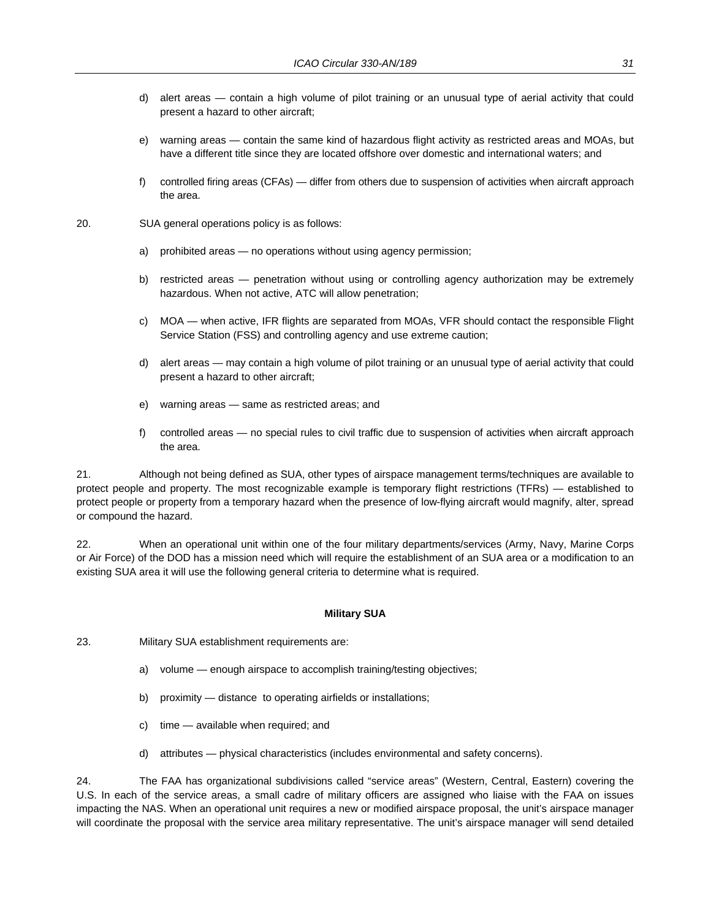- d) alert areas contain a high volume of pilot training or an unusual type of aerial activity that could present a hazard to other aircraft;
- e) warning areas contain the same kind of hazardous flight activity as restricted areas and MOAs, but have a different title since they are located offshore over domestic and international waters; and
- f) controlled firing areas (CFAs) differ from others due to suspension of activities when aircraft approach the area.
- 20. SUA general operations policy is as follows:
	- a) prohibited areas no operations without using agency permission;
	- b) restricted areas penetration without using or controlling agency authorization may be extremely hazardous. When not active, ATC will allow penetration;
	- c) MOA when active, IFR flights are separated from MOAs, VFR should contact the responsible Flight Service Station (FSS) and controlling agency and use extreme caution;
	- d) alert areas may contain a high volume of pilot training or an unusual type of aerial activity that could present a hazard to other aircraft;
	- e) warning areas same as restricted areas; and
	- f) controlled areas no special rules to civil traffic due to suspension of activities when aircraft approach the area.

21. Although not being defined as SUA, other types of airspace management terms/techniques are available to protect people and property. The most recognizable example is temporary flight restrictions (TFRs) — established to protect people or property from a temporary hazard when the presence of low-flying aircraft would magnify, alter, spread or compound the hazard.

22. When an operational unit within one of the four military departments/services (Army, Navy, Marine Corps or Air Force) of the DOD has a mission need which will require the establishment of an SUA area or a modification to an existing SUA area it will use the following general criteria to determine what is required.

#### **Military SUA**

- 23. Military SUA establishment requirements are:
	- a) volume enough airspace to accomplish training/testing objectives;
	- b) proximity distance to operating airfields or installations;
	- c) time available when required; and
	- d) attributes physical characteristics (includes environmental and safety concerns).

24. The FAA has organizational subdivisions called "service areas" (Western, Central, Eastern) covering the U.S. In each of the service areas, a small cadre of military officers are assigned who liaise with the FAA on issues impacting the NAS. When an operational unit requires a new or modified airspace proposal, the unit's airspace manager will coordinate the proposal with the service area military representative. The unit's airspace manager will send detailed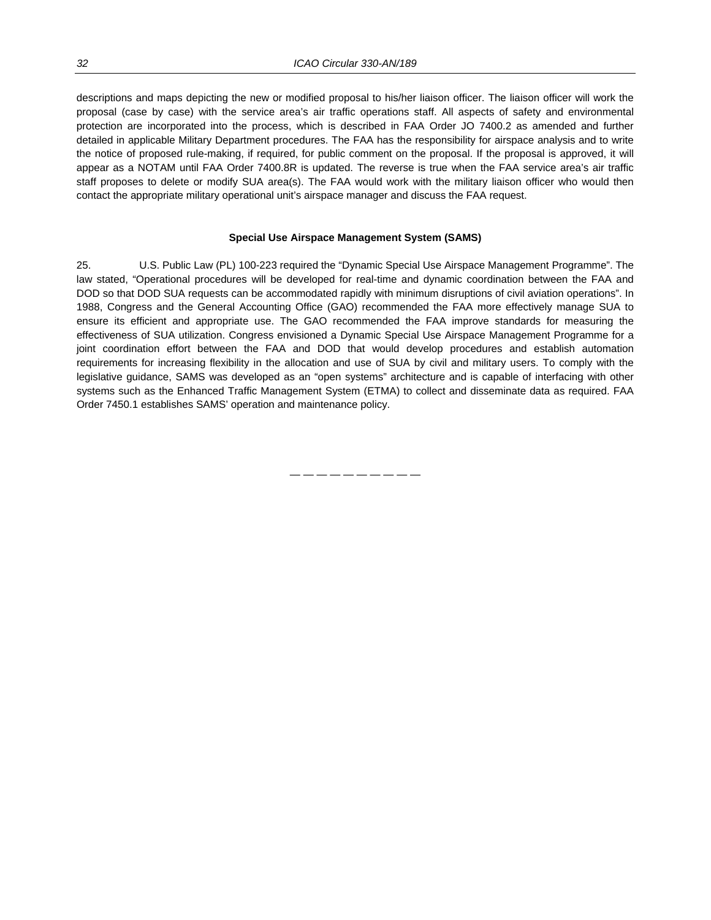descriptions and maps depicting the new or modified proposal to his/her liaison officer. The liaison officer will work the proposal (case by case) with the service area's air traffic operations staff. All aspects of safety and environmental protection are incorporated into the process, which is described in FAA Order JO 7400.2 as amended and further detailed in applicable Military Department procedures. The FAA has the responsibility for airspace analysis and to write the notice of proposed rule-making, if required, for public comment on the proposal. If the proposal is approved, it will appear as a NOTAM until FAA Order 7400.8R is updated. The reverse is true when the FAA service area's air traffic staff proposes to delete or modify SUA area(s). The FAA would work with the military liaison officer who would then contact the appropriate military operational unit's airspace manager and discuss the FAA request.

#### **Special Use Airspace Management System (SAMS)**

25. U.S. Public Law (PL) 100-223 required the "Dynamic Special Use Airspace Management Programme". The law stated, "Operational procedures will be developed for real-time and dynamic coordination between the FAA and DOD so that DOD SUA requests can be accommodated rapidly with minimum disruptions of civil aviation operations". In 1988, Congress and the General Accounting Office (GAO) recommended the FAA more effectively manage SUA to ensure its efficient and appropriate use. The GAO recommended the FAA improve standards for measuring the effectiveness of SUA utilization. Congress envisioned a Dynamic Special Use Airspace Management Programme for a joint coordination effort between the FAA and DOD that would develop procedures and establish automation requirements for increasing flexibility in the allocation and use of SUA by civil and military users. To comply with the legislative guidance, SAMS was developed as an "open systems" architecture and is capable of interfacing with other systems such as the Enhanced Traffic Management System (ETMA) to collect and disseminate data as required. FAA Order 7450.1 establishes SAMS' operation and maintenance policy.

— — — — — — — — — —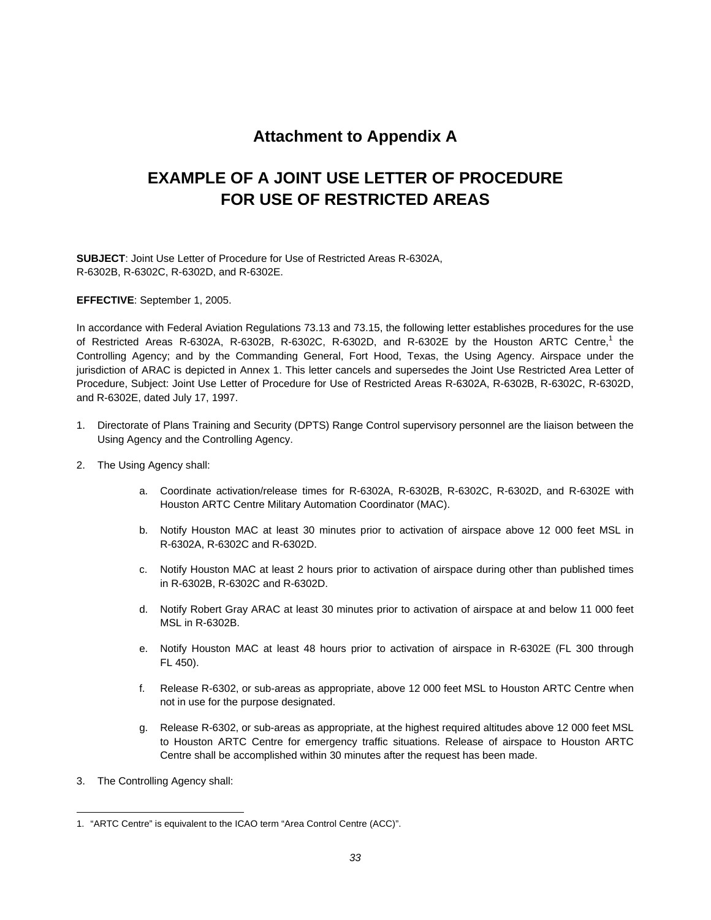## **Attachment to Appendix A**

## **EXAMPLE OF A JOINT USE LETTER OF PROCEDURE FOR USE OF RESTRICTED AREAS**

**SUBJECT**: Joint Use Letter of Procedure for Use of Restricted Areas R-6302A, R-6302B, R-6302C, R-6302D, and R-6302E.

**EFFECTIVE**: September 1, 2005.

In accordance with Federal Aviation Regulations 73.13 and 73.15, the following letter establishes procedures for the use of Restricted Areas R-6302A, R-6302B, R-6302C, R-6302D, and R-6302E by the Houston ARTC Centre,<sup>1</sup> the Controlling Agency; and by the Commanding General, Fort Hood, Texas, the Using Agency. Airspace under the jurisdiction of ARAC is depicted in Annex 1. This letter cancels and supersedes the Joint Use Restricted Area Letter of Procedure, Subject: Joint Use Letter of Procedure for Use of Restricted Areas R-6302A, R-6302B, R-6302C, R-6302D, and R-6302E, dated July 17, 1997.

- 1. Directorate of Plans Training and Security (DPTS) Range Control supervisory personnel are the liaison between the Using Agency and the Controlling Agency.
- 2. The Using Agency shall:
	- a. Coordinate activation/release times for R-6302A, R-6302B, R-6302C, R-6302D, and R-6302E with Houston ARTC Centre Military Automation Coordinator (MAC).
	- b. Notify Houston MAC at least 30 minutes prior to activation of airspace above 12 000 feet MSL in R-6302A, R-6302C and R-6302D.
	- c. Notify Houston MAC at least 2 hours prior to activation of airspace during other than published times in R-6302B, R-6302C and R-6302D.
	- d. Notify Robert Gray ARAC at least 30 minutes prior to activation of airspace at and below 11 000 feet MSL in R-6302B.
	- e. Notify Houston MAC at least 48 hours prior to activation of airspace in R-6302E (FL 300 through FL 450).
	- f. Release R-6302, or sub-areas as appropriate, above 12 000 feet MSL to Houston ARTC Centre when not in use for the purpose designated.
	- g. Release R-6302, or sub-areas as appropriate, at the highest required altitudes above 12 000 feet MSL to Houston ARTC Centre for emergency traffic situations. Release of airspace to Houston ARTC Centre shall be accomplished within 30 minutes after the request has been made.
- 3. The Controlling Agency shall:

 $\overline{a}$ 1. "ARTC Centre" is equivalent to the ICAO term "Area Control Centre (ACC)".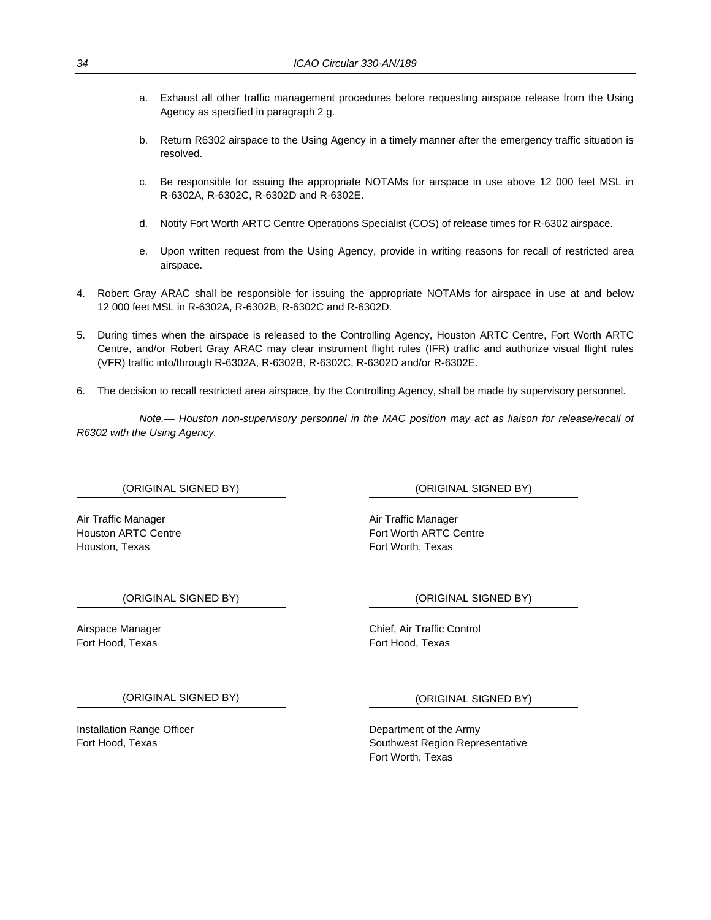- a. Exhaust all other traffic management procedures before requesting airspace release from the Using Agency as specified in paragraph 2 g.
- b. Return R6302 airspace to the Using Agency in a timely manner after the emergency traffic situation is resolved.
- c. Be responsible for issuing the appropriate NOTAMs for airspace in use above 12 000 feet MSL in R-6302A, R-6302C, R-6302D and R-6302E.
- d. Notify Fort Worth ARTC Centre Operations Specialist (COS) of release times for R-6302 airspace.
- e. Upon written request from the Using Agency, provide in writing reasons for recall of restricted area airspace.
- 4. Robert Gray ARAC shall be responsible for issuing the appropriate NOTAMs for airspace in use at and below 12 000 feet MSL in R-6302A, R-6302B, R-6302C and R-6302D.
- 5. During times when the airspace is released to the Controlling Agency, Houston ARTC Centre, Fort Worth ARTC Centre, and/or Robert Gray ARAC may clear instrument flight rules (IFR) traffic and authorize visual flight rules (VFR) traffic into/through R-6302A, R-6302B, R-6302C, R-6302D and/or R-6302E.
- 6. The decision to recall restricted area airspace, by the Controlling Agency, shall be made by supervisory personnel.

*Note.— Houston non-supervisory personnel in the MAC position may act as liaison for release/recall of R6302 with the Using Agency.* 

Air Traffic Manager **Air Traffic Manager** Air Traffic Manager Houston, Texas Fort Worth, Texas Fort Worth, Texas

(ORIGINAL SIGNED BY) (ORIGINAL SIGNED BY)

Houston ARTC Centre Fort Worth ARTC Centre Fort Worth ARTC Centre

(ORIGINAL SIGNED BY) (ORIGINAL SIGNED BY)

Fort Hood, Texas Fort Hood, Texas

Airspace Manager Chief, Air Traffic Control

(ORIGINAL SIGNED BY) (ORIGINAL SIGNED BY)

Installation Range Officer **Department of the Army** 

Fort Hood, Texas Southwest Region Representative Fort Worth, Texas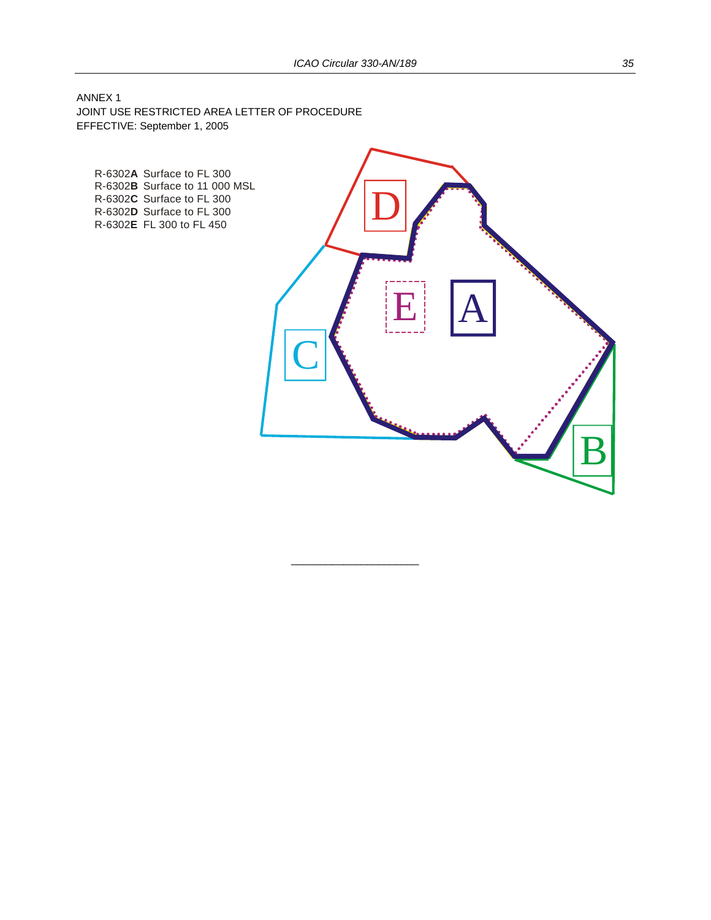$\overline{\phantom{a}}$  , and the set of the set of the set of the set of the set of the set of the set of the set of the set of the set of the set of the set of the set of the set of the set of the set of the set of the set of the s

ANNEX 1 JOINT USE RESTRICTED AREA LETTER OF PROCEDURE EFFECTIVE: September 1, 2005

R-6302A Surface to FL 300 R-6302**B** Surface to 11 000 MSL R-6302C Surface to FL 300 R-6302D Surface to FL 300 R-6302**E** FL 300 to FL 450

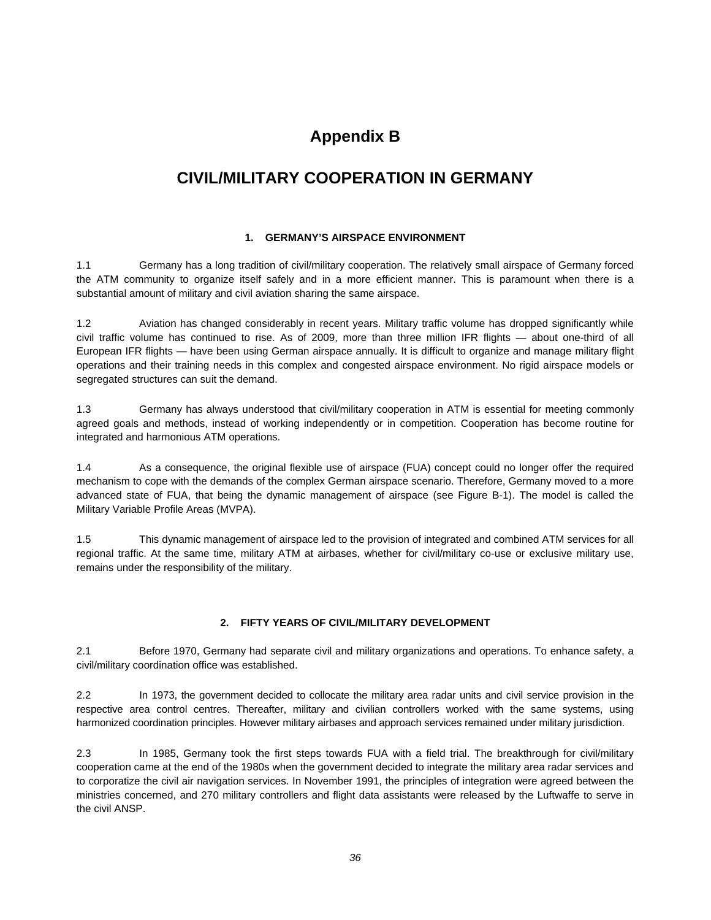## **Appendix B**

## **CIVIL/MILITARY COOPERATION IN GERMANY**

#### **1. GERMANY'S AIRSPACE ENVIRONMENT**

1.1 Germany has a long tradition of civil/military cooperation. The relatively small airspace of Germany forced the ATM community to organize itself safely and in a more efficient manner. This is paramount when there is a substantial amount of military and civil aviation sharing the same airspace.

1.2 Aviation has changed considerably in recent years. Military traffic volume has dropped significantly while civil traffic volume has continued to rise. As of 2009, more than three million IFR flights — about one-third of all European IFR flights — have been using German airspace annually. It is difficult to organize and manage military flight operations and their training needs in this complex and congested airspace environment. No rigid airspace models or segregated structures can suit the demand.

1.3 Germany has always understood that civil/military cooperation in ATM is essential for meeting commonly agreed goals and methods, instead of working independently or in competition. Cooperation has become routine for integrated and harmonious ATM operations.

1.4 As a consequence, the original flexible use of airspace (FUA) concept could no longer offer the required mechanism to cope with the demands of the complex German airspace scenario. Therefore, Germany moved to a more advanced state of FUA, that being the dynamic management of airspace (see Figure B-1). The model is called the Military Variable Profile Areas (MVPA).

1.5 This dynamic management of airspace led to the provision of integrated and combined ATM services for all regional traffic. At the same time, military ATM at airbases, whether for civil/military co-use or exclusive military use, remains under the responsibility of the military.

#### **2. FIFTY YEARS OF CIVIL/MILITARY DEVELOPMENT**

2.1 Before 1970, Germany had separate civil and military organizations and operations. To enhance safety, a civil/military coordination office was established.

2.2 In 1973, the government decided to collocate the military area radar units and civil service provision in the respective area control centres. Thereafter, military and civilian controllers worked with the same systems, using harmonized coordination principles. However military airbases and approach services remained under military jurisdiction.

2.3 In 1985, Germany took the first steps towards FUA with a field trial. The breakthrough for civil/military cooperation came at the end of the 1980s when the government decided to integrate the military area radar services and to corporatize the civil air navigation services. In November 1991, the principles of integration were agreed between the ministries concerned, and 270 military controllers and flight data assistants were released by the Luftwaffe to serve in the civil ANSP.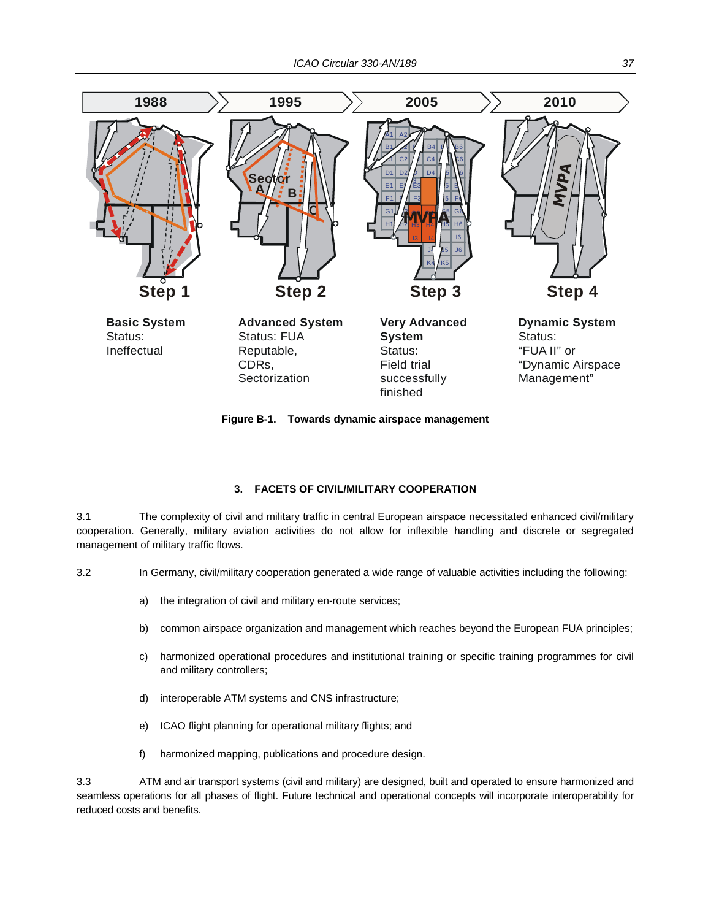

**Figure B-1. Towards dynamic airspace management** 

#### **3. FACETS OF CIVIL/MILITARY COOPERATION**

3.1 The complexity of civil and military traffic in central European airspace necessitated enhanced civil/military cooperation. Generally, military aviation activities do not allow for inflexible handling and discrete or segregated management of military traffic flows.

- 3.2 In Germany, civil/military cooperation generated a wide range of valuable activities including the following:
	- a) the integration of civil and military en-route services;
	- b) common airspace organization and management which reaches beyond the European FUA principles;
	- c) harmonized operational procedures and institutional training or specific training programmes for civil and military controllers;
	- d) interoperable ATM systems and CNS infrastructure;
	- e) ICAO flight planning for operational military flights; and
	- f) harmonized mapping, publications and procedure design.

3.3 ATM and air transport systems (civil and military) are designed, built and operated to ensure harmonized and seamless operations for all phases of flight. Future technical and operational concepts will incorporate interoperability for reduced costs and benefits.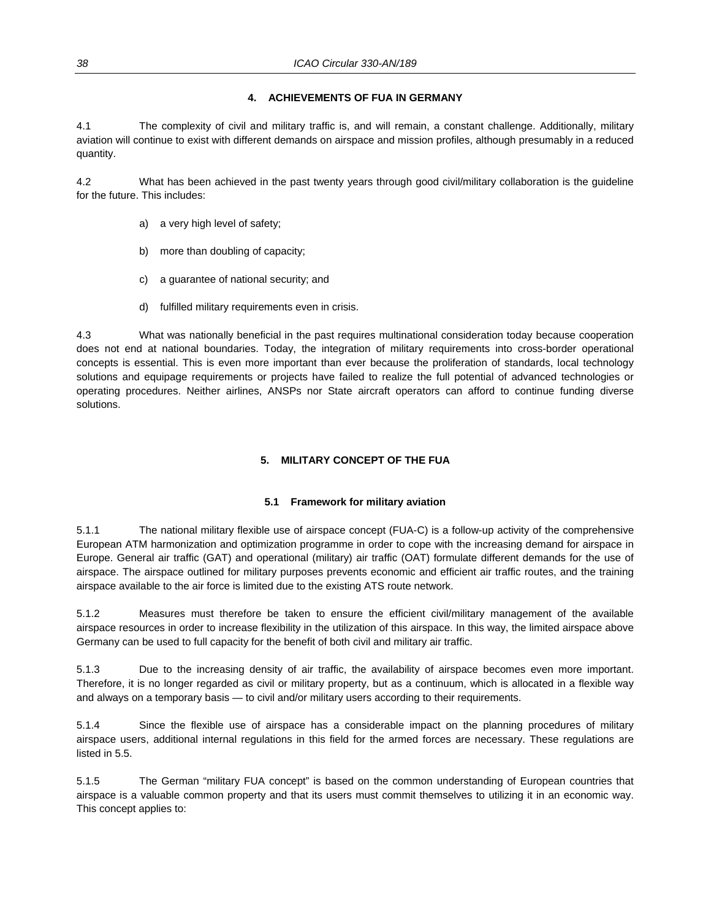#### **4. ACHIEVEMENTS OF FUA IN GERMANY**

4.1 The complexity of civil and military traffic is, and will remain, a constant challenge. Additionally, military aviation will continue to exist with different demands on airspace and mission profiles, although presumably in a reduced quantity.

4.2 What has been achieved in the past twenty years through good civil/military collaboration is the guideline for the future. This includes:

- a) a very high level of safety;
- b) more than doubling of capacity;
- c) a guarantee of national security; and
- d) fulfilled military requirements even in crisis.

4.3 What was nationally beneficial in the past requires multinational consideration today because cooperation does not end at national boundaries. Today, the integration of military requirements into cross-border operational concepts is essential. This is even more important than ever because the proliferation of standards, local technology solutions and equipage requirements or projects have failed to realize the full potential of advanced technologies or operating procedures. Neither airlines, ANSPs nor State aircraft operators can afford to continue funding diverse solutions.

#### **5. MILITARY CONCEPT OF THE FUA**

#### **5.1 Framework for military aviation**

5.1.1 The national military flexible use of airspace concept (FUA-C) is a follow-up activity of the comprehensive European ATM harmonization and optimization programme in order to cope with the increasing demand for airspace in Europe. General air traffic (GAT) and operational (military) air traffic (OAT) formulate different demands for the use of airspace. The airspace outlined for military purposes prevents economic and efficient air traffic routes, and the training airspace available to the air force is limited due to the existing ATS route network.

5.1.2 Measures must therefore be taken to ensure the efficient civil/military management of the available airspace resources in order to increase flexibility in the utilization of this airspace. In this way, the limited airspace above Germany can be used to full capacity for the benefit of both civil and military air traffic.

5.1.3 Due to the increasing density of air traffic, the availability of airspace becomes even more important. Therefore, it is no longer regarded as civil or military property, but as a continuum, which is allocated in a flexible way and always on a temporary basis — to civil and/or military users according to their requirements.

5.1.4 Since the flexible use of airspace has a considerable impact on the planning procedures of military airspace users, additional internal regulations in this field for the armed forces are necessary. These regulations are listed in 5.5.

5.1.5 The German "military FUA concept" is based on the common understanding of European countries that airspace is a valuable common property and that its users must commit themselves to utilizing it in an economic way. This concept applies to: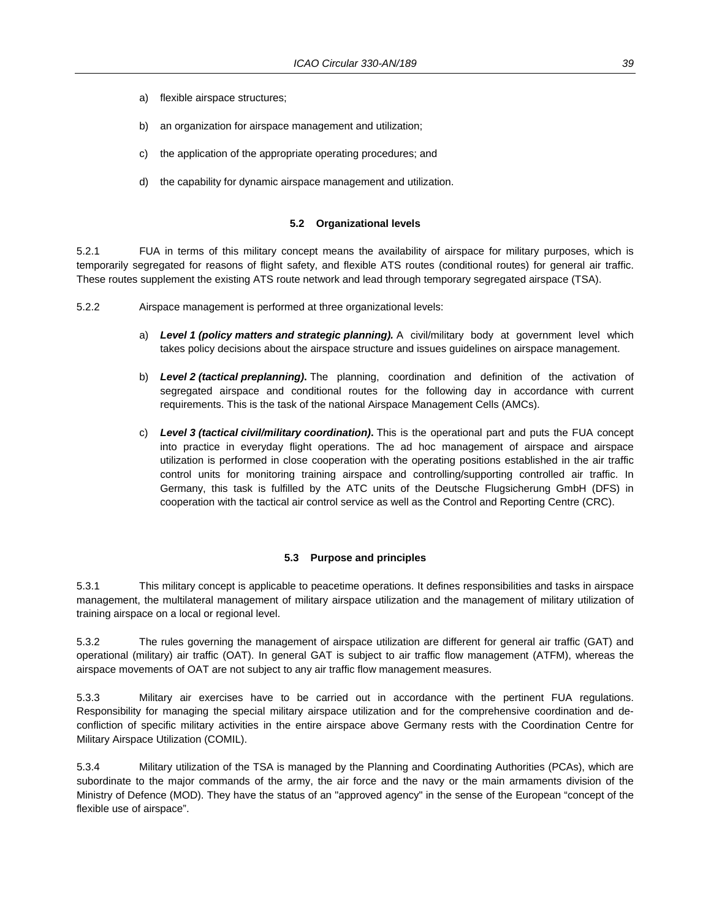- a) flexible airspace structures;
- b) an organization for airspace management and utilization;
- c) the application of the appropriate operating procedures; and
- d) the capability for dynamic airspace management and utilization.

#### **5.2 Organizational levels**

5.2.1 FUA in terms of this military concept means the availability of airspace for military purposes, which is temporarily segregated for reasons of flight safety, and flexible ATS routes (conditional routes) for general air traffic. These routes supplement the existing ATS route network and lead through temporary segregated airspace (TSA).

- 5.2.2 Airspace management is performed at three organizational levels:
	- a) *Level 1 (policy matters and strategic planning).* A civil/military body at government level which takes policy decisions about the airspace structure and issues guidelines on airspace management.
	- b) *Level 2 (tactical preplanning)***.** The planning, coordination and definition of the activation of segregated airspace and conditional routes for the following day in accordance with current requirements. This is the task of the national Airspace Management Cells (AMCs).
	- c) *Level 3 (tactical civil/military coordination)***.** This is the operational part and puts the FUA concept into practice in everyday flight operations. The ad hoc management of airspace and airspace utilization is performed in close cooperation with the operating positions established in the air traffic control units for monitoring training airspace and controlling/supporting controlled air traffic. In Germany, this task is fulfilled by the ATC units of the Deutsche Flugsicherung GmbH (DFS) in cooperation with the tactical air control service as well as the Control and Reporting Centre (CRC).

#### **5.3 Purpose and principles**

5.3.1 This military concept is applicable to peacetime operations. It defines responsibilities and tasks in airspace management, the multilateral management of military airspace utilization and the management of military utilization of training airspace on a local or regional level.

5.3.2 The rules governing the management of airspace utilization are different for general air traffic (GAT) and operational (military) air traffic (OAT). In general GAT is subject to air traffic flow management (ATFM), whereas the airspace movements of OAT are not subject to any air traffic flow management measures.

5.3.3 Military air exercises have to be carried out in accordance with the pertinent FUA regulations. Responsibility for managing the special military airspace utilization and for the comprehensive coordination and deconfliction of specific military activities in the entire airspace above Germany rests with the Coordination Centre for Military Airspace Utilization (COMIL).

5.3.4 Military utilization of the TSA is managed by the Planning and Coordinating Authorities (PCAs), which are subordinate to the major commands of the army, the air force and the navy or the main armaments division of the Ministry of Defence (MOD). They have the status of an "approved agency" in the sense of the European "concept of the flexible use of airspace".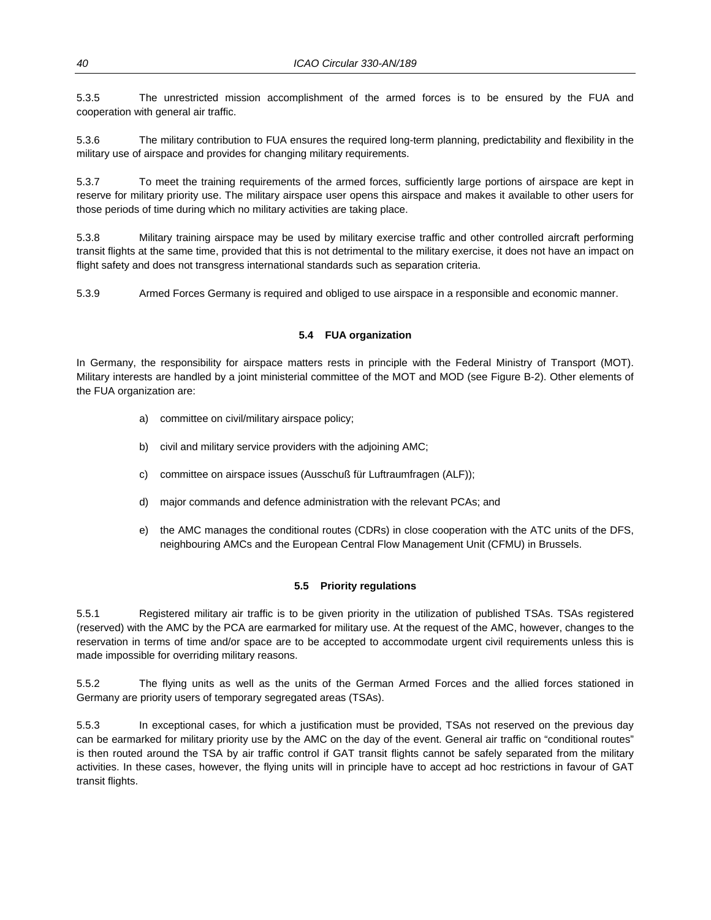5.3.5 The unrestricted mission accomplishment of the armed forces is to be ensured by the FUA and cooperation with general air traffic.

5.3.6 The military contribution to FUA ensures the required long-term planning, predictability and flexibility in the military use of airspace and provides for changing military requirements.

5.3.7 To meet the training requirements of the armed forces, sufficiently large portions of airspace are kept in reserve for military priority use. The military airspace user opens this airspace and makes it available to other users for those periods of time during which no military activities are taking place.

5.3.8 Military training airspace may be used by military exercise traffic and other controlled aircraft performing transit flights at the same time, provided that this is not detrimental to the military exercise, it does not have an impact on flight safety and does not transgress international standards such as separation criteria.

5.3.9 Armed Forces Germany is required and obliged to use airspace in a responsible and economic manner.

#### **5.4 FUA organization**

In Germany, the responsibility for airspace matters rests in principle with the Federal Ministry of Transport (MOT). Military interests are handled by a joint ministerial committee of the MOT and MOD (see Figure B-2). Other elements of the FUA organization are:

- a) committee on civil/military airspace policy;
- b) civil and military service providers with the adjoining AMC;
- c) committee on airspace issues (Ausschuß für Luftraumfragen (ALF));
- d) major commands and defence administration with the relevant PCAs; and
- e) the AMC manages the conditional routes (CDRs) in close cooperation with the ATC units of the DFS, neighbouring AMCs and the European Central Flow Management Unit (CFMU) in Brussels.

#### **5.5 Priority regulations**

5.5.1 Registered military air traffic is to be given priority in the utilization of published TSAs. TSAs registered (reserved) with the AMC by the PCA are earmarked for military use. At the request of the AMC, however, changes to the reservation in terms of time and/or space are to be accepted to accommodate urgent civil requirements unless this is made impossible for overriding military reasons.

5.5.2 The flying units as well as the units of the German Armed Forces and the allied forces stationed in Germany are priority users of temporary segregated areas (TSAs).

5.5.3 In exceptional cases, for which a justification must be provided, TSAs not reserved on the previous day can be earmarked for military priority use by the AMC on the day of the event. General air traffic on "conditional routes" is then routed around the TSA by air traffic control if GAT transit flights cannot be safely separated from the military activities. In these cases, however, the flying units will in principle have to accept ad hoc restrictions in favour of GAT transit flights.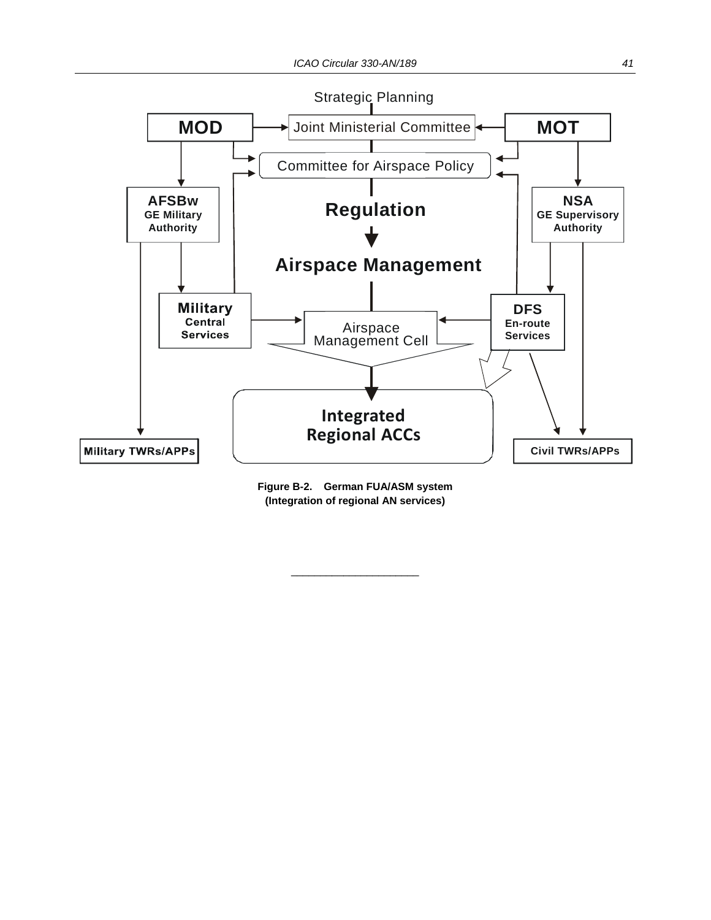



 $\overline{\phantom{a}}$  , and the set of the set of the set of the set of the set of the set of the set of the set of the set of the set of the set of the set of the set of the set of the set of the set of the set of the set of the s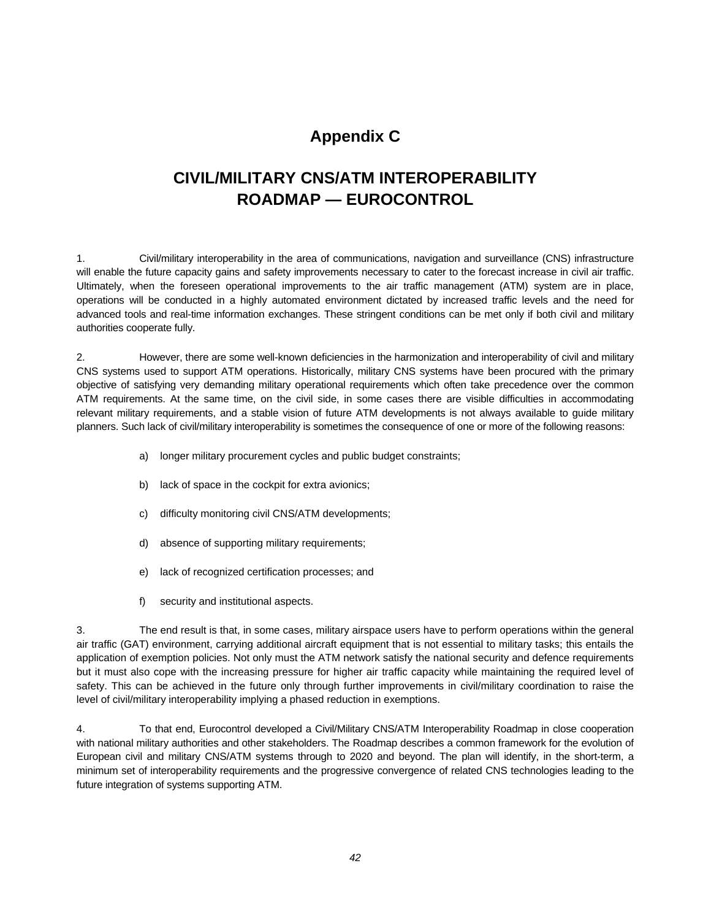## **Appendix C**

## **CIVIL/MILITARY CNS/ATM INTEROPERABILITY ROADMAP — EUROCONTROL**

1. Civil/military interoperability in the area of communications, navigation and surveillance (CNS) infrastructure will enable the future capacity gains and safety improvements necessary to cater to the forecast increase in civil air traffic. Ultimately, when the foreseen operational improvements to the air traffic management (ATM) system are in place, operations will be conducted in a highly automated environment dictated by increased traffic levels and the need for advanced tools and real-time information exchanges. These stringent conditions can be met only if both civil and military authorities cooperate fully.

2. However, there are some well-known deficiencies in the harmonization and interoperability of civil and military CNS systems used to support ATM operations. Historically, military CNS systems have been procured with the primary objective of satisfying very demanding military operational requirements which often take precedence over the common ATM requirements. At the same time, on the civil side, in some cases there are visible difficulties in accommodating relevant military requirements, and a stable vision of future ATM developments is not always available to guide military planners. Such lack of civil/military interoperability is sometimes the consequence of one or more of the following reasons:

- a) longer military procurement cycles and public budget constraints;
- b) lack of space in the cockpit for extra avionics;
- c) difficulty monitoring civil CNS/ATM developments;
- d) absence of supporting military requirements;
- e) lack of recognized certification processes; and
- f) security and institutional aspects.

3. The end result is that, in some cases, military airspace users have to perform operations within the general air traffic (GAT) environment, carrying additional aircraft equipment that is not essential to military tasks; this entails the application of exemption policies. Not only must the ATM network satisfy the national security and defence requirements but it must also cope with the increasing pressure for higher air traffic capacity while maintaining the required level of safety. This can be achieved in the future only through further improvements in civil/military coordination to raise the level of civil/military interoperability implying a phased reduction in exemptions.

4. To that end, Eurocontrol developed a Civil/Military CNS/ATM Interoperability Roadmap in close cooperation with national military authorities and other stakeholders. The Roadmap describes a common framework for the evolution of European civil and military CNS/ATM systems through to 2020 and beyond. The plan will identify, in the short-term, a minimum set of interoperability requirements and the progressive convergence of related CNS technologies leading to the future integration of systems supporting ATM.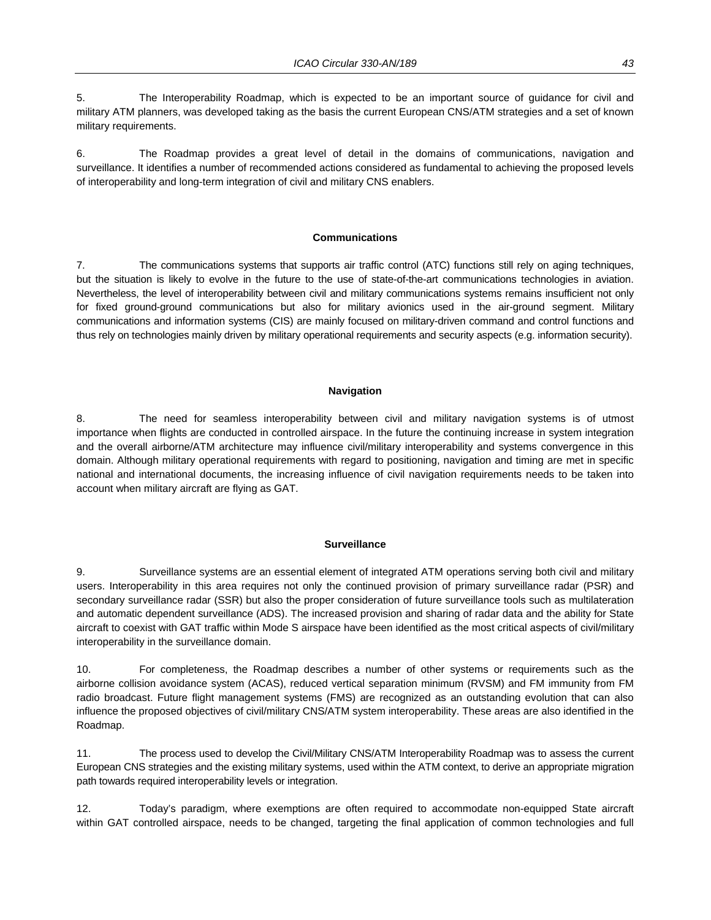5. The Interoperability Roadmap, which is expected to be an important source of guidance for civil and military ATM planners, was developed taking as the basis the current European CNS/ATM strategies and a set of known military requirements.

6. The Roadmap provides a great level of detail in the domains of communications, navigation and surveillance. It identifies a number of recommended actions considered as fundamental to achieving the proposed levels of interoperability and long-term integration of civil and military CNS enablers.

#### **Communications**

7. The communications systems that supports air traffic control (ATC) functions still rely on aging techniques, but the situation is likely to evolve in the future to the use of state-of-the-art communications technologies in aviation. Nevertheless, the level of interoperability between civil and military communications systems remains insufficient not only for fixed ground-ground communications but also for military avionics used in the air-ground segment. Military communications and information systems (CIS) are mainly focused on military-driven command and control functions and thus rely on technologies mainly driven by military operational requirements and security aspects (e.g. information security).

#### **Navigation**

8. The need for seamless interoperability between civil and military navigation systems is of utmost importance when flights are conducted in controlled airspace. In the future the continuing increase in system integration and the overall airborne/ATM architecture may influence civil/military interoperability and systems convergence in this domain. Although military operational requirements with regard to positioning, navigation and timing are met in specific national and international documents, the increasing influence of civil navigation requirements needs to be taken into account when military aircraft are flying as GAT.

#### **Surveillance**

9. Surveillance systems are an essential element of integrated ATM operations serving both civil and military users. Interoperability in this area requires not only the continued provision of primary surveillance radar (PSR) and secondary surveillance radar (SSR) but also the proper consideration of future surveillance tools such as multilateration and automatic dependent surveillance (ADS). The increased provision and sharing of radar data and the ability for State aircraft to coexist with GAT traffic within Mode S airspace have been identified as the most critical aspects of civil/military interoperability in the surveillance domain.

10. For completeness, the Roadmap describes a number of other systems or requirements such as the airborne collision avoidance system (ACAS), reduced vertical separation minimum (RVSM) and FM immunity from FM radio broadcast. Future flight management systems (FMS) are recognized as an outstanding evolution that can also influence the proposed objectives of civil/military CNS/ATM system interoperability. These areas are also identified in the Roadmap.

11. The process used to develop the Civil/Military CNS/ATM Interoperability Roadmap was to assess the current European CNS strategies and the existing military systems, used within the ATM context, to derive an appropriate migration path towards required interoperability levels or integration.

12. Today's paradigm, where exemptions are often required to accommodate non-equipped State aircraft within GAT controlled airspace, needs to be changed, targeting the final application of common technologies and full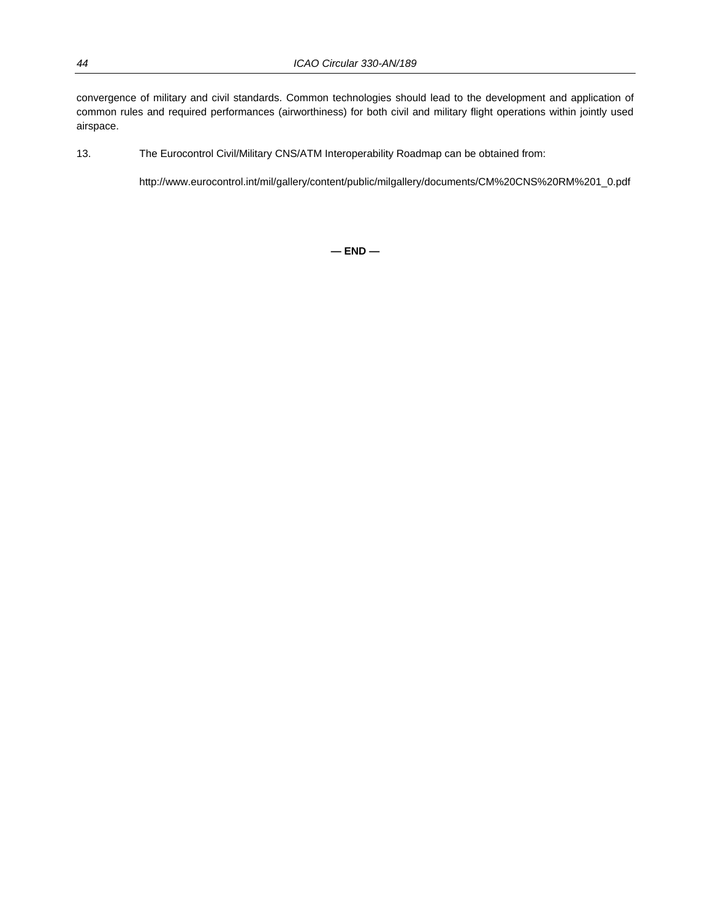convergence of military and civil standards. Common technologies should lead to the development and application of common rules and required performances (airworthiness) for both civil and military flight operations within jointly used airspace.

13. The Eurocontrol Civil/Military CNS/ATM Interoperability Roadmap can be obtained from:

http://www.eurocontrol.int/mil/gallery/content/public/milgallery/documents/CM%20CNS%20RM%201\_0.pdf

**— END —**